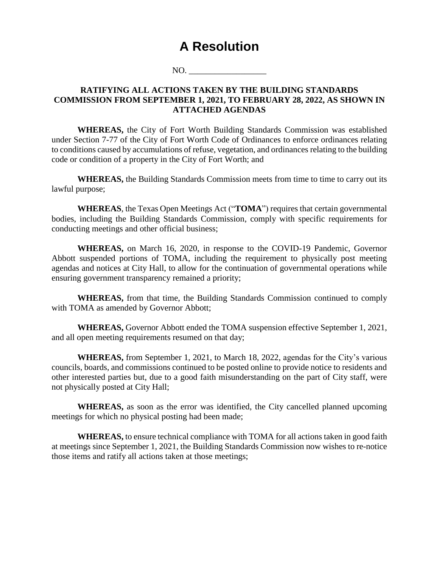# **A Resolution**

NO.

# **RATIFYING ALL ACTIONS TAKEN BY THE BUILDING STANDARDS COMMISSION FROM SEPTEMBER 1, 2021, TO FEBRUARY 28, 2022, AS SHOWN IN ATTACHED AGENDAS**

**WHEREAS,** the City of Fort Worth Building Standards Commission was established under Section 7-77 of the City of Fort Worth Code of Ordinances to enforce ordinances relating to conditions caused by accumulations of refuse, vegetation, and ordinances relating to the building code or condition of a property in the City of Fort Worth; and

**WHEREAS,** the Building Standards Commission meets from time to time to carry out its lawful purpose;

**WHEREAS**, the Texas Open Meetings Act ("**TOMA**") requires that certain governmental bodies, including the Building Standards Commission, comply with specific requirements for conducting meetings and other official business;

**WHEREAS,** on March 16, 2020, in response to the COVID-19 Pandemic, Governor Abbott suspended portions of TOMA, including the requirement to physically post meeting agendas and notices at City Hall, to allow for the continuation of governmental operations while ensuring government transparency remained a priority;

**WHEREAS,** from that time, the Building Standards Commission continued to comply with TOMA as amended by Governor Abbott;

**WHEREAS,** Governor Abbott ended the TOMA suspension effective September 1, 2021, and all open meeting requirements resumed on that day;

**WHEREAS,** from September 1, 2021, to March 18, 2022, agendas for the City's various councils, boards, and commissions continued to be posted online to provide notice to residents and other interested parties but, due to a good faith misunderstanding on the part of City staff, were not physically posted at City Hall;

**WHEREAS,** as soon as the error was identified, the City cancelled planned upcoming meetings for which no physical posting had been made;

**WHEREAS,** to ensure technical compliance with TOMA for all actions taken in good faith at meetings since September 1, 2021, the Building Standards Commission now wishes to re-notice those items and ratify all actions taken at those meetings;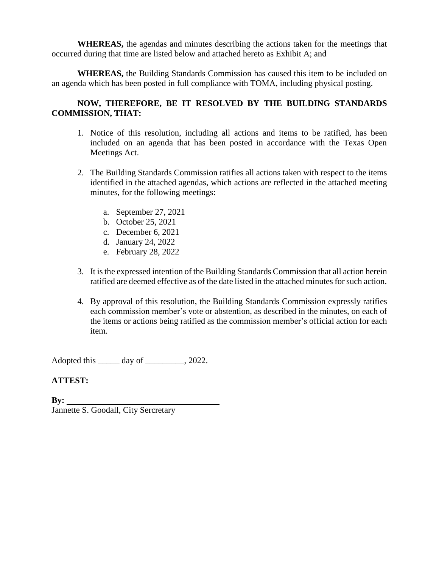**WHEREAS,** the agendas and minutes describing the actions taken for the meetings that occurred during that time are listed below and attached hereto as Exhibit A; and

**WHEREAS,** the Building Standards Commission has caused this item to be included on an agenda which has been posted in full compliance with TOMA, including physical posting.

# **NOW, THEREFORE, BE IT RESOLVED BY THE BUILDING STANDARDS COMMISSION, THAT:**

- 1. Notice of this resolution, including all actions and items to be ratified, has been included on an agenda that has been posted in accordance with the Texas Open Meetings Act.
- 2. The Building Standards Commission ratifies all actions taken with respect to the items identified in the attached agendas, which actions are reflected in the attached meeting minutes, for the following meetings:
	- a. September 27, 2021
	- b. October 25, 2021
	- c. December 6, 2021
	- d. January 24, 2022
	- e. February 28, 2022
- 3. It is the expressed intention of the Building Standards Commission that all action herein ratified are deemed effective as of the date listed in the attached minutes for such action.
- 4. By approval of this resolution, the Building Standards Commission expressly ratifies each commission member's vote or abstention, as described in the minutes, on each of the items or actions being ratified as the commission member's official action for each item.

Adopted this day of  $\qquad \qquad$ , 2022.

# **ATTEST:**

**By:**  Jannette S. Goodall, City Sercretary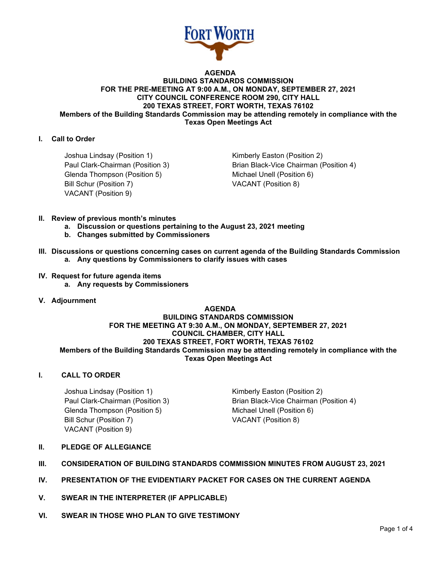

#### **AGENDA BUILDING STANDARDS COMMISSION FOR THE PRE-MEETING AT 9:00 A.M., ON MONDAY, SEPTEMBER 27, 2021 CITY COUNCIL CONFERENCE ROOM 290, CITY HALL 200 TEXAS STREET, FORT WORTH, TEXAS 76102 Members of the Building Standards Commission may be attending remotely in compliance with the Texas Open Meetings Act**

# **I. Call to Order**

Joshua Lindsay (Position 1) The Research Control of Kimberly Easton (Position 2) Glenda Thompson (Position 5) Michael Unell (Position 6) Bill Schur (Position 7) VACANT (Position 8) VACANT (Position 9)

Paul Clark-Chairman (Position 3) Brian Black-Vice Chairman (Position 4)

- **II. Review of previous month's minutes**
	- **a. Discussion or questions pertaining to the August 23, 2021 meeting**
	- **b. Changes submitted by Commissioners**
- **III. Discussions or questions concerning cases on current agenda of the Building Standards Commission a. Any questions by Commissioners to clarify issues with cases**

#### **IV. Request for future agenda items**

- **a. Any requests by Commissioners**
- **V. Adjournment**

#### **AGENDA BUILDING STANDARDS COMMISSION FOR THE MEETING AT 9:30 A.M., ON MONDAY, SEPTEMBER 27, 2021 COUNCIL CHAMBER, CITY HALL 200 TEXAS STREET, FORT WORTH, TEXAS 76102 Members of the Building Standards Commission may be attending remotely in compliance with the Texas Open Meetings Act**

# **I. CALL TO ORDER**

Joshua Lindsay (Position 1) The Control of Kimberly Easton (Position 2) Glenda Thompson (Position 5) Michael Unell (Position 6) Bill Schur (Position 7) VACANT (Position 8) VACANT (Position 9)

Paul Clark-Chairman (Position 3) Brian Black-Vice Chairman (Position 4)

- **II. PLEDGE OF ALLEGIANCE**
- **III. CONSIDERATION OF BUILDING STANDARDS COMMISSION MINUTES FROM AUGUST 23, 2021**
- **IV. PRESENTATION OF THE EVIDENTIARY PACKET FOR CASES ON THE CURRENT AGENDA**
- **V. SWEAR IN THE INTERPRETER (IF APPLICABLE)**
- **VI. SWEAR IN THOSE WHO PLAN TO GIVE TESTIMONY**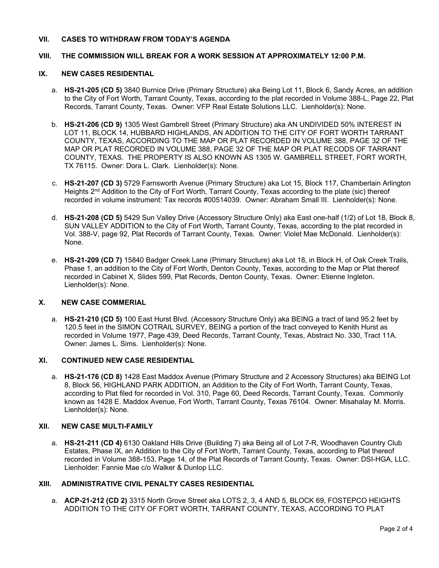# **VII. CASES TO WITHDRAW FROM TODAY'S AGENDA**

#### **VIII. THE COMMISSION WILL BREAK FOR A WORK SESSION AT APPROXIMATELY 12:00 P.M.**

#### **IX. NEW CASES RESIDENTIAL**

- a. **HS-21-205 (CD 5)** 3840 Burnice Drive (Primary Structure) aka Being Lot 11, Block 6, Sandy Acres, an addition to the City of Fort Worth, Tarrant County, Texas, according to the plat recorded in Volume 388-L, Page 22, Plat Records, Tarrant County, Texas. Owner: VFP Real Estate Solutions LLC. Lienholder(s): None.
- b. **HS-21-206 (CD 9)** 1305 West Gambrell Street (Primary Structure) aka AN UNDIVIDED 50% INTEREST IN LOT 11, BLOCK 14, HUBBARD HIGHLANDS, AN ADDITION TO THE CITY OF FORT WORTH TARRANT COUNTY, TEXAS, ACCORDING TO THE MAP OR PLAT RECORDED IN VOLUME 388, PAGE 32 OF THE MAP OR PLAT RECORDED IN VOLUME 388, PAGE 32 OF THE MAP OR PLAT RECODS OF TARRANT COUNTY, TEXAS. THE PROPERTY IS ALSO KNOWN AS 1305 W. GAMBRELL STREET, FORT WORTH, TX 76115. Owner: Dora L. Clark. Lienholder(s): None.
- c. **HS-21-207 (CD 3)** 5729 Farnsworth Avenue (Primary Structure) aka Lot 15, Block 117, Chamberlain Arlington Heights 2<sup>nd</sup> Addition to the City of Fort Worth, Tarrant County, Texas according to the plate (sic) thereof recorded in volume instrument: Tax records #00514039. Owner: Abraham Small III. Lienholder(s): None.
- d. **HS-21-208 (CD 5)** 5429 Sun Valley Drive (Accessory Structure Only) aka East one-half (1/2) of Lot 18, Block 8, SUN VALLEY ADDITION to the City of Fort Worth, Tarrant County, Texas, according to the plat recorded in Vol. 388-V, page 92, Plat Records of Tarrant County, Texas. Owner: Violet Mae McDonald. Lienholder(s): None.
- e. **HS-21-209 (CD 7)** 15840 Badger Creek Lane (Primary Structure) aka Lot 18, in Block H, of Oak Creek Trails, Phase 1, an addition to the City of Fort Worth, Denton County, Texas, according to the Map or Plat thereof recorded in Cabinet X, Slides 599, Plat Records, Denton County, Texas. Owner: Etienne Ingleton. Lienholder(s): None.

#### **X. NEW CASE COMMERIAL**

a. **HS-21-210 (CD 5)** 100 East Hurst Blvd. (Accessory Structure Only) aka BEING a tract of land 95.2 feet by 120.5 feet in the SIMON COTRAIL SURVEY, BEING a portion of the tract conveyed to Kenith Hurst as recorded in Volume 1977, Page 439, Deed Records, Tarrant County, Texas, Abstract No. 330, Tract 11A. Owner: James L. Sims. Lienholder(s): None.

#### **XI. CONTINUED NEW CASE RESIDENTIAL**

a. **HS-21-176 (CD 8)** 1428 East Maddox Avenue (Primary Structure and 2 Accessory Structures) aka BEING Lot 8, Block 56, HIGHLAND PARK ADDITION, an Addition to the City of Fort Worth, Tarrant County, Texas, according to Plat filed for recorded in Vol. 310, Page 60, Deed Records, Tarrant County, Texas. Commonly known as 1428 E. Maddox Avenue, Fort Worth, Tarrant County, Texas 76104. Owner: Misahalay M. Morris. Lienholder(s): None.

#### **XII. NEW CASE MULTI-FAMILY**

a. **HS-21-211 (CD 4)** 6130 Oakland Hills Drive (Building 7) aka Being all of Lot 7-R, Woodhaven Country Club Estates, Phase IX, an Addition to the City of Fort Worth, Tarrant County, Texas, according to Plat thereof recorded in Volume 388-153, Page 14, of the Plat Records of Tarrant County, Texas. Owner: DSI-HGA, LLC. Lienholder: Fannie Mae c/o Walker & Dunlop LLC.

#### **XIII. ADMINISTRATIVE CIVIL PENALTY CASES RESIDENTIAL**

a. **ACP-21-212 (CD 2)** 3315 North Grove Street aka LOTS 2, 3, 4 AND 5, BLOCK 69, FOSTEPCO HEIGHTS ADDITION TO THE CITY OF FORT WORTH, TARRANT COUNTY, TEXAS, ACCORDING TO PLAT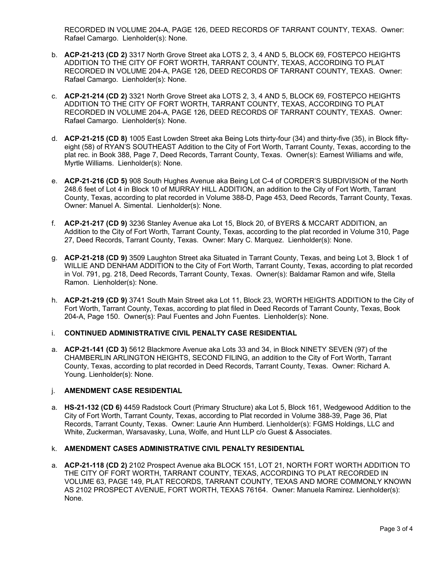RECORDED IN VOLUME 204-A, PAGE 126, DEED RECORDS OF TARRANT COUNTY, TEXAS. Owner: Rafael Camargo. Lienholder(s): None.

- b. **ACP-21-213 (CD 2)** 3317 North Grove Street aka LOTS 2, 3, 4 AND 5, BLOCK 69, FOSTEPCO HEIGHTS ADDITION TO THE CITY OF FORT WORTH, TARRANT COUNTY, TEXAS, ACCORDING TO PLAT RECORDED IN VOLUME 204-A, PAGE 126, DEED RECORDS OF TARRANT COUNTY, TEXAS. Owner: Rafael Camargo. Lienholder(s): None.
- c. **ACP-21-214 (CD 2)** 3321 North Grove Street aka LOTS 2, 3, 4 AND 5, BLOCK 69, FOSTEPCO HEIGHTS ADDITION TO THE CITY OF FORT WORTH, TARRANT COUNTY, TEXAS, ACCORDING TO PLAT RECORDED IN VOLUME 204-A, PAGE 126, DEED RECORDS OF TARRANT COUNTY, TEXAS. Owner: Rafael Camargo. Lienholder(s): None.
- d. **ACP-21-215 (CD 8)** 1005 East Lowden Street aka Being Lots thirty-four (34) and thirty-five (35), in Block fiftyeight (58) of RYAN'S SOUTHEAST Addition to the City of Fort Worth, Tarrant County, Texas, according to the plat rec. in Book 388, Page 7, Deed Records, Tarrant County, Texas. Owner(s): Earnest Williams and wife, Myrtle Williams. Lienholder(s): None.
- e. **ACP-21-216 (CD 5)** 908 South Hughes Avenue aka Being Lot C-4 of CORDER'S SUBDIVISION of the North 248.6 feet of Lot 4 in Block 10 of MURRAY HILL ADDITION, an addition to the City of Fort Worth, Tarrant County, Texas, according to plat recorded in Volume 388-D, Page 453, Deed Records, Tarrant County, Texas. Owner: Manuel A. Simental. Lienholder(s): None.
- f. **ACP-21-217 (CD 9)** 3236 Stanley Avenue aka Lot 15, Block 20, of BYERS & MCCART ADDITION, an Addition to the City of Fort Worth, Tarrant County, Texas, according to the plat recorded in Volume 310, Page 27, Deed Records, Tarrant County, Texas. Owner: Mary C. Marquez. Lienholder(s): None.
- g. **ACP-21-218 (CD 9)** 3509 Laughton Street aka Situated in Tarrant County, Texas, and being Lot 3, Block 1 of WILLIE AND DENHAM ADDITION to the City of Fort Worth, Tarrant County, Texas, according to plat recorded in Vol. 791, pg. 218, Deed Records, Tarrant County, Texas. Owner(s): Baldamar Ramon and wife, Stella Ramon. Lienholder(s): None.
- h. **ACP-21-219 (CD 9)** 3741 South Main Street aka Lot 11, Block 23, WORTH HEIGHTS ADDITION to the City of Fort Worth, Tarrant County, Texas, according to plat filed in Deed Records of Tarrant County, Texas, Book 204-A, Page 150. Owner(s): Paul Fuentes and John Fuentes. Lienholder(s): None.

# i. **CONTINUED ADMINISTRATIVE CIVIL PENALTY CASE RESIDENTIAL**

a. **ACP-21-141 (CD 3)** 5612 Blackmore Avenue aka Lots 33 and 34, in Block NINETY SEVEN (97) of the CHAMBERLIN ARLINGTON HEIGHTS, SECOND FILING, an addition to the City of Fort Worth, Tarrant County, Texas, according to plat recorded in Deed Records, Tarrant County, Texas. Owner: Richard A. Young. Lienholder(s): None.

# j. **AMENDMENT CASE RESIDENTIAL**

a. **HS-21-132 (CD 6)** 4459 Radstock Court (Primary Structure) aka Lot 5, Block 161, Wedgewood Addition to the City of Fort Worth, Tarrant County, Texas, according to Plat recorded in Volume 388-39, Page 36, Plat Records, Tarrant County, Texas. Owner: Laurie Ann Humberd. Lienholder(s): FGMS Holdings, LLC and White, Zuckerman, Warsavasky, Luna, Wolfe, and Hunt LLP c/o Guest & Associates.

#### k. **AMENDMENT CASES ADMINISTRATIVE CIVIL PENALTY RESIDENTIAL**

a. **ACP-21-118 (CD 2)** 2102 Prospect Avenue aka BLOCK 151, LOT 21, NORTH FORT WORTH ADDITION TO THE CITY OF FORT WORTH, TARRANT COUNTY, TEXAS, ACCORDING TO PLAT RECORDED IN VOLUME 63, PAGE 149, PLAT RECORDS, TARRANT COUNTY, TEXAS AND MORE COMMONLY KNOWN AS 2102 PROSPECT AVENUE, FORT WORTH, TEXAS 76164. Owner: Manuela Ramirez. Lienholder(s): None.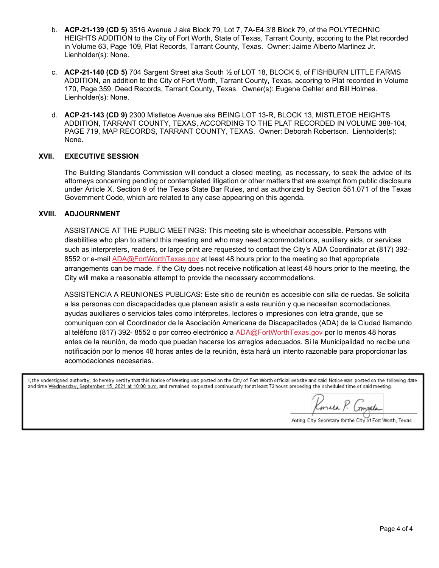- b. **ACP-21-139 (CD 5)** 3516 Avenue J aka Block 79, Lot 7, 7A-E4.3'8 Block 79, of the POLYTECHNIC HEIGHTS ADDITION to the City of Fort Worth, State of Texas, Tarrant County, accoring to the Plat recorded in Volume 63, Page 109, Plat Records, Tarrant County, Texas. Owner: Jaime Alberto Martinez Jr. Lienholder(s): None.
- c. **ACP-21-140 (CD 5)** 704 Sargent Street aka South ½ of LOT 18, BLOCK 5, of FISHBURN LITTLE FARMS ADDITION, an addition to the City of Fort Worth, Tarrant County, Texas, accoring to Plat recorded in Volume 170, Page 359, Deed Records, Tarrant County, Texas. Owner(s): Eugene Oehler and Bill Holmes. Lienholder(s): None.
- d. **ACP-21-143 (CD 9)** 2300 Mistletoe Avenue aka BEING LOT 13-R, BLOCK 13, MISTLETOE HEIGHTS ADDITION, TARRANT COUNTY, TEXAS, ACCORDING TO THE PLAT RECORDED IN VOLUME 388-104, PAGE 719, MAP RECORDS, TARRANT COUNTY, TEXAS. Owner: Deborah Robertson. Lienholder(s): None.

# **XVII. EXECUTIVE SESSION**

The Building Standards Commission will conduct a closed meeting, as necessary, to seek the advice of its attorneys concerning pending or contemplated litigation or other matters that are exempt from public disclosure under Article X, Section 9 of the Texas State Bar Rules, and as authorized by Section 551.071 of the Texas Government Code, which are related to any case appearing on this agenda.

# **XVIII. ADJOURNMENT**

ASSISTANCE AT THE PUBLIC MEETINGS: This meeting site is wheelchair accessible. Persons with disabilities who plan to attend this meeting and who may need accommodations, auxiliary aids, or services such as interpreters, readers, or large print are requested to contact the City's ADA Coordinator at (817) 392- 8552 or e-mail [ADA@FortWorthTexas.gov](mailto:ADA@FortWorthTexas.gov) at least 48 hours prior to the meeting so that appropriate arrangements can be made. If the City does not receive notification at least 48 hours prior to the meeting, the City will make a reasonable attempt to provide the necessary accommodations.

ASSISTENCIA A REUNIONES PUBLICAS: Este sitio de reunión es accesible con silla de ruedas. Se solicita a las personas con discapacidades que planean asistir a esta reunión y que necesitan acomodaciones, ayudas auxiliares o servicios tales como intérpretes, lectores o impresiones con letra grande, que se comuniquen con el Coordinador de la Asociación Americana de Discapacitados (ADA) de la Ciudad llamando al teléfono (817) 392- 8552 o por correo electrónico a [ADA@FortWorthTexas.gov](mailto:ADA@FortWorthTexas.gov) por lo menos 48 horas antes de la reunión, de modo que puedan hacerse los arreglos adecuados. Si la Municipalidad no recibe una notificación por lo menos 48 horas antes de la reunión, ésta hará un intento razonable para proporcionar las acomodaciones necesarias.

I, the undersigned authority, do hereby certify that this Notice of Meeting was posted on the City of Fort Worth official website and said Notice was posted on the following date and time Wednesday, September 15, 2021 at 10:00 a.m. and remained so posted continuously for at least 72 hours preceding the scheduled time of said meeting.

Konnea P. Compater

Acting City Secretary for the City of Fort Worth, Texas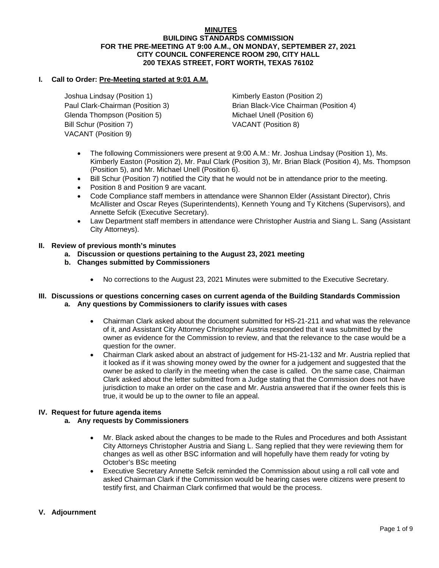#### **MINUTES BUILDING STANDARDS COMMISSION FOR THE PRE-MEETING AT 9:00 A.M., ON MONDAY, SEPTEMBER 27, 2021 CITY COUNCIL CONFERENCE ROOM 290, CITY HALL 200 TEXAS STREET, FORT WORTH, TEXAS 76102**

# **I. Call to Order: Pre-Meeting started at 9:01 A.M.**

Joshua Lindsay (Position 1) The Rimberly Easton (Position 2) Glenda Thompson (Position 5) Michael Unell (Position 6) Bill Schur (Position 7) VACANT (Position 8) VACANT (Position 9)

Paul Clark-Chairman (Position 3) Brian Black-Vice Chairman (Position 4)

- The following Commissioners were present at 9:00 A.M.: Mr. Joshua Lindsay (Position 1), Ms. Kimberly Easton (Position 2), Mr. Paul Clark (Position 3), Mr. Brian Black (Position 4), Ms. Thompson (Position 5), and Mr. Michael Unell (Position 6).
- Bill Schur (Position 7) notified the City that he would not be in attendance prior to the meeting.
- Position 8 and Position 9 are vacant.
- Code Compliance staff members in attendance were Shannon Elder (Assistant Director), Chris McAllister and Oscar Reyes (Superintendents), Kenneth Young and Ty Kitchens (Supervisors), and Annette Sefcik (Executive Secretary).
- Law Department staff members in attendance were Christopher Austria and Siang L. Sang (Assistant City Attorneys).
- **II. Review of previous month's minutes**
	- **a. Discussion or questions pertaining to the August 23, 2021 meeting**
	- **b. Changes submitted by Commissioners**
		- No corrections to the August 23, 2021 Minutes were submitted to the Executive Secretary.

#### **III. Discussions or questions concerning cases on current agenda of the Building Standards Commission a. Any questions by Commissioners to clarify issues with cases**

- Chairman Clark asked about the document submitted for HS-21-211 and what was the relevance of it, and Assistant City Attorney Christopher Austria responded that it was submitted by the owner as evidence for the Commission to review, and that the relevance to the case would be a question for the owner.
- Chairman Clark asked about an abstract of judgement for HS-21-132 and Mr. Austria replied that it looked as if it was showing money owed by the owner for a judgement and suggested that the owner be asked to clarify in the meeting when the case is called. On the same case, Chairman Clark asked about the letter submitted from a Judge stating that the Commission does not have jurisdiction to make an order on the case and Mr. Austria answered that if the owner feels this is true, it would be up to the owner to file an appeal.

#### **IV. Request for future agenda items**

#### **a. Any requests by Commissioners**

- Mr. Black asked about the changes to be made to the Rules and Procedures and both Assistant City Attorneys Christopher Austria and Siang L. Sang replied that they were reviewing them for changes as well as other BSC information and will hopefully have them ready for voting by October's BSc meeting
- Executive Secretary Annette Sefcik reminded the Commission about using a roll call vote and asked Chairman Clark if the Commission would be hearing cases were citizens were present to testify first, and Chairman Clark confirmed that would be the process.

#### **V. Adjournment**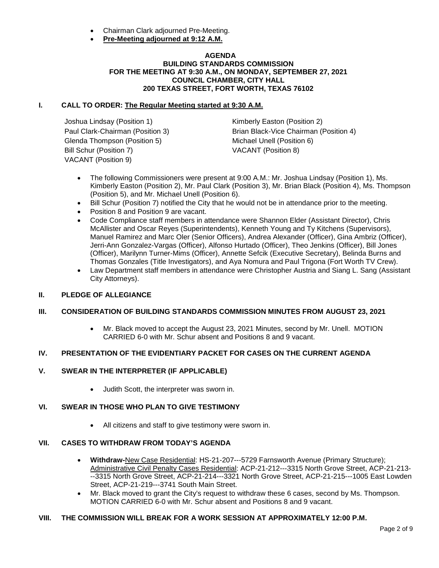- Chairman Clark adjourned Pre-Meeting.
- **Pre-Meeting adjourned at 9:12 A.M.**

# **AGENDA BUILDING STANDARDS COMMISSION FOR THE MEETING AT 9:30 A.M., ON MONDAY, SEPTEMBER 27, 2021 COUNCIL CHAMBER, CITY HALL 200 TEXAS STREET, FORT WORTH, TEXAS 76102**

# **I. CALL TO ORDER: The Regular Meeting started at 9:30 A.M.**

Joshua Lindsay (Position 1) Manuel Communisty Easton (Position 2) Glenda Thompson (Position 5) Michael Unell (Position 6) Bill Schur (Position 7) VACANT (Position 8) VACANT (Position 9)

Paul Clark-Chairman (Position 3) Brian Black-Vice Chairman (Position 4)

- The following Commissioners were present at 9:00 A.M.: Mr. Joshua Lindsay (Position 1), Ms. Kimberly Easton (Position 2), Mr. Paul Clark (Position 3), Mr. Brian Black (Position 4), Ms. Thompson (Position 5), and Mr. Michael Unell (Position 6).
- Bill Schur (Position 7) notified the City that he would not be in attendance prior to the meeting.
- Position 8 and Position 9 are vacant.
- Code Compliance staff members in attendance were Shannon Elder (Assistant Director), Chris McAllister and Oscar Reyes (Superintendents), Kenneth Young and Ty Kitchens (Supervisors), Manuel Ramirez and Marc Oler (Senior Officers), Andrea Alexander (Officer), Gina Ambriz (Officer), Jerri-Ann Gonzalez-Vargas (Officer), Alfonso Hurtado (Officer), Theo Jenkins (Officer), Bill Jones (Officer), Marilynn Turner-Mims (Officer), Annette Sefcik (Executive Secretary), Belinda Burns and Thomas Gonzales (Title Investigators), and Aya Nomura and Paul Trigona (Fort Worth TV Crew).
- Law Department staff members in attendance were Christopher Austria and Siang L. Sang (Assistant City Attorneys).

# **II. PLEDGE OF ALLEGIANCE**

# **III. CONSIDERATION OF BUILDING STANDARDS COMMISSION MINUTES FROM AUGUST 23, 2021**

• Mr. Black moved to accept the August 23, 2021 Minutes, second by Mr. Unell. MOTION CARRIED 6-0 with Mr. Schur absent and Positions 8 and 9 vacant.

# **IV. PRESENTATION OF THE EVIDENTIARY PACKET FOR CASES ON THE CURRENT AGENDA**

#### **V. SWEAR IN THE INTERPRETER (IF APPLICABLE)**

• Judith Scott, the interpreter was sworn in.

#### **VI. SWEAR IN THOSE WHO PLAN TO GIVE TESTIMONY**

• All citizens and staff to give testimony were sworn in.

#### **VII. CASES TO WITHDRAW FROM TODAY'S AGENDA**

- **Withdraw-**New Case Residential: HS-21-207---5729 Farnsworth Avenue (Primary Structure); Administrative Civil Penalty Cases Residential: ACP-21-212---3315 North Grove Street, ACP-21-213- --3315 North Grove Street, ACP-21-214---3321 North Grove Street, ACP-21-215---1005 East Lowden Street, ACP-21-219---3741 South Main Street.
- Mr. Black moved to grant the City's request to withdraw these 6 cases, second by Ms. Thompson. MOTION CARRIED 6-0 with Mr. Schur absent and Positions 8 and 9 vacant.

#### **VIII. THE COMMISSION WILL BREAK FOR A WORK SESSION AT APPROXIMATELY 12:00 P.M.**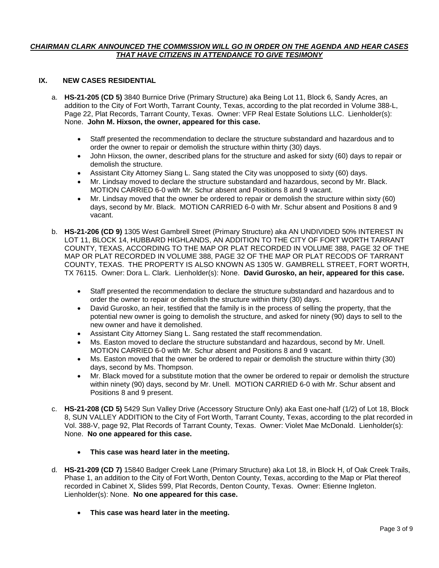#### *CHAIRMAN CLARK ANNOUNCED THE COMMISSION WILL GO IN ORDER ON THE AGENDA AND HEAR CASES THAT HAVE CITIZENS IN ATTENDANCE TO GIVE TESIMONY*

# **IX. NEW CASES RESIDENTIAL**

- a. **HS-21-205 (CD 5)** 3840 Burnice Drive (Primary Structure) aka Being Lot 11, Block 6, Sandy Acres, an addition to the City of Fort Worth, Tarrant County, Texas, according to the plat recorded in Volume 388-L, Page 22, Plat Records, Tarrant County, Texas. Owner: VFP Real Estate Solutions LLC. Lienholder(s): None. **John M. Hixson, the owner, appeared for this case.**
	- Staff presented the recommendation to declare the structure substandard and hazardous and to order the owner to repair or demolish the structure within thirty (30) days.
	- John Hixson, the owner, described plans for the structure and asked for sixty (60) days to repair or demolish the structure.
	- Assistant City Attorney Siang L. Sang stated the City was unopposed to sixty (60) days.
	- Mr. Lindsay moved to declare the structure substandard and hazardous, second by Mr. Black. MOTION CARRIED 6-0 with Mr. Schur absent and Positions 8 and 9 vacant.
	- Mr. Lindsay moved that the owner be ordered to repair or demolish the structure within sixty (60) days, second by Mr. Black. MOTION CARRIED 6-0 with Mr. Schur absent and Positions 8 and 9 vacant.
- b. **HS-21-206 (CD 9)** 1305 West Gambrell Street (Primary Structure) aka AN UNDIVIDED 50% INTEREST IN LOT 11, BLOCK 14, HUBBARD HIGHLANDS, AN ADDITION TO THE CITY OF FORT WORTH TARRANT COUNTY, TEXAS, ACCORDING TO THE MAP OR PLAT RECORDED IN VOLUME 388, PAGE 32 OF THE MAP OR PLAT RECORDED IN VOLUME 388, PAGE 32 OF THE MAP OR PLAT RECODS OF TARRANT COUNTY, TEXAS. THE PROPERTY IS ALSO KNOWN AS 1305 W. GAMBRELL STREET, FORT WORTH, TX 76115. Owner: Dora L. Clark. Lienholder(s): None. **David Gurosko, an heir, appeared for this case.**
	- Staff presented the recommendation to declare the structure substandard and hazardous and to order the owner to repair or demolish the structure within thirty (30) days.
	- David Gurosko, an heir, testified that the family is in the process of selling the property, that the potential new owner is going to demolish the structure, and asked for ninety (90) days to sell to the new owner and have it demolished.
	- Assistant City Attorney Siang L. Sang restated the staff recommendation.
	- Ms. Easton moved to declare the structure substandard and hazardous, second by Mr. Unell. MOTION CARRIED 6-0 with Mr. Schur absent and Positions 8 and 9 vacant.
	- Ms. Easton moved that the owner be ordered to repair or demolish the structure within thirty (30) days, second by Ms. Thompson.
	- Mr. Black moved for a substitute motion that the owner be ordered to repair or demolish the structure within ninety (90) days, second by Mr. Unell. MOTION CARRIED 6-0 with Mr. Schur absent and Positions 8 and 9 present.
- c. **HS-21-208 (CD 5)** 5429 Sun Valley Drive (Accessory Structure Only) aka East one-half (1/2) of Lot 18, Block 8, SUN VALLEY ADDITION to the City of Fort Worth, Tarrant County, Texas, according to the plat recorded in Vol. 388-V, page 92, Plat Records of Tarrant County, Texas. Owner: Violet Mae McDonald. Lienholder(s): None. **No one appeared for this case.**
	- **This case was heard later in the meeting.**
- d. **HS-21-209 (CD 7)** 15840 Badger Creek Lane (Primary Structure) aka Lot 18, in Block H, of Oak Creek Trails, Phase 1, an addition to the City of Fort Worth, Denton County, Texas, according to the Map or Plat thereof recorded in Cabinet X, Slides 599, Plat Records, Denton County, Texas. Owner: Etienne Ingleton. Lienholder(s): None. **No one appeared for this case.**
	- **This case was heard later in the meeting.**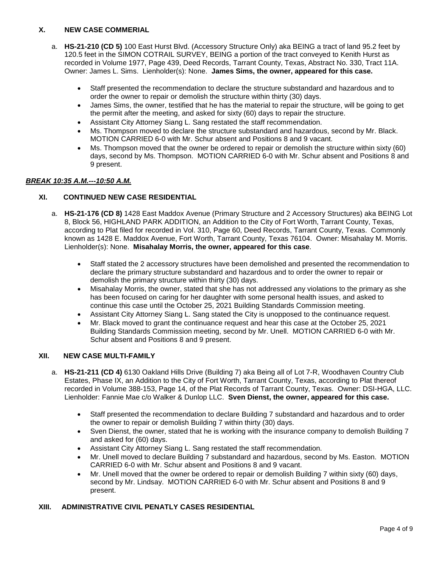# **X. NEW CASE COMMERIAL**

- a. **HS-21-210 (CD 5)** 100 East Hurst Blvd. (Accessory Structure Only) aka BEING a tract of land 95.2 feet by 120.5 feet in the SIMON COTRAIL SURVEY, BEING a portion of the tract conveyed to Kenith Hurst as recorded in Volume 1977, Page 439, Deed Records, Tarrant County, Texas, Abstract No. 330, Tract 11A. Owner: James L. Sims. Lienholder(s): None. **James Sims, the owner, appeared for this case.**
	- Staff presented the recommendation to declare the structure substandard and hazardous and to order the owner to repair or demolish the structure within thirty (30) days.
	- James Sims, the owner, testified that he has the material to repair the structure, will be going to get the permit after the meeting, and asked for sixty (60) days to repair the structure.
	- Assistant City Attorney Siang L. Sang restated the staff recommendation.
	- Ms. Thompson moved to declare the structure substandard and hazardous, second by Mr. Black. MOTION CARRIED 6-0 with Mr. Schur absent and Positions 8 and 9 vacant.
	- Ms. Thompson moved that the owner be ordered to repair or demolish the structure within sixty (60) days, second by Ms. Thompson. MOTION CARRIED 6-0 with Mr. Schur absent and Positions 8 and 9 present.

# *BREAK 10:35 A.M.---10:50 A.M.*

# **XI. CONTINUED NEW CASE RESIDENTIAL**

- a. **HS-21-176 (CD 8)** 1428 East Maddox Avenue (Primary Structure and 2 Accessory Structures) aka BEING Lot 8, Block 56, HIGHLAND PARK ADDITION, an Addition to the City of Fort Worth, Tarrant County, Texas, according to Plat filed for recorded in Vol. 310, Page 60, Deed Records, Tarrant County, Texas. Commonly known as 1428 E. Maddox Avenue, Fort Worth, Tarrant County, Texas 76104. Owner: Misahalay M. Morris. Lienholder(s): None. **Misahalay Morris, the owner, appeared for this case**.
	- Staff stated the 2 accessory structures have been demolished and presented the recommendation to declare the primary structure substandard and hazardous and to order the owner to repair or demolish the primary structure within thirty (30) days.
	- Misahalay Morris, the owner, stated that she has not addressed any violations to the primary as she has been focused on caring for her daughter with some personal health issues, and asked to continue this case until the October 25, 2021 Building Standards Commission meeting.
	- Assistant City Attorney Siang L. Sang stated the City is unopposed to the continuance request.
	- Mr. Black moved to grant the continuance request and hear this case at the October 25, 2021 Building Standards Commission meeting, second by Mr. Unell. MOTION CARRIED 6-0 with Mr. Schur absent and Positions 8 and 9 present.

# **XII. NEW CASE MULTI-FAMILY**

- a. **HS-21-211 (CD 4)** 6130 Oakland Hills Drive (Building 7) aka Being all of Lot 7-R, Woodhaven Country Club Estates, Phase IX, an Addition to the City of Fort Worth, Tarrant County, Texas, according to Plat thereof recorded in Volume 388-153, Page 14, of the Plat Records of Tarrant County, Texas. Owner: DSI-HGA, LLC. Lienholder: Fannie Mae c/o Walker & Dunlop LLC. **Sven Dienst, the owner, appeared for this case.**
	- Staff presented the recommendation to declare Building 7 substandard and hazardous and to order the owner to repair or demolish Building 7 within thirty (30) days.
	- Sven Dienst, the owner, stated that he is working with the insurance company to demolish Building 7 and asked for (60) days.
	- Assistant City Attorney Siang L. Sang restated the staff recommendation.
	- Mr. Unell moved to declare Building 7 substandard and hazardous, second by Ms. Easton. MOTION CARRIED 6-0 with Mr. Schur absent and Positions 8 and 9 vacant.
	- Mr. Unell moved that the owner be ordered to repair or demolish Building 7 within sixty (60) days, second by Mr. Lindsay. MOTION CARRIED 6-0 with Mr. Schur absent and Positions 8 and 9 present.

# **XIII. ADMINISTRATIVE CIVIL PENATLY CASES RESIDENTIAL**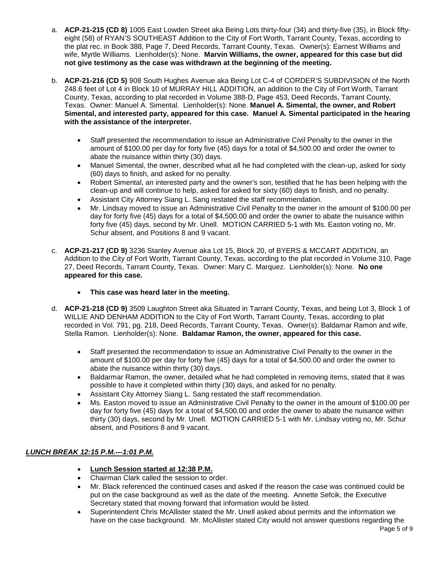- a. **ACP-21-215 (CD 8)** 1005 East Lowden Street aka Being Lots thirty-four (34) and thirty-five (35), in Block fiftyeight (58) of RYAN'S SOUTHEAST Addition to the City of Fort Worth, Tarrant County, Texas, according to the plat rec. in Book 388, Page 7, Deed Records, Tarrant County, Texas. Owner(s): Earnest Williams and wife, Myrtle Williams. Lienholder(s): None. **Marvin Williams, the owner, appeared for this case but did not give testimony as the case was withdrawn at the beginning of the meeting.**
- b. **ACP-21-216 (CD 5)** 908 South Hughes Avenue aka Being Lot C-4 of CORDER'S SUBDIVISION of the North 248.6 feet of Lot 4 in Block 10 of MURRAY HILL ADDITION, an addition to the City of Fort Worth, Tarrant County, Texas, according to plat recorded in Volume 388-D, Page 453, Deed Records, Tarrant County, Texas. Owner: Manuel A. Simental. Lienholder(s): None. **Manuel A. Simental, the owner, and Robert Simental, and interested party, appeared for this case. Manuel A. Simental participated in the hearing with the assistance of the interpreter.**
	- Staff presented the recommendation to issue an Administrative Civil Penalty to the owner in the amount of \$100.00 per day for forty five (45) days for a total of \$4,500.00 and order the owner to abate the nuisance within thirty (30) days.
	- Manuel Simental, the owner, described what all he had completed with the clean-up, asked for sixty (60) days to finish, and asked for no penalty.
	- Robert Simental, an interested party and the owner's son, testified that he has been helping with the clean-up and will continue to help, asked for asked for sixty (60) days to finish, and no penalty.
	- Assistant City Attorney Siang L. Sang restated the staff recommendation.
	- Mr. Lindsay moved to issue an Administrative Civil Penalty to the owner in the amount of \$100.00 per day for forty five (45) days for a total of \$4,500.00 and order the owner to abate the nuisance within forty five (45) days, second by Mr. Unell. MOTION CARRIED 5-1 with Ms. Easton voting no, Mr. Schur absent, and Positions 8 and 9 vacant.
- c. **ACP-21-217 (CD 9)** 3236 Stanley Avenue aka Lot 15, Block 20, of BYERS & MCCART ADDITION, an Addition to the City of Fort Worth, Tarrant County, Texas, according to the plat recorded in Volume 310, Page 27, Deed Records, Tarrant County, Texas. Owner: Mary C. Marquez. Lienholder(s): None. **No one appeared for this case.**
	- **This case was heard later in the meeting.**
- d. **ACP-21-218 (CD 9)** 3509 Laughton Street aka Situated in Tarrant County, Texas, and being Lot 3, Block 1 of WILLIE AND DENHAM ADDITION to the City of Fort Worth, Tarrant County, Texas, according to plat recorded in Vol. 791, pg. 218, Deed Records, Tarrant County, Texas. Owner(s): Baldamar Ramon and wife, Stella Ramon. Lienholder(s): None. **Baldamar Ramon, the owner, appeared for this case.**
	- Staff presented the recommendation to issue an Administrative Civil Penalty to the owner in the amount of \$100.00 per day for forty five (45) days for a total of \$4,500.00 and order the owner to abate the nuisance within thirty (30) days.
	- Baldarmar Ramon, the owner, detailed what he had completed in removing items, stated that it was possible to have it completed within thirty (30) days, and asked for no penalty.
	- Assistant City Attorney Siang L. Sang restated the staff recommendation.
	- Ms. Easton moved to issue an Administrative Civil Penalty to the owner in the amount of \$100.00 per day for forty five (45) days for a total of \$4,500.00 and order the owner to abate the nuisance within thirty (30) days, second by Mr. Unell. MOTION CARRIED 5-1 with Mr. Lindsay voting no, Mr. Schur absent, and Positions 8 and 9 vacant.

# *LUNCH BREAK 12:15 P.M.---1:01 P.M.*

- **Lunch Session started at 12:38 P.M.**
- Chairman Clark called the session to order.
- Mr. Black referenced the continued cases and asked if the reason the case was continued could be put on the case background as well as the date of the meeting. Annette Sefcik, the Executive Secretary stated that moving forward that information would be listed.
- Superintendent Chris McAllister stated the Mr. Unell asked about permits and the information we have on the case background. Mr. McAllister stated City would not answer questions regarding the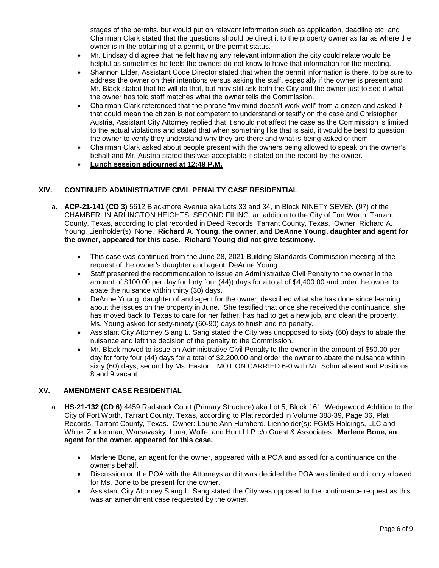stages of the permits, but would put on relevant information such as application, deadline etc. and Chairman Clark stated that the questions should be direct it to the property owner as far as where the owner is in the obtaining of a permit, or the permit status.

- Mr. Lindsay did agree that he felt having any relevant information the city could relate would be helpful as sometimes he feels the owners do not know to have that information for the meeting.
- Shannon Elder, Assistant Code Director stated that when the permit information is there, to be sure to address the owner on their intentions versus asking the staff, especially if the owner is present and Mr. Black stated that he will do that, but may still ask both the City and the owner just to see if what the owner has told staff matches what the owner tells the Commission.
- Chairman Clark referenced that the phrase "my mind doesn't work well" from a citizen and asked if that could mean the citizen is not competent to understand or testify on the case and Christopher Austria, Assistant City Attorney replied that it should not affect the case as the Commission is limited to the actual violations and stated that when something like that is said, it would be best to question the owner to verify they understand why they are there and what is being asked of them.
- Chairman Clark asked about people present with the owners being allowed to speak on the owner's behalf and Mr. Austria stated this was acceptable if stated on the record by the owner.
- **Lunch session adjourned at 12:49 P.M.**

# **XIV. CONTINUED ADMINISTRATIVE CIVIL PENALTY CASE RESIDENTIAL**

- a. **ACP-21-141 (CD 3)** 5612 Blackmore Avenue aka Lots 33 and 34, in Block NINETY SEVEN (97) of the CHAMBERLIN ARLINGTON HEIGHTS, SECOND FILING, an addition to the City of Fort Worth, Tarrant County, Texas, according to plat recorded in Deed Records, Tarrant County, Texas. Owner: Richard A. Young. Lienholder(s): None. **Richard A. Young, the owner, and DeAnne Young, daughter and agent for the owner, appeared for this case. Richard Young did not give testimony.**
	- This case was continued from the June 28, 2021 Building Standards Commission meeting at the request of the owner's daughter and agent, DeAnne Young.
	- Staff presented the recommendation to issue an Administrative Civil Penalty to the owner in the amount of \$100.00 per day for forty four (44)) days for a total of \$4,400.00 and order the owner to abate the nuisance within thirty (30) days.
	- DeAnne Young, daughter of and agent for the owner, described what she has done since learning about the issues on the property in June. She testified that once she received the continuance, she has moved back to Texas to care for her father, has had to get a new job, and clean the property. Ms. Young asked for sixty-ninety (60-90) days to finish and no penalty.
	- Assistant City Attorney Siang L. Sang stated the City was unopposed to sixty (60) days to abate the nuisance and left the decision of the penalty to the Commission.
	- Mr. Black moved to issue an Administrative Civil Penalty to the owner in the amount of \$50.00 per day for forty four (44) days for a total of \$2,200.00 and order the owner to abate the nuisance within sixty (60) days, second by Ms. Easton. MOTION CARRIED 6-0 with Mr. Schur absent and Positions 8 and 9 vacant.

# **XV. AMENDMENT CASE RESIDENTIAL**

- a. **HS-21-132 (CD 6)** 4459 Radstock Court (Primary Structure) aka Lot 5, Block 161, Wedgewood Addition to the City of Fort Worth, Tarrant County, Texas, according to Plat recorded in Volume 388-39, Page 36, Plat Records, Tarrant County, Texas. Owner: Laurie Ann Humberd. Lienholder(s): FGMS Holdings, LLC and White, Zuckerman, Warsavasky, Luna, Wolfe, and Hunt LLP c/o Guest & Associates. **Marlene Bone, an agent for the owner, appeared for this case.**
	- Marlene Bone, an agent for the owner, appeared with a POA and asked for a continuance on the owner's behalf.
	- Discussion on the POA with the Attorneys and it was decided the POA was limited and it only allowed for Ms. Bone to be present for the owner.
	- Assistant City Attorney Siang L. Sang stated the City was opposed to the continuance request as this was an amendment case requested by the owner.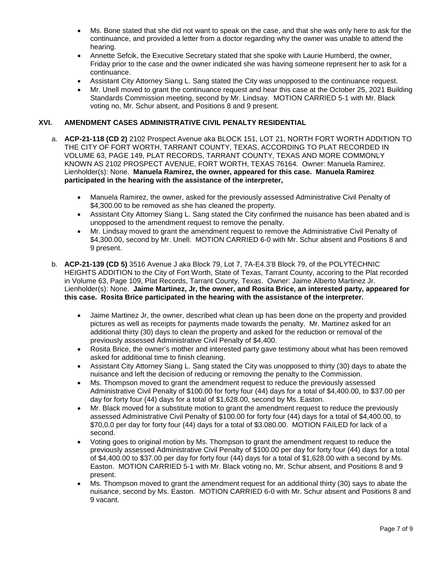- Ms. Bone stated that she did not want to speak on the case, and that she was only here to ask for the continuance, and provided a letter from a doctor regarding why the owner was unable to attend the hearing.
- Annette Sefcik, the Executive Secretary stated that she spoke with Laurie Humberd, the owner, Friday prior to the case and the owner indicated she was having someone represent her to ask for a continuance.
- Assistant City Attorney Siang L. Sang stated the City was unopposed to the continuance request.
- Mr. Unell moved to grant the continuance request and hear this case at the October 25, 2021 Building Standards Commission meeting, second by Mr. Lindsay. MOTION CARRIED 5-1 with Mr. Black voting no, Mr. Schur absent, and Positions 8 and 9 present.

# **XVI. AMENDMENT CASES ADMINISTRATIVE CIVIL PENALTY RESIDENTIAL**

- a. **ACP-21-118 (CD 2)** 2102 Prospect Avenue aka BLOCK 151, LOT 21, NORTH FORT WORTH ADDITION TO THE CITY OF FORT WORTH, TARRANT COUNTY, TEXAS, ACCORDING TO PLAT RECORDED IN VOLUME 63, PAGE 149, PLAT RECORDS, TARRANT COUNTY, TEXAS AND MORE COMMONLY KNOWN AS 2102 PROSPECT AVENUE, FORT WORTH, TEXAS 76164. Owner: Manuela Ramirez. Lienholder(s): None. **Manuela Ramirez, the owner, appeared for this case. Manuela Ramirez participated in the hearing with the assistance of the interpreter,**
	- Manuela Ramirez, the owner, asked for the previously assessed Administrative Civil Penalty of \$4,300.00 to be removed as she has cleaned the property.
	- Assistant City Attorney Siang L. Sang stated the City confirmed the nuisance has been abated and is unopposed to the amendment request to remove the penalty.
	- Mr. Lindsay moved to grant the amendment request to remove the Administrative Civil Penalty of \$4,300.00, second by Mr. Unell. MOTION CARRIED 6-0 with Mr. Schur absent and Positions 8 and 9 present.
- b. **ACP-21-139 (CD 5)** 3516 Avenue J aka Block 79, Lot 7, 7A-E4.3'8 Block 79, of the POLYTECHNIC HEIGHTS ADDITION to the City of Fort Worth, State of Texas, Tarrant County, accoring to the Plat recorded in Volume 63, Page 109, Plat Records, Tarrant County, Texas. Owner: Jaime Alberto Martinez Jr. Lienholder(s): None. **Jaime Martinez, Jr, the owner, and Rosita Brice, an interested party, appeared for this case. Rosita Brice participated in the hearing with the assistance of the interpreter.**
	- Jaime Martinez Jr, the owner, described what clean up has been done on the property and provided pictures as well as receipts for payments made towards the penalty. Mr. Martinez asked for an additional thirty (30) days to clean the property and asked for the reduction or removal of the previously assessed Administrative Civil Penalty of \$4,400.
	- Rosita Brice, the owner's mother and interested party gave testimony about what has been removed asked for additional time to finish cleaning.
	- Assistant City Attorney Siang L. Sang stated the City was unopposed to thirty (30) days to abate the nuisance and left the decision of reducing or removing the penalty to the Commission.
	- Ms. Thompson moved to grant the amendment request to reduce the previously assessed Administrative Civil Penalty of \$100.00 for forty four (44) days for a total of \$4,400.00, to \$37.00 per day for forty four (44) days for a total of \$1,628.00, second by Ms. Easton.
	- Mr. Black moved for a substitute motion to grant the amendment request to reduce the previously assessed Administrative Civil Penalty of \$100.00 for forty four (44) days for a total of \$4,400.00, to \$70,0.0 per day for forty four (44) days for a total of \$3.080.00. MOTION FAILED for lack of a second.
	- Voting goes to original motion by Ms. Thompson to grant the amendment request to reduce the previously assessed Administrative Civil Penalty of \$100.00 per day for forty four (44) days for a total of \$4,400.00 to \$37.00 per day for forty four (44) days for a total of \$1,628.00 with a second by Ms. Easton. MOTION CARRIED 5-1 with Mr. Black voting no, Mr. Schur absent, and Positions 8 and 9 present.
	- Ms. Thompson moved to grant the amendment request for an additional thirty (30) says to abate the nuisance, second by Ms. Easton. MOTION CARRIED 6-0 with Mr. Schur absent and Positions 8 and 9 vacant.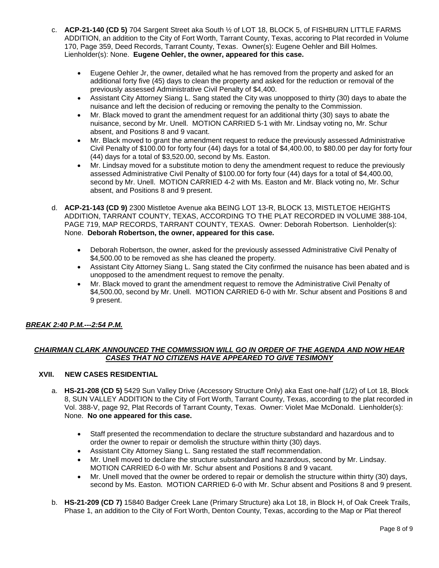- c. **ACP-21-140 (CD 5)** 704 Sargent Street aka South ½ of LOT 18, BLOCK 5, of FISHBURN LITTLE FARMS ADDITION, an addition to the City of Fort Worth, Tarrant County, Texas, accoring to Plat recorded in Volume 170, Page 359, Deed Records, Tarrant County, Texas. Owner(s): Eugene Oehler and Bill Holmes. Lienholder(s): None. **Eugene Oehler, the owner, appeared for this case.**
	- Eugene Oehler Jr, the owner, detailed what he has removed from the property and asked for an additional forty five (45) days to clean the property and asked for the reduction or removal of the previously assessed Administrative Civil Penalty of \$4,400.
	- Assistant City Attorney Siang L. Sang stated the City was unopposed to thirty (30) days to abate the nuisance and left the decision of reducing or removing the penalty to the Commission.
	- Mr. Black moved to grant the amendment request for an additional thirty (30) says to abate the nuisance, second by Mr. Unell. MOTION CARRIED 5-1 with Mr. Lindsay voting no, Mr. Schur absent, and Positions 8 and 9 vacant.
	- Mr. Black moved to grant the amendment request to reduce the previously assessed Administrative Civil Penalty of \$100.00 for forty four (44) days for a total of \$4,400.00, to \$80.00 per day for forty four (44) days for a total of \$3,520.00, second by Ms. Easton.
	- Mr. Lindsay moved for a substitute motion to deny the amendment request to reduce the previously assessed Administrative Civil Penalty of \$100.00 for forty four (44) days for a total of \$4,400.00, second by Mr. Unell. MOTION CARRIED 4-2 with Ms. Easton and Mr. Black voting no, Mr. Schur absent, and Positions 8 and 9 present.
- d. **ACP-21-143 (CD 9)** 2300 Mistletoe Avenue aka BEING LOT 13-R, BLOCK 13, MISTLETOE HEIGHTS ADDITION, TARRANT COUNTY, TEXAS, ACCORDING TO THE PLAT RECORDED IN VOLUME 388-104, PAGE 719, MAP RECORDS, TARRANT COUNTY, TEXAS. Owner: Deborah Robertson. Lienholder(s): None. **Deborah Robertson, the owner, appeared for this case.**
	- Deborah Robertson, the owner, asked for the previously assessed Administrative Civil Penalty of \$4,500.00 to be removed as she has cleaned the property.
	- Assistant City Attorney Siang L. Sang stated the City confirmed the nuisance has been abated and is unopposed to the amendment request to remove the penalty.
	- Mr. Black moved to grant the amendment request to remove the Administrative Civil Penalty of \$4,500.00, second by Mr. Unell. MOTION CARRIED 6-0 with Mr. Schur absent and Positions 8 and 9 present.

# *BREAK 2:40 P.M.---2:54 P.M.*

# *CHAIRMAN CLARK ANNOUNCED THE COMMISSION WILL GO IN ORDER OF THE AGENDA AND NOW HEAR CASES THAT NO CITIZENS HAVE APPEARED TO GIVE TESIMONY*

# **XVII. NEW CASES RESIDENTIAL**

- a. **HS-21-208 (CD 5)** 5429 Sun Valley Drive (Accessory Structure Only) aka East one-half (1/2) of Lot 18, Block 8, SUN VALLEY ADDITION to the City of Fort Worth, Tarrant County, Texas, according to the plat recorded in Vol. 388-V, page 92, Plat Records of Tarrant County, Texas. Owner: Violet Mae McDonald. Lienholder(s): None. **No one appeared for this case.**
	- Staff presented the recommendation to declare the structure substandard and hazardous and to order the owner to repair or demolish the structure within thirty (30) days.
	- Assistant City Attorney Siang L. Sang restated the staff recommendation.
	- Mr. Unell moved to declare the structure substandard and hazardous, second by Mr. Lindsay. MOTION CARRIED 6-0 with Mr. Schur absent and Positions 8 and 9 vacant.
	- Mr. Unell moved that the owner be ordered to repair or demolish the structure within thirty (30) days, second by Ms. Easton. MOTION CARRIED 6-0 with Mr. Schur absent and Positions 8 and 9 present.
- b. **HS-21-209 (CD 7)** 15840 Badger Creek Lane (Primary Structure) aka Lot 18, in Block H, of Oak Creek Trails, Phase 1, an addition to the City of Fort Worth, Denton County, Texas, according to the Map or Plat thereof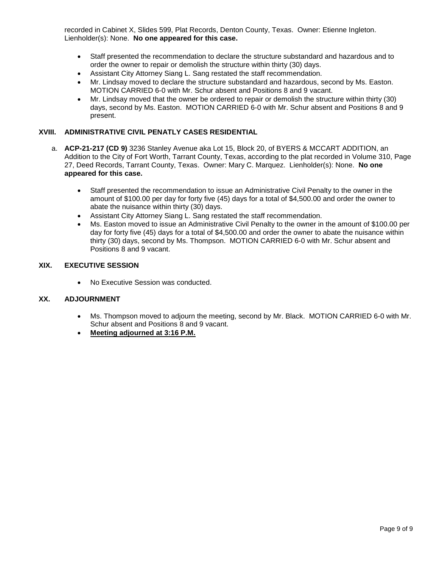recorded in Cabinet X, Slides 599, Plat Records, Denton County, Texas. Owner: Etienne Ingleton. Lienholder(s): None. **No one appeared for this case.**

- Staff presented the recommendation to declare the structure substandard and hazardous and to order the owner to repair or demolish the structure within thirty (30) days.
- Assistant City Attorney Siang L. Sang restated the staff recommendation.
- Mr. Lindsay moved to declare the structure substandard and hazardous, second by Ms. Easton. MOTION CARRIED 6-0 with Mr. Schur absent and Positions 8 and 9 vacant.
- Mr. Lindsay moved that the owner be ordered to repair or demolish the structure within thirty (30) days, second by Ms. Easton. MOTION CARRIED 6-0 with Mr. Schur absent and Positions 8 and 9 present.

# **XVIII. ADMINISTRATIVE CIVIL PENATLY CASES RESIDENTIAL**

- a. **ACP-21-217 (CD 9)** 3236 Stanley Avenue aka Lot 15, Block 20, of BYERS & MCCART ADDITION, an Addition to the City of Fort Worth, Tarrant County, Texas, according to the plat recorded in Volume 310, Page 27, Deed Records, Tarrant County, Texas. Owner: Mary C. Marquez. Lienholder(s): None. **No one appeared for this case.**
	- Staff presented the recommendation to issue an Administrative Civil Penalty to the owner in the amount of \$100.00 per day for forty five (45) days for a total of \$4,500.00 and order the owner to abate the nuisance within thirty (30) days.
	- Assistant City Attorney Siang L. Sang restated the staff recommendation.
	- Ms. Easton moved to issue an Administrative Civil Penalty to the owner in the amount of \$100.00 per day for forty five (45) days for a total of \$4,500.00 and order the owner to abate the nuisance within thirty (30) days, second by Ms. Thompson. MOTION CARRIED 6-0 with Mr. Schur absent and Positions 8 and 9 vacant.

# **XIX. EXECUTIVE SESSION**

• No Executive Session was conducted.

#### **XX. ADJOURNMENT**

- Ms. Thompson moved to adjourn the meeting, second by Mr. Black. MOTION CARRIED 6-0 with Mr. Schur absent and Positions 8 and 9 vacant.
- **Meeting adjourned at 3:16 P.M.**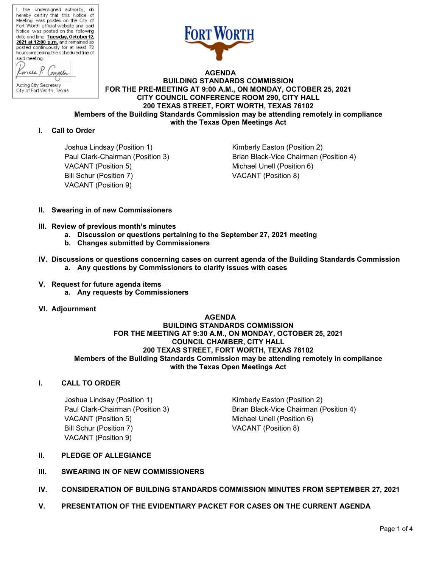

 **AGENDA BUILDING STANDARDS COMMISSION FOR THE PRE-MEETING AT 9:00 A.M., ON MONDAY, OCTOBER 25, 2021 CITY COUNCIL CONFERENCE ROOM 290, CITY HALL 200 TEXAS STREET, FORT WORTH, TEXAS 76102 Members of the Building Standards Commission may be attending remotely in compliance with the Texas Open Meetings Act**

#### **I. Call to Order**

Joshua Lindsay (Position 1) The Control of Kimberly Easton (Position 2) VACANT (Position 5) Michael Unell (Position 6) Bill Schur (Position 7) VACANT (Position 8) VACANT (Position 9)

Paul Clark-Chairman (Position 3) Brian Black-Vice Chairman (Position 4)

- **II. Swearing in of new Commissioners**
- **III. Review of previous month's minutes**
	- **a. Discussion or questions pertaining to the September 27, 2021 meeting**
	- **b. Changes submitted by Commissioners**
- **IV. Discussions or questions concerning cases on current agenda of the Building Standards Commission a. Any questions by Commissioners to clarify issues with cases**
- **V. Request for future agenda items a. Any requests by Commissioners**
- **VI. Adjournment**

 **AGENDA BUILDING STANDARDS COMMISSION FOR THE MEETING AT 9:30 A.M., ON MONDAY, OCTOBER 25, 2021 COUNCIL CHAMBER, CITY HALL 200 TEXAS STREET, FORT WORTH, TEXAS 76102 Members of the Building Standards Commission may be attending remotely in compliance with the Texas Open Meetings Act**

# **I. CALL TO ORDER**

Joshua Lindsay (Position 1) The Research Control Kimberly Easton (Position 2) VACANT (Position 5) Michael Unell (Position 6) Bill Schur (Position 7) VACANT (Position 8) VACANT (Position 9)

Paul Clark-Chairman (Position 3) Brian Black-Vice Chairman (Position 4)

# **II. PLEDGE OF ALLEGIANCE**

- **III. SWEARING IN OF NEW COMMISSIONERS**
- **IV. CONSIDERATION OF BUILDING STANDARDS COMMISSION MINUTES FROM SEPTEMBER 27, 2021**
- **V. PRESENTATION OF THE EVIDENTIARY PACKET FOR CASES ON THE CURRENT AGENDA**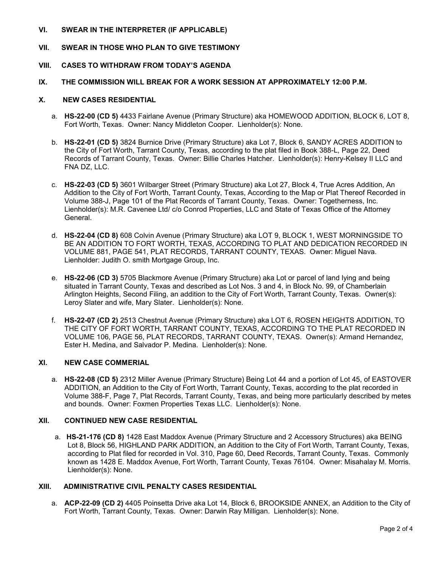#### **VI. SWEAR IN THE INTERPRETER (IF APPLICABLE)**

#### **VII. SWEAR IN THOSE WHO PLAN TO GIVE TESTIMONY**

#### **VIII. CASES TO WITHDRAW FROM TODAY'S AGENDA**

#### **IX. THE COMMISSION WILL BREAK FOR A WORK SESSION AT APPROXIMATELY 12:00 P.M.**

#### **X. NEW CASES RESIDENTIAL**

- a. **HS-22-00 (CD 5)** 4433 Fairlane Avenue (Primary Structure) aka HOMEWOOD ADDITION, BLOCK 6, LOT 8, Fort Worth, Texas. Owner: Nancy Middleton Cooper. Lienholder(s): None.
- b. **HS-22-01 (CD 5)** 3824 Burnice Drive (Primary Structure) aka Lot 7, Block 6, SANDY ACRES ADDITION to the City of Fort Worth, Tarrant County, Texas, according to the plat filed in Book 388-L, Page 22, Deed Records of Tarrant County, Texas. Owner: Billie Charles Hatcher. Lienholder(s): Henry-Kelsey II LLC and FNA DZ, LLC.
- c. **HS-22-03 (CD 5)** 3601 Wilbarger Street (Primary Structure) aka Lot 27, Block 4, True Acres Addition, An Addition to the City of Fort Worth, Tarrant County, Texas, According to the Map or Plat Thereof Recorded in Volume 388-J, Page 101 of the Plat Records of Tarrant County, Texas. Owner: Togetherness, Inc. Lienholder(s): M.R. Cavenee Ltd/ c/o Conrod Properties, LLC and State of Texas Office of the Attorney General.
- d. **HS-22-04 (CD 8)** 608 Colvin Avenue (Primary Structure) aka LOT 9, BLOCK 1, WEST MORNINGSIDE TO BE AN ADDITION TO FORT WORTH, TEXAS, ACCORDING TO PLAT AND DEDICATION RECORDED IN VOLUME 881, PAGE 541, PLAT RECORDS, TARRANT COUNTY, TEXAS. Owner: Miguel Nava. Lienholder: Judith O. smith Mortgage Group, Inc.
- e. **HS-22-06 (CD 3)** 5705 Blackmore Avenue (Primary Structure) aka Lot or parcel of land lying and being situated in Tarrant County, Texas and described as Lot Nos. 3 and 4, in Block No. 99, of Chamberlain Arlington Heights, Second Filing, an addition to the City of Fort Worth, Tarrant County, Texas. Owner(s): Leroy Slater and wife, Mary Slater. Lienholder(s): None.
- f. **HS-22-07 (CD 2)** 2513 Chestnut Avenue (Primary Structure) aka LOT 6, ROSEN HEIGHTS ADDITION, TO THE CITY OF FORT WORTH, TARRANT COUNTY, TEXAS, ACCORDING TO THE PLAT RECORDED IN VOLUME 106, PAGE 56, PLAT RECORDS, TARRANT COUNTY, TEXAS. Owner(s): Armand Hernandez, Ester H. Medina, and Salvador P. Medina. Lienholder(s): None.

# **XI. NEW CASE COMMERIAL**

a. **HS-22-08 (CD 5)** 2312 Miller Avenue (Primary Structure) Being Lot 44 and a portion of Lot 45, of EASTOVER ADDITION, an Addition to the City of Fort Worth, Tarrant County, Texas, according to the plat recorded in Volume 388-F, Page 7, Plat Records, Tarrant County, Texas, and being more particularly described by metes and bounds. Owner: Foxmen Properties Texas LLC. Lienholder(s): None.

#### **XII. CONTINUED NEW CASE RESIDENTIAL**

a. **HS-21-176 (CD 8)** 1428 East Maddox Avenue (Primary Structure and 2 Accessory Structures) aka BEING Lot 8, Block 56, HIGHLAND PARK ADDITION, an Addition to the City of Fort Worth, Tarrant County, Texas, according to Plat filed for recorded in Vol. 310, Page 60, Deed Records, Tarrant County, Texas. Commonly known as 1428 E. Maddox Avenue, Fort Worth, Tarrant County, Texas 76104. Owner: Misahalay M. Morris. Lienholder(s): None.

#### **XIII. ADMINISTRATIVE CIVIL PENALTY CASES RESIDENTIAL**

a. **ACP-22-09 (CD 2)** 4405 Poinsetta Drive aka Lot 14, Block 6, BROOKSIDE ANNEX, an Addition to the City of Fort Worth, Tarrant County, Texas. Owner: Darwin Ray Milligan. Lienholder(s): None.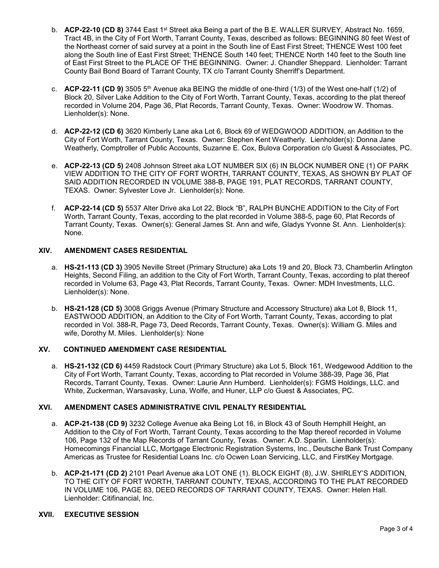- b. **ACP-22-10 (CD 8)** 3744 East 1st Street aka Being a part of the B.E. WALLER SURVEY, Abstract No. 1659, Tract 4B, in the City of Fort Worth, Tarrant County, Texas, described as follows: BEGINNING 80 feet West of the Northeast corner of said survey at a point in the South line of East First Street; THENCE West 100 feet along the South line of East First Street; THENCE South 140 feet; THENCE North 140 feet to the South line of East First Street to the PLACE OF THE BEGINNING. Owner: J. Chandler Sheppard. Lienholder: Tarrant County Bail Bond Board of Tarrant County, TX c/o Tarrant County Sherriff's Department.
- c. **ACP-22-11 (CD 9)** 3505 5th Avenue aka BEING the middle of one-third (1/3) of the West one-half (1/2) of Block 20, Silver Lake Addition to the City of Fort Worth, Tarrant County, Texas, according to the plat thereof recorded in Volume 204, Page 36, Plat Records, Tarrant County, Texas. Owner: Woodrow W. Thomas. Lienholder(s): None.
- d. **ACP-22-12 (CD 6)** 3620 Kimberly Lane aka Lot 6, Block 69 of WEDGWOOD ADDITION, an Addition to the City of Fort Worth, Tarrant County, Texas. Owner: Stephen Kent Weatherly. Lienholder(s): Donna Jane Weatherly, Comptroller of Public Accounts, Suzanne E. Cox, Bulova Corporation c/o Guest & Associates, PC.
- e. **ACP-22-13 (CD 5)** 2408 Johnson Street aka LOT NUMBER SIX (6) IN BLOCK NUMBER ONE (1) OF PARK VIEW ADDITION TO THE CITY OF FORT WORTH, TARRANT COUNTY, TEXAS, AS SHOWN BY PLAT OF SAID ADDITION RECORDED IN VOLUME 388-B, PAGE 191, PLAT RECORDS, TARRANT COUNTY, TEXAS. Owner: Sylvester Love Jr. Lienholder(s): None.
- f. **ACP-22-14 (CD 5)** 5537 Alter Drive aka Lot 22, Block "B", RALPH BUNCHE ADDITION to the City of Fort Worth, Tarrant County, Texas, according to the plat recorded in Volume 388-5, page 60, Plat Records of Tarrant County, Texas. Owner(s): General James St. Ann and wife, Gladys Yvonne St. Ann. Lienholder(s): None.

# **XIV. AMENDMENT CASES RESIDENTIAL**

- a. **HS-21-113 (CD 3)** 3905 Neville Street (Primary Structure) aka Lots 19 and 20, Block 73, Chamberlin Arlington Heights, Second Filing, an addition to the City of Fort Worth, Tarrant County, Texas, according to plat thereof recorded in Volume 63, Page 43, Plat Records, Tarrant County, Texas. Owner: MDH Investments, LLC. Lienholder(s): None.
- b. **HS-21-128 (CD 5)** 3008 Griggs Avenue (Primary Structure and Accessory Structure) aka Lot 8, Block 11, EASTWOOD ADDITION, an Addition to the City of Fort Worth, Tarrant County, Texas, according to plat recorded in Vol. 388-R, Page 73, Deed Records, Tarrant County, Texas. Owner(s): William G. Miles and wife, Dorothy M. Miles. Lienholder(s): None

# **XV. CONTINUED AMENDMENT CASE RESIDENTIAL**

a. **HS-21-132 (CD 6)** 4459 Radstock Court (Primary Structure) aka Lot 5, Block 161, Wedgewood Addition to the City of Fort Worth, Tarrant County, Texas, according to Plat recorded in Volume 388-39, Page 36, Plat Records, Tarrant County, Texas. Owner: Laurie Ann Humberd. Lienholder(s): FGMS Holdings, LLC. and White, Zuckerman, Warsavasky, Luna, Wolfe, and Huner, LLP c/o Guest & Associates, PC.

# **XVI. AMENDMENT CASES ADMINISTRATIVE CIVIL PENALTY RESIDENTIAL**

- a. **ACP-21-138 (CD 9)** 3232 College Avenue aka Being Lot 16, in Block 43 of South Hemphill Height, an Addition to the City of Fort Worth, Tarrant County, Texas according to the Map thereof recorded in Volume 106, Page 132 of the Map Records of Tarrant County, Texas. Owner: A.D. Sparlin. Lienholder(s): Homecomings Financial LLC, Mortgage Electronic Registration Systems, Inc., Deutsche Bank Trust Company Americas as Trustee for Residential Loans Inc. c/o Ocwen Loan Servicing, LLC, and FirstKey Mortgage.
- b. **ACP-21-171 (CD 2)** 2101 Pearl Avenue aka LOT ONE (1). BLOCK EIGHT (8), J.W. SHIRLEY'S ADDITION, TO THE CITY OF FORT WORTH, TARRANT COUNTY, TEXAS, ACCORDING TO THE PLAT RECORDED IN VOLUME 106, PAGE 83, DEED RECORDS OF TARRANT COUNTY, TEXAS. Owner: Helen Hall. Lienholder: Citifinancial, Inc.

# **XVII. EXECUTIVE SESSION**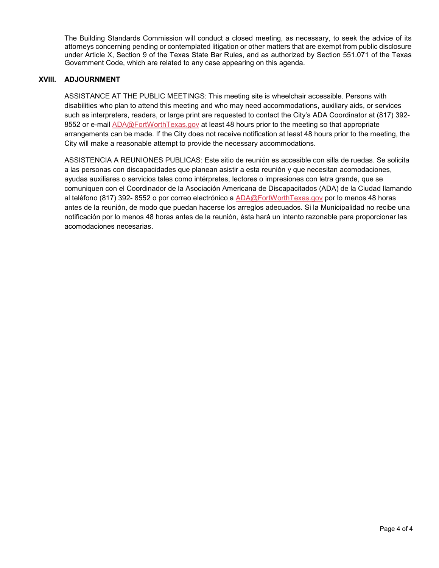The Building Standards Commission will conduct a closed meeting, as necessary, to seek the advice of its attorneys concerning pending or contemplated litigation or other matters that are exempt from public disclosure under Article X, Section 9 of the Texas State Bar Rules, and as authorized by Section 551.071 of the Texas Government Code, which are related to any case appearing on this agenda.

# **XVIII. ADJOURNMENT**

ASSISTANCE AT THE PUBLIC MEETINGS: This meeting site is wheelchair accessible. Persons with disabilities who plan to attend this meeting and who may need accommodations, auxiliary aids, or services such as interpreters, readers, or large print are requested to contact the City's ADA Coordinator at (817) 392- 8552 or e-mail [ADA@FortWorthTexas.gov](mailto:ADA@FortWorthTexas.gov) at least 48 hours prior to the meeting so that appropriate arrangements can be made. If the City does not receive notification at least 48 hours prior to the meeting, the City will make a reasonable attempt to provide the necessary accommodations.

ASSISTENCIA A REUNIONES PUBLICAS: Este sitio de reunión es accesible con silla de ruedas. Se solicita a las personas con discapacidades que planean asistir a esta reunión y que necesitan acomodaciones, ayudas auxiliares o servicios tales como intérpretes, lectores o impresiones con letra grande, que se comuniquen con el Coordinador de la Asociación Americana de Discapacitados (ADA) de la Ciudad llamando al teléfono (817) 392- 8552 o por correo electrónico a [ADA@FortWorthTexas.gov](mailto:ADA@FortWorthTexas.gov) por lo menos 48 horas antes de la reunión, de modo que puedan hacerse los arreglos adecuados. Si la Municipalidad no recibe una notificación por lo menos 48 horas antes de la reunión, ésta hará un intento razonable para proporcionar las acomodaciones necesarias.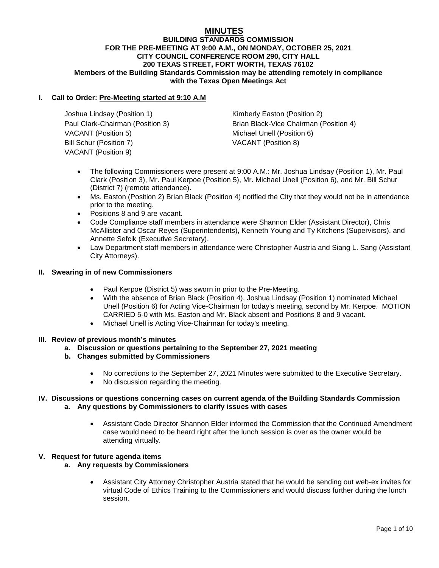# **MINUTES**

#### **BUILDING STANDARDS COMMISSION FOR THE PRE-MEETING AT 9:00 A.M., ON MONDAY, OCTOBER 25, 2021 CITY COUNCIL CONFERENCE ROOM 290, CITY HALL 200 TEXAS STREET, FORT WORTH, TEXAS 76102 Members of the Building Standards Commission may be attending remotely in compliance with the Texas Open Meetings Act**

# **I. Call to Order: Pre-Meeting started at 9:10 A.M**

Joshua Lindsay (Position 1) Kimberly Easton (Position 2) VACANT (Position 5) Michael Unell (Position 6) Bill Schur (Position 7) VACANT (Position 8) VACANT (Position 9)

Paul Clark-Chairman (Position 3) Brian Black-Vice Chairman (Position 4)

- The following Commissioners were present at 9:00 A.M.: Mr. Joshua Lindsay (Position 1), Mr. Paul Clark (Position 3), Mr. Paul Kerpoe (Position 5), Mr. Michael Unell (Position 6), and Mr. Bill Schur (District 7) (remote attendance).
- Ms. Easton (Position 2) Brian Black (Position 4) notified the City that they would not be in attendance prior to the meeting.
- Positions 8 and 9 are vacant.
- Code Compliance staff members in attendance were Shannon Elder (Assistant Director), Chris McAllister and Oscar Reyes (Superintendents), Kenneth Young and Ty Kitchens (Supervisors), and Annette Sefcik (Executive Secretary).
- Law Department staff members in attendance were Christopher Austria and Siang L. Sang (Assistant City Attorneys).

# **II. Swearing in of new Commissioners**

- Paul Kerpoe (District 5) was sworn in prior to the Pre-Meeting.
- With the absence of Brian Black (Position 4), Joshua Lindsay (Position 1) nominated Michael Unell (Position 6) for Acting Vice-Chairman for today's meeting, second by Mr. Kerpoe. MOTION CARRIED 5-0 with Ms. Easton and Mr. Black absent and Positions 8 and 9 vacant.
- Michael Unell is Acting Vice-Chairman for today's meeting.

#### **III. Review of previous month's minutes**

- **a. Discussion or questions pertaining to the September 27, 2021 meeting**
- **b. Changes submitted by Commissioners**
	- No corrections to the September 27, 2021 Minutes were submitted to the Executive Secretary.
	- No discussion regarding the meeting.

# **IV. Discussions or questions concerning cases on current agenda of the Building Standards Commission a. Any questions by Commissioners to clarify issues with cases**

• Assistant Code Director Shannon Elder informed the Commission that the Continued Amendment case would need to be heard right after the lunch session is over as the owner would be attending virtually.

#### **V. Request for future agenda items**

- **a. Any requests by Commissioners**
	- Assistant City Attorney Christopher Austria stated that he would be sending out web-ex invites for virtual Code of Ethics Training to the Commissioners and would discuss further during the lunch session.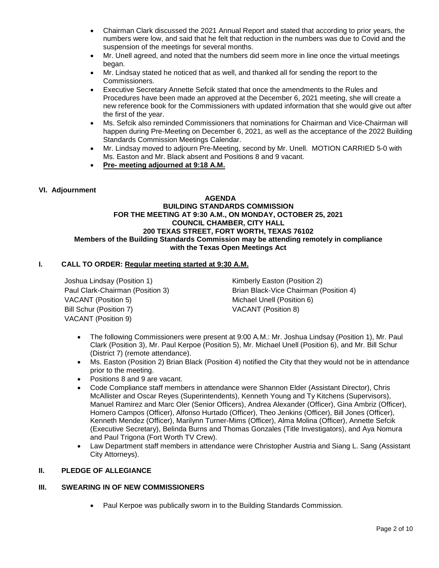- Chairman Clark discussed the 2021 Annual Report and stated that according to prior years, the numbers were low, and said that he felt that reduction in the numbers was due to Covid and the suspension of the meetings for several months.
- Mr. Unell agreed, and noted that the numbers did seem more in line once the virtual meetings began.
- Mr. Lindsay stated he noticed that as well, and thanked all for sending the report to the Commissioners.
- Executive Secretary Annette Sefcik stated that once the amendments to the Rules and Procedures have been made an approved at the December 6, 2021 meeting, she will create a new reference book for the Commissioners with updated information that she would give out after the first of the year.
- Ms. Sefcik also reminded Commissioners that nominations for Chairman and Vice-Chairman will happen during Pre-Meeting on December 6, 2021, as well as the acceptance of the 2022 Building Standards Commission Meetings Calendar.
- Mr. Lindsay moved to adjourn Pre-Meeting, second by Mr. Unell. MOTION CARRIED 5-0 with Ms. Easton and Mr. Black absent and Positions 8 and 9 vacant.
- **Pre- meeting adjourned at 9:18 A.M.**

# **VI. Adjournment**

#### **AGENDA BUILDING STANDARDS COMMISSION FOR THE MEETING AT 9:30 A.M., ON MONDAY, OCTOBER 25, 2021 COUNCIL CHAMBER, CITY HALL 200 TEXAS STREET, FORT WORTH, TEXAS 76102 Members of the Building Standards Commission may be attending remotely in compliance with the Texas Open Meetings Act**

# **I. CALL TO ORDER: Regular meeting started at 9:30 A.M.**

Joshua Lindsay (Position 1) The Rimberly Easton (Position 2) VACANT (Position 5) Michael Unell (Position 6) Bill Schur (Position 7) VACANT (Position 8) VACANT (Position 9)

Paul Clark-Chairman (Position 3) Brian Black-Vice Chairman (Position 4)

- The following Commissioners were present at 9:00 A.M.: Mr. Joshua Lindsay (Position 1), Mr. Paul Clark (Position 3), Mr. Paul Kerpoe (Position 5), Mr. Michael Unell (Position 6), and Mr. Bill Schur (District 7) (remote attendance).
- Ms. Easton (Position 2) Brian Black (Position 4) notified the City that they would not be in attendance prior to the meeting.
- Positions 8 and 9 are vacant.
- Code Compliance staff members in attendance were Shannon Elder (Assistant Director), Chris McAllister and Oscar Reyes (Superintendents), Kenneth Young and Ty Kitchens (Supervisors), Manuel Ramirez and Marc Oler (Senior Officers), Andrea Alexander (Officer), Gina Ambriz (Officer), Homero Campos (Officer), Alfonso Hurtado (Officer), Theo Jenkins (Officer), Bill Jones (Officer), Kenneth Mendez (Officer), Marilynn Turner-Mims (Officer), Alma Molina (Officer), Annette Sefcik (Executive Secretary), Belinda Burns and Thomas Gonzales (Title Investigators), and Aya Nomura and Paul Trigona (Fort Worth TV Crew).
- Law Department staff members in attendance were Christopher Austria and Siang L. Sang (Assistant City Attorneys).

# **II. PLEDGE OF ALLEGIANCE**

# **III. SWEARING IN OF NEW COMMISSIONERS**

• Paul Kerpoe was publically sworn in to the Building Standards Commission.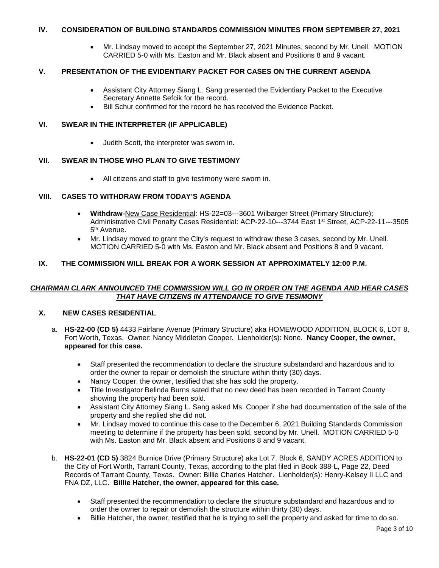# **IV. CONSIDERATION OF BUILDING STANDARDS COMMISSION MINUTES FROM SEPTEMBER 27, 2021**

• Mr. Lindsay moved to accept the September 27, 2021 Minutes, second by Mr. Unell. MOTION CARRIED 5-0 with Ms. Easton and Mr. Black absent and Positions 8 and 9 vacant.

# **V. PRESENTATION OF THE EVIDENTIARY PACKET FOR CASES ON THE CURRENT AGENDA**

- Assistant City Attorney Siang L. Sang presented the Evidentiary Packet to the Executive Secretary Annette Sefcik for the record.
- Bill Schur confirmed for the record he has received the Evidence Packet.

# **VI. SWEAR IN THE INTERPRETER (IF APPLICABLE)**

• Judith Scott, the interpreter was sworn in.

# **VII. SWEAR IN THOSE WHO PLAN TO GIVE TESTIMONY**

• All citizens and staff to give testimony were sworn in.

# **VIII. CASES TO WITHDRAW FROM TODAY'S AGENDA**

- **Withdraw-**New Case Residential: HS-22=03---3601 Wilbarger Street (Primary Structure); Administrative Civil Penalty Cases Residential: ACP-22-10---3744 East 1st Street, ACP-22-11---3505 5<sup>th</sup> Avenue.
- Mr. Lindsay moved to grant the City's request to withdraw these 3 cases, second by Mr. Unell. MOTION CARRIED 5-0 with Ms. Easton and Mr. Black absent and Positions 8 and 9 vacant.

# **IX. THE COMMISSION WILL BREAK FOR A WORK SESSION AT APPROXIMATELY 12:00 P.M.**

# *CHAIRMAN CLARK ANNOUNCED THE COMMISSION WILL GO IN ORDER ON THE AGENDA AND HEAR CASES THAT HAVE CITIZENS IN ATTENDANCE TO GIVE TESIMONY*

# **X. NEW CASES RESIDENTIAL**

- a. **HS-22-00 (CD 5)** 4433 Fairlane Avenue (Primary Structure) aka HOMEWOOD ADDITION, BLOCK 6, LOT 8, Fort Worth, Texas. Owner: Nancy Middleton Cooper. Lienholder(s): None. **Nancy Cooper, the owner, appeared for this case.**
	- Staff presented the recommendation to declare the structure substandard and hazardous and to order the owner to repair or demolish the structure within thirty (30) days.
	- Nancy Cooper, the owner, testified that she has sold the property.
	- Title Investigator Belinda Burns sated that no new deed has been recorded in Tarrant County showing the property had been sold.
	- Assistant City Attorney Siang L. Sang asked Ms. Cooper if she had documentation of the sale of the property and she replied she did not.
	- Mr. Lindsay moved to continue this case to the December 6, 2021 Building Standards Commission meeting to determine if the property has been sold, second by Mr. Unell. MOTION CARRIED 5-0 with Ms. Easton and Mr. Black absent and Positions 8 and 9 vacant.
- b. **HS-22-01 (CD 5)** 3824 Burnice Drive (Primary Structure) aka Lot 7, Block 6, SANDY ACRES ADDITION to the City of Fort Worth, Tarrant County, Texas, according to the plat filed in Book 388-L, Page 22, Deed Records of Tarrant County, Texas. Owner: Billie Charles Hatcher. Lienholder(s): Henry-Kelsey II LLC and FNA DZ, LLC. **Billie Hatcher, the owner, appeared for this case.**
	- Staff presented the recommendation to declare the structure substandard and hazardous and to order the owner to repair or demolish the structure within thirty (30) days.
	- Billie Hatcher, the owner, testified that he is trying to sell the property and asked for time to do so.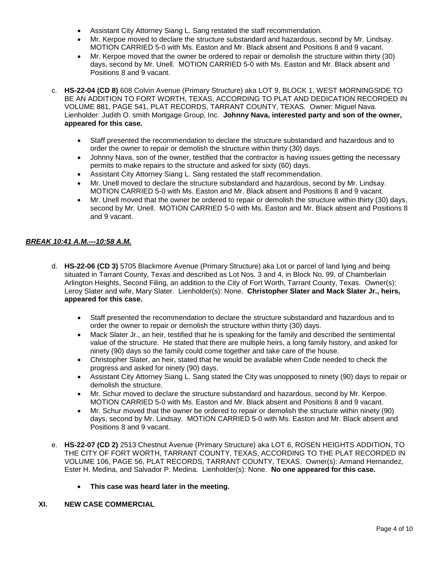- Assistant City Attorney Siang L. Sang restated the staff recommendation.
- Mr. Kerpoe moved to declare the structure substandard and hazardous, second by Mr. Lindsay. MOTION CARRIED 5-0 with Ms. Easton and Mr. Black absent and Positions 8 and 9 vacant.
- Mr. Kerpoe moved that the owner be ordered to repair or demolish the structure within thirty (30) days, second by Mr. Unell. MOTION CARRIED 5-0 with Ms. Easton and Mr. Black absent and Positions 8 and 9 vacant.
- c. **HS-22-04 (CD 8)** 608 Colvin Avenue (Primary Structure) aka LOT 9, BLOCK 1, WEST MORNINGSIDE TO BE AN ADDITION TO FORT WORTH, TEXAS, ACCORDING TO PLAT AND DEDICATION RECORDED IN VOLUME 881, PAGE 541, PLAT RECORDS, TARRANT COUNTY, TEXAS. Owner: Miguel Nava. Lienholder: Judith O. smith Mortgage Group, Inc. **Johnny Nava, interested party and son of the owner, appeared for this case.**
	- Staff presented the recommendation to declare the structure substandard and hazardous and to order the owner to repair or demolish the structure within thirty (30) days.
	- Johnny Nava, son of the owner, testified that the contractor is having issues getting the necessary permits to make repairs to the structure and asked for sixty (60) days.
	- Assistant City Attorney Siang L. Sang restated the staff recommendation.
	- Mr. Unell moved to declare the structure substandard and hazardous, second by Mr. Lindsay. MOTION CARRIED 5-0 with Ms. Easton and Mr. Black absent and Positions 8 and 9 vacant.
	- Mr. Unell moved that the owner be ordered to repair or demolish the structure within thirty (30) days, second by Mr. Unell. MOTION CARRIED 5-0 with Ms. Easton and Mr. Black absent and Positions 8 and 9 vacant.

# *BREAK 10:41 A.M.---10:58 A.M.*

- d. **HS-22-06 (CD 3)** 5705 Blackmore Avenue (Primary Structure) aka Lot or parcel of land lying and being situated in Tarrant County, Texas and described as Lot Nos. 3 and 4, in Block No. 99, of Chamberlain Arlington Heights, Second Filing, an addition to the City of Fort Worth, Tarrant County, Texas. Owner(s): Leroy Slater and wife, Mary Slater. Lienholder(s): None. **Christopher Slater and Mack Slater Jr., heirs, appeared for this case.**
	- Staff presented the recommendation to declare the structure substandard and hazardous and to order the owner to repair or demolish the structure within thirty (30) days.
	- Mack Slater Jr., an heir, testified that he is speaking for the family and described the sentimental value of the structure. He stated that there are multiple heirs, a long family history, and asked for ninety (90) days so the family could come together and take care of the house.
	- Christopher Slater, an heir, stated that he would be available when Code needed to check the progress and asked for ninety (90) days.
	- Assistant City Attorney Siang L. Sang stated the City was unopposed to ninety (90) days to repair or demolish the structure.
	- Mr. Schur moved to declare the structure substandard and hazardous, second by Mr. Kerpoe. MOTION CARRIED 5-0 with Ms. Easton and Mr. Black absent and Positions 8 and 9 vacant.
	- Mr. Schur moved that the owner be ordered to repair or demolish the structure within ninety (90) days, second by Mr. Lindsay. MOTION CARRIED 5-0 with Ms. Easton and Mr. Black absent and Positions 8 and 9 vacant.
- e. **HS-22-07 (CD 2)** 2513 Chestnut Avenue (Primary Structure) aka LOT 6, ROSEN HEIGHTS ADDITION, TO THE CITY OF FORT WORTH, TARRANT COUNTY, TEXAS, ACCORDING TO THE PLAT RECORDED IN VOLUME 106, PAGE 56, PLAT RECORDS, TARRANT COUNTY, TEXAS. Owner(s): Armand Hernandez, Ester H. Medina, and Salvador P. Medina. Lienholder(s): None. **No one appeared for this case.**
	- **This case was heard later in the meeting.**

#### **XI. NEW CASE COMMERCIAL**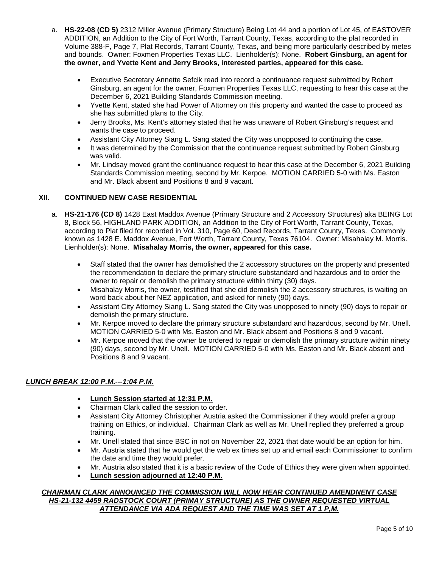- a. **HS-22-08 (CD 5)** 2312 Miller Avenue (Primary Structure) Being Lot 44 and a portion of Lot 45, of EASTOVER ADDITION, an Addition to the City of Fort Worth, Tarrant County, Texas, according to the plat recorded in Volume 388-F, Page 7, Plat Records, Tarrant County, Texas, and being more particularly described by metes and bounds. Owner: Foxmen Properties Texas LLC. Lienholder(s): None. **Robert Ginsburg, an agent for the owner, and Yvette Kent and Jerry Brooks, interested parties, appeared for this case.**
	- Executive Secretary Annette Sefcik read into record a continuance request submitted by Robert Ginsburg, an agent for the owner, Foxmen Properties Texas LLC, requesting to hear this case at the December 6, 2021 Building Standards Commission meeting.
	- Yvette Kent, stated she had Power of Attorney on this property and wanted the case to proceed as she has submitted plans to the City.
	- Jerry Brooks, Ms. Kent's attorney stated that he was unaware of Robert Ginsburg's request and wants the case to proceed.
	- Assistant City Attorney Siang L. Sang stated the City was unopposed to continuing the case.
	- It was determined by the Commission that the continuance request submitted by Robert Ginsburg was valid.
	- Mr. Lindsay moved grant the continuance request to hear this case at the December 6, 2021 Building Standards Commission meeting, second by Mr. Kerpoe. MOTION CARRIED 5-0 with Ms. Easton and Mr. Black absent and Positions 8 and 9 vacant.

# **XII. CONTINUED NEW CASE RESIDENTIAL**

- a. **HS-21-176 (CD 8)** 1428 East Maddox Avenue (Primary Structure and 2 Accessory Structures) aka BEING Lot 8, Block 56, HIGHLAND PARK ADDITION, an Addition to the City of Fort Worth, Tarrant County, Texas, according to Plat filed for recorded in Vol. 310, Page 60, Deed Records, Tarrant County, Texas. Commonly known as 1428 E. Maddox Avenue, Fort Worth, Tarrant County, Texas 76104. Owner: Misahalay M. Morris. Lienholder(s): None. **Misahalay Morris, the owner, appeared for this case.**
	- Staff stated that the owner has demolished the 2 accessory structures on the property and presented the recommendation to declare the primary structure substandard and hazardous and to order the owner to repair or demolish the primary structure within thirty (30) days.
	- Misahalay Morris, the owner, testified that she did demolish the 2 accessory structures, is waiting on word back about her NEZ application, and asked for ninety (90) days.
	- Assistant City Attorney Siang L. Sang stated the City was unopposed to ninety (90) days to repair or demolish the primary structure.
	- Mr. Kerpoe moved to declare the primary structure substandard and hazardous, second by Mr. Unell. MOTION CARRIED 5-0 with Ms. Easton and Mr. Black absent and Positions 8 and 9 vacant.
	- Mr. Kerpoe moved that the owner be ordered to repair or demolish the primary structure within ninety (90) days, second by Mr. Unell. MOTION CARRIED 5-0 with Ms. Easton and Mr. Black absent and Positions 8 and 9 vacant.

# *LUNCH BREAK 12:00 P.M.---1:04 P.M.*

- **Lunch Session started at 12:31 P.M.**
- Chairman Clark called the session to order.
- Assistant City Attorney Christopher Austria asked the Commissioner if they would prefer a group training on Ethics, or individual. Chairman Clark as well as Mr. Unell replied they preferred a group training.
- Mr. Unell stated that since BSC in not on November 22, 2021 that date would be an option for him.
- Mr. Austria stated that he would get the web ex times set up and email each Commissioner to confirm the date and time they would prefer.
- Mr. Austria also stated that it is a basic review of the Code of Ethics they were given when appointed.
- **Lunch session adjourned at 12:40 P.M.**

#### *CHAIRMAN CLARK ANNOUNCED THE COMMISSION WILL NOW HEAR CONTINUED AMENDNENT CASE HS-21-132 4459 RADSTOCK COURT (PRIMAY STRUCTURE) AS THE OWNER REQUESTED VIRTUAL ATTENDANCE VIA ADA REQUEST AND THE TIME WAS SET AT 1 P,M.*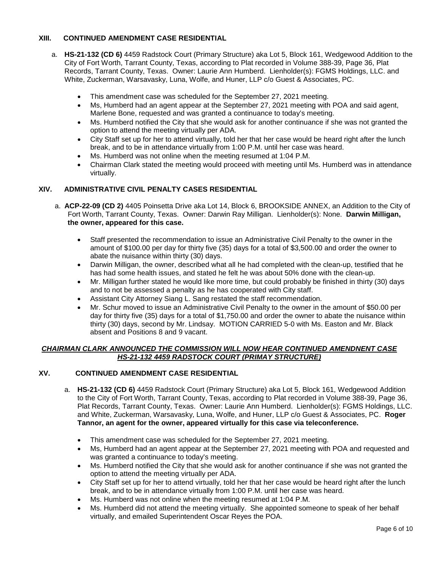# **XIII. CONTINUED AMENDMENT CASE RESIDENTIAL**

- a. **HS-21-132 (CD 6)** 4459 Radstock Court (Primary Structure) aka Lot 5, Block 161, Wedgewood Addition to the City of Fort Worth, Tarrant County, Texas, according to Plat recorded in Volume 388-39, Page 36, Plat Records, Tarrant County, Texas. Owner: Laurie Ann Humberd. Lienholder(s): FGMS Holdings, LLC. and White, Zuckerman, Warsavasky, Luna, Wolfe, and Huner, LLP c/o Guest & Associates, PC.
	- This amendment case was scheduled for the September 27, 2021 meeting.
	- Ms, Humberd had an agent appear at the September 27, 2021 meeting with POA and said agent, Marlene Bone, requested and was granted a continuance to today's meeting.
	- Ms. Humberd notified the City that she would ask for another continuance if she was not granted the option to attend the meeting virtually per ADA.
	- City Staff set up for her to attend virtually, told her that her case would be heard right after the lunch break, and to be in attendance virtually from 1:00 P.M. until her case was heard.
	- Ms. Humberd was not online when the meeting resumed at 1:04 P.M.
	- Chairman Clark stated the meeting would proceed with meeting until Ms. Humberd was in attendance virtually.

# **XIV. ADMINISTRATIVE CIVIL PENALTY CASES RESIDENTIAL**

- a. **ACP-22-09 (CD 2)** 4405 Poinsetta Drive aka Lot 14, Block 6, BROOKSIDE ANNEX, an Addition to the City of Fort Worth, Tarrant County, Texas. Owner: Darwin Ray Milligan. Lienholder(s): None. **Darwin Milligan, the owner, appeared for this case.**
	- Staff presented the recommendation to issue an Administrative Civil Penalty to the owner in the amount of \$100.00 per day for thirty five (35) days for a total of \$3,500.00 and order the owner to abate the nuisance within thirty (30) days.
	- Darwin Milligan, the owner, described what all he had completed with the clean-up, testified that he has had some health issues, and stated he felt he was about 50% done with the clean-up.
	- Mr. Milligan further stated he would like more time, but could probably be finished in thirty (30) days and to not be assessed a penalty as he has cooperated with City staff.
	- Assistant City Attorney Siang L. Sang restated the staff recommendation.
	- Mr. Schur moved to issue an Administrative Civil Penalty to the owner in the amount of \$50.00 per day for thirty five (35) days for a total of \$1,750.00 and order the owner to abate the nuisance within thirty (30) days, second by Mr. Lindsay. MOTION CARRIED 5-0 with Ms. Easton and Mr. Black absent and Positions 8 and 9 vacant.

#### *CHAIRMAN CLARK ANNOUNCED THE COMMISSION WILL NOW HEAR CONTINUED AMENDNENT CASE HS-21-132 4459 RADSTOCK COURT (PRIMAY STRUCTURE)*

#### **XV. CONTINUED AMENDMENT CASE RESIDENTIAL**

- a. **HS-21-132 (CD 6)** 4459 Radstock Court (Primary Structure) aka Lot 5, Block 161, Wedgewood Addition to the City of Fort Worth, Tarrant County, Texas, according to Plat recorded in Volume 388-39, Page 36, Plat Records, Tarrant County, Texas. Owner: Laurie Ann Humberd. Lienholder(s): FGMS Holdings, LLC. and White, Zuckerman, Warsavasky, Luna, Wolfe, and Huner, LLP c/o Guest & Associates, PC. **Roger Tannor, an agent for the owner, appeared virtually for this case via teleconference.**
	- This amendment case was scheduled for the September 27, 2021 meeting.
	- Ms, Humberd had an agent appear at the September 27, 2021 meeting with POA and requested and was granted a continuance to today's meeting.
	- Ms. Humberd notified the City that she would ask for another continuance if she was not granted the option to attend the meeting virtually per ADA.
	- City Staff set up for her to attend virtually, told her that her case would be heard right after the lunch break, and to be in attendance virtually from 1:00 P.M. until her case was heard.
	- Ms. Humberd was not online when the meeting resumed at 1:04 P.M.
	- Ms. Humberd did not attend the meeting virtually. She appointed someone to speak of her behalf virtually, and emailed Superintendent Oscar Reyes the POA.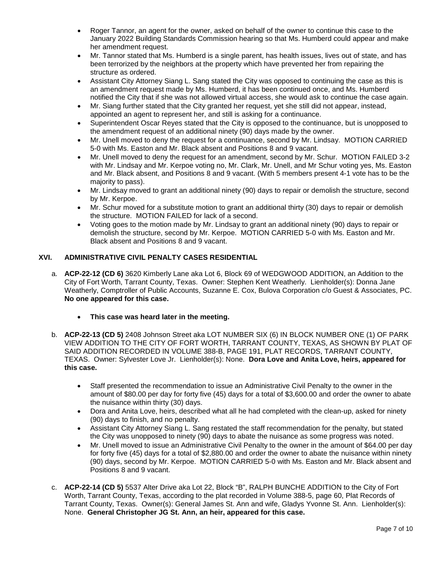- Roger Tannor, an agent for the owner, asked on behalf of the owner to continue this case to the January 2022 Building Standards Commission hearing so that Ms. Humberd could appear and make her amendment request.
- Mr. Tannor stated that Ms. Humberd is a single parent, has health issues, lives out of state, and has been terrorized by the neighbors at the property which have prevented her from repairing the structure as ordered.
- Assistant City Attorney Siang L. Sang stated the City was opposed to continuing the case as this is an amendment request made by Ms. Humberd, it has been continued once, and Ms. Humberd notified the City that if she was not allowed virtual access, she would ask to continue the case again.
- Mr. Siang further stated that the City granted her request, yet she still did not appear, instead, appointed an agent to represent her, and still is asking for a continuance.
- Superintendent Oscar Reyes stated that the City is opposed to the continuance, but is unopposed to the amendment request of an additional ninety (90) days made by the owner.
- Mr. Unell moved to deny the request for a continuance, second by Mr. Lindsay. MOTION CARRIED 5-0 with Ms. Easton and Mr. Black absent and Positions 8 and 9 vacant.
- Mr. Unell moved to deny the request for an amendment, second by Mr. Schur. MOTION FAILED 3-2 with Mr. Lindsay and Mr. Kerpoe voting no, Mr. Clark, Mr. Unell, and Mr Schur voting yes, Ms. Easton and Mr. Black absent, and Positions 8 and 9 vacant. (With 5 members present 4-1 vote has to be the majority to pass).
- Mr. Lindsay moved to grant an additional ninety (90) days to repair or demolish the structure, second by Mr. Kerpoe.
- Mr. Schur moved for a substitute motion to grant an additional thirty (30) days to repair or demolish the structure. MOTION FAILED for lack of a second.
- Voting goes to the motion made by Mr. Lindsay to grant an additional ninety (90) days to repair or demolish the structure, second by Mr. Kerpoe. MOTION CARRIED 5-0 with Ms. Easton and Mr. Black absent and Positions 8 and 9 vacant.

# **XVI. ADMINISTRATIVE CIVIL PENALTY CASES RESIDENTIAL**

- a. **ACP-22-12 (CD 6)** 3620 Kimberly Lane aka Lot 6, Block 69 of WEDGWOOD ADDITION, an Addition to the City of Fort Worth, Tarrant County, Texas. Owner: Stephen Kent Weatherly. Lienholder(s): Donna Jane Weatherly, Comptroller of Public Accounts, Suzanne E. Cox, Bulova Corporation c/o Guest & Associates, PC. **No one appeared for this case.**
	- **This case was heard later in the meeting.**
- b. **ACP-22-13 (CD 5)** 2408 Johnson Street aka LOT NUMBER SIX (6) IN BLOCK NUMBER ONE (1) OF PARK VIEW ADDITION TO THE CITY OF FORT WORTH, TARRANT COUNTY, TEXAS, AS SHOWN BY PLAT OF SAID ADDITION RECORDED IN VOLUME 388-B, PAGE 191, PLAT RECORDS, TARRANT COUNTY, TEXAS. Owner: Sylvester Love Jr. Lienholder(s): None. **Dora Love and Anita Love, heirs, appeared for this case.**
	- Staff presented the recommendation to issue an Administrative Civil Penalty to the owner in the amount of \$80.00 per day for forty five (45) days for a total of \$3,600.00 and order the owner to abate the nuisance within thirty (30) days.
	- Dora and Anita Love, heirs, described what all he had completed with the clean-up, asked for ninety (90) days to finish, and no penalty.
	- Assistant City Attorney Siang L. Sang restated the staff recommendation for the penalty, but stated the City was unopposed to ninety (90) days to abate the nuisance as some progress was noted.
	- Mr. Unell moved to issue an Administrative Civil Penalty to the owner in the amount of \$64.00 per day for forty five (45) days for a total of \$2,880.00 and order the owner to abate the nuisance within ninety (90) days, second by Mr. Kerpoe. MOTION CARRIED 5-0 with Ms. Easton and Mr. Black absent and Positions 8 and 9 vacant.
- c. **ACP-22-14 (CD 5)** 5537 Alter Drive aka Lot 22, Block "B", RALPH BUNCHE ADDITION to the City of Fort Worth, Tarrant County, Texas, according to the plat recorded in Volume 388-5, page 60, Plat Records of Tarrant County, Texas. Owner(s): General James St. Ann and wife, Gladys Yvonne St. Ann. Lienholder(s): None. **General Christopher JG St. Ann, an heir, appeared for this case.**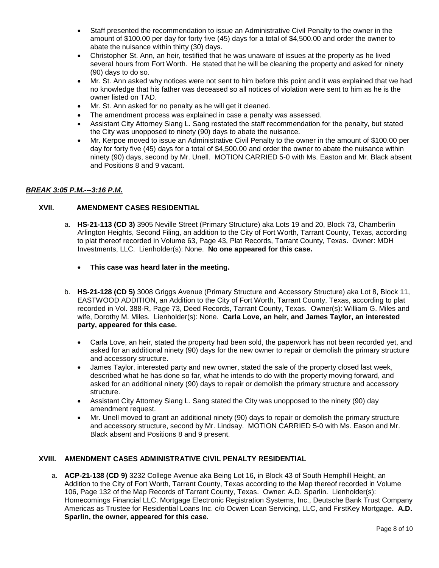- Staff presented the recommendation to issue an Administrative Civil Penalty to the owner in the amount of \$100.00 per day for forty five (45) days for a total of \$4,500.00 and order the owner to abate the nuisance within thirty (30) days.
- Christopher St. Ann, an heir, testified that he was unaware of issues at the property as he lived several hours from Fort Worth. He stated that he will be cleaning the property and asked for ninety (90) days to do so.
- Mr. St. Ann asked why notices were not sent to him before this point and it was explained that we had no knowledge that his father was deceased so all notices of violation were sent to him as he is the owner listed on TAD.
- Mr. St. Ann asked for no penalty as he will get it cleaned.
- The amendment process was explained in case a penalty was assessed.
- Assistant City Attorney Siang L. Sang restated the staff recommendation for the penalty, but stated the City was unopposed to ninety (90) days to abate the nuisance.
- Mr. Kerpoe moved to issue an Administrative Civil Penalty to the owner in the amount of \$100.00 per day for forty five (45) days for a total of \$4,500.00 and order the owner to abate the nuisance within ninety (90) days, second by Mr. Unell. MOTION CARRIED 5-0 with Ms. Easton and Mr. Black absent and Positions 8 and 9 vacant.

# *BREAK 3:05 P.M.---3:16 P.M.*

# **XVII. AMENDMENT CASES RESIDENTIAL**

- a. **HS-21-113 (CD 3)** 3905 Neville Street (Primary Structure) aka Lots 19 and 20, Block 73, Chamberlin Arlington Heights, Second Filing, an addition to the City of Fort Worth, Tarrant County, Texas, according to plat thereof recorded in Volume 63, Page 43, Plat Records, Tarrant County, Texas. Owner: MDH Investments, LLC. Lienholder(s): None. **No one appeared for this case.**
	- **This case was heard later in the meeting.**
- b. **HS-21-128 (CD 5)** 3008 Griggs Avenue (Primary Structure and Accessory Structure) aka Lot 8, Block 11, EASTWOOD ADDITION, an Addition to the City of Fort Worth, Tarrant County, Texas, according to plat recorded in Vol. 388-R, Page 73, Deed Records, Tarrant County, Texas. Owner(s): William G. Miles and wife, Dorothy M. Miles. Lienholder(s): None. **Carla Love, an heir, and James Taylor, an interested party, appeared for this case.**
	- Carla Love, an heir, stated the property had been sold, the paperwork has not been recorded yet, and asked for an additional ninety (90) days for the new owner to repair or demolish the primary structure and accessory structure.
	- James Taylor, interested party and new owner, stated the sale of the property closed last week, described what he has done so far, what he intends to do with the property moving forward, and asked for an additional ninety (90) days to repair or demolish the primary structure and accessory structure.
	- Assistant City Attorney Siang L. Sang stated the City was unopposed to the ninety (90) day amendment request.
	- Mr. Unell moved to grant an additional ninety (90) days to repair or demolish the primary structure and accessory structure, second by Mr. Lindsay. MOTION CARRIED 5-0 with Ms. Eason and Mr. Black absent and Positions 8 and 9 present.

# **XVIII. AMENDMENT CASES ADMINISTRATIVE CIVIL PENALTY RESIDENTIAL**

a. **ACP-21-138 (CD 9)** 3232 College Avenue aka Being Lot 16, in Block 43 of South Hemphill Height, an Addition to the City of Fort Worth, Tarrant County, Texas according to the Map thereof recorded in Volume 106, Page 132 of the Map Records of Tarrant County, Texas. Owner: A.D. Sparlin. Lienholder(s): Homecomings Financial LLC, Mortgage Electronic Registration Systems, Inc., Deutsche Bank Trust Company Americas as Trustee for Residential Loans Inc. c/o Ocwen Loan Servicing, LLC, and FirstKey Mortgage**. A.D. Sparlin, the owner, appeared for this case.**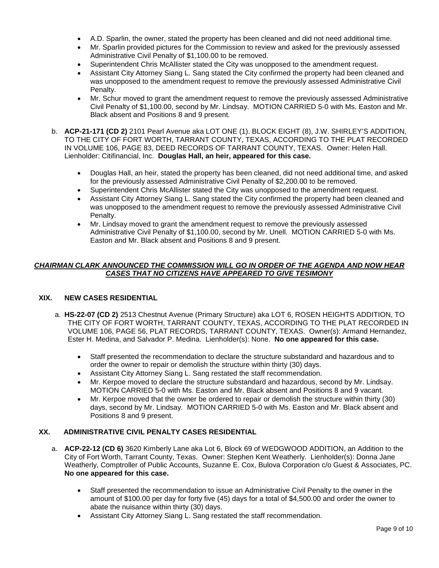- A.D. Sparlin, the owner, stated the property has been cleaned and did not need additional time.
- Mr. Sparlin provided pictures for the Commission to review and asked for the previously assessed Administrative Civil Penalty of \$1,100.00 to be removed.
- Superintendent Chris McAllister stated the City was unopposed to the amendment request.
- Assistant City Attorney Siang L. Sang stated the City confirmed the property had been cleaned and was unopposed to the amendment request to remove the previously assessed Administrative Civil Penalty.
- Mr. Schur moved to grant the amendment request to remove the previously assessed Administrative Civil Penalty of \$1,100.00, second by Mr. Lindsay. MOTION CARRIED 5-0 with Ms. Easton and Mr. Black absent and Positions 8 and 9 present.
- b. **ACP-21-171 (CD 2)** 2101 Pearl Avenue aka LOT ONE (1). BLOCK EIGHT (8), J.W. SHIRLEY'S ADDITION, TO THE CITY OF FORT WORTH, TARRANT COUNTY, TEXAS, ACCORDING TO THE PLAT RECORDED IN VOLUME 106, PAGE 83, DEED RECORDS OF TARRANT COUNTY, TEXAS. Owner: Helen Hall. Lienholder: Citifinancial, Inc. **Douglas Hall, an heir, appeared for this case.**
	- Douglas Hall, an heir, stated the property has been cleaned, did not need additional time, and asked for the previously assessed Administrative Civil Penalty of \$2,200.00 to be removed.
	- Superintendent Chris McAllister stated the City was unopposed to the amendment request.
	- Assistant City Attorney Siang L. Sang stated the City confirmed the property had been cleaned and was unopposed to the amendment request to remove the previously assessed Administrative Civil Penalty.
	- Mr. Lindsay moved to grant the amendment request to remove the previously assessed Administrative Civil Penalty of \$1,100.00, second by Mr. Unell. MOTION CARRIED 5-0 with Ms. Easton and Mr. Black absent and Positions 8 and 9 present.

#### *CHAIRMAN CLARK ANNOUNCED THE COMMISSION WILL GO IN ORDER OF THE AGENDA AND NOW HEAR CASES THAT NO CITIZENS HAVE APPEARED TO GIVE TESIMONY*

# **XIX. NEW CASES RESIDENTIAL**

- a. **HS-22-07 (CD 2)** 2513 Chestnut Avenue (Primary Structure) aka LOT 6, ROSEN HEIGHTS ADDITION, TO THE CITY OF FORT WORTH, TARRANT COUNTY, TEXAS, ACCORDING TO THE PLAT RECORDED IN VOLUME 106, PAGE 56, PLAT RECORDS, TARRANT COUNTY, TEXAS. Owner(s): Armand Hernandez, Ester H. Medina, and Salvador P. Medina. Lienholder(s): None. **No one appeared for this case.**
	- Staff presented the recommendation to declare the structure substandard and hazardous and to order the owner to repair or demolish the structure within thirty (30) days.
	- Assistant City Attorney Siang L. Sang restated the staff recommendation.
	- Mr. Kerpoe moved to declare the structure substandard and hazardous, second by Mr. Lindsay. MOTION CARRIED 5-0 with Ms. Easton and Mr. Black absent and Positions 8 and 9 vacant.
	- Mr. Kerpoe moved that the owner be ordered to repair or demolish the structure within thirty (30) days, second by Mr. Lindsay. MOTION CARRIED 5-0 with Ms. Easton and Mr. Black absent and Positions 8 and 9 present.

#### **XX. ADMINISTRATIVE CIVIL PENALTY CASES RESIDENTIAL**

- a. **ACP-22-12 (CD 6)** 3620 Kimberly Lane aka Lot 6, Block 69 of WEDGWOOD ADDITION, an Addition to the City of Fort Worth, Tarrant County, Texas. Owner: Stephen Kent Weatherly. Lienholder(s): Donna Jane Weatherly, Comptroller of Public Accounts, Suzanne E. Cox, Bulova Corporation c/o Guest & Associates, PC. **No one appeared for this case.**
	- Staff presented the recommendation to issue an Administrative Civil Penalty to the owner in the amount of \$100.00 per day for forty five (45) days for a total of \$4,500.00 and order the owner to abate the nuisance within thirty (30) days.
	- Assistant City Attorney Siang L. Sang restated the staff recommendation.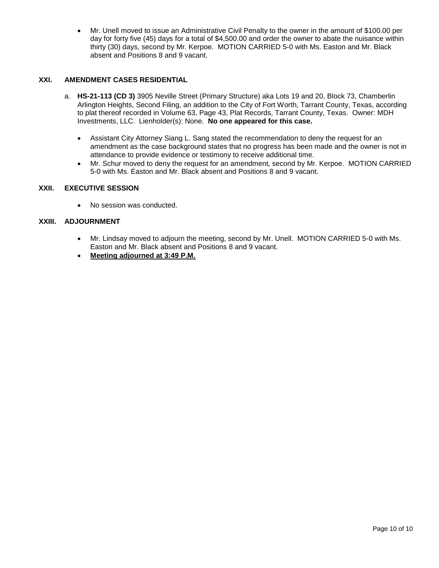• Mr. Unell moved to issue an Administrative Civil Penalty to the owner in the amount of \$100.00 per day for forty five (45) days for a total of \$4,500.00 and order the owner to abate the nuisance within thirty (30) days, second by Mr. Kerpoe. MOTION CARRIED 5-0 with Ms. Easton and Mr. Black absent and Positions 8 and 9 vacant.

# **XXI. AMENDMENT CASES RESIDENTIAL**

- a. **HS-21-113 (CD 3)** 3905 Neville Street (Primary Structure) aka Lots 19 and 20, Block 73, Chamberlin Arlington Heights, Second Filing, an addition to the City of Fort Worth, Tarrant County, Texas, according to plat thereof recorded in Volume 63, Page 43, Plat Records, Tarrant County, Texas. Owner: MDH Investments, LLC. Lienholder(s): None. **No one appeared for this case.**
	- Assistant City Attorney Siang L. Sang stated the recommendation to deny the request for an amendment as the case background states that no progress has been made and the owner is not in attendance to provide evidence or testimony to receive additional time.
	- Mr. Schur moved to deny the request for an amendment, second by Mr. Kerpoe. MOTION CARRIED 5-0 with Ms. Easton and Mr. Black absent and Positions 8 and 9 vacant.

#### **XXII. EXECUTIVE SESSION**

• No session was conducted.

#### **XXIII. ADJOURNMENT**

- Mr. Lindsay moved to adjourn the meeting, second by Mr. Unell. MOTION CARRIED 5-0 with Ms. Easton and Mr. Black absent and Positions 8 and 9 vacant.
- **Meeting adjourned at 3:49 P.M.**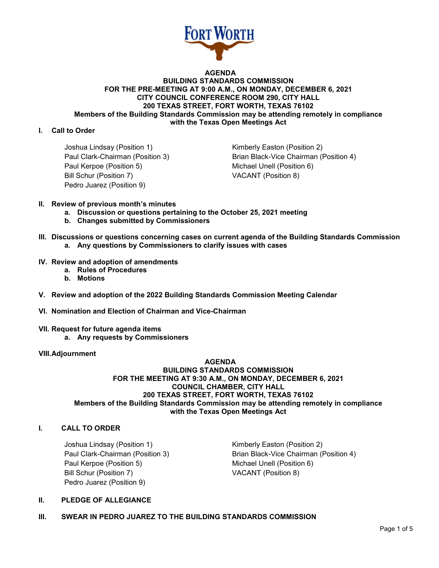

#### **AGENDA BUILDING STANDARDS COMMISSION FOR THE PRE-MEETING AT 9:00 A.M., ON MONDAY, DECEMBER 6, 2021 CITY COUNCIL CONFERENCE ROOM 290, CITY HALL 200 TEXAS STREET, FORT WORTH, TEXAS 76102 Members of the Building Standards Commission may be attending remotely in compliance with the Texas Open Meetings Act**

# **I. Call to Order**

Joshua Lindsay (Position 1) The Control of Kimberly Easton (Position 2) Paul Kerpoe (Position 5) Michael Unell (Position 6) Bill Schur (Position 7) VACANT (Position 8) Pedro Juarez (Position 9)

Paul Clark-Chairman (Position 3) Brian Black-Vice Chairman (Position 4)

- **II. Review of previous month's minutes**
	- **a. Discussion or questions pertaining to the October 25, 2021 meeting**
	- **b. Changes submitted by Commissioners**
- **III. Discussions or questions concerning cases on current agenda of the Building Standards Commission a. Any questions by Commissioners to clarify issues with cases**
- **IV. Review and adoption of amendments**
	- **a. Rules of Procedures**
	- **b. Motions**
- **V. Review and adoption of the 2022 Building Standards Commission Meeting Calendar**
- **VI. Nomination and Election of Chairman and Vice-Chairman**
- **VII. Request for future agenda items**
	- **a. Any requests by Commissioners**

#### **VIII.Adjournment**

#### **AGENDA BUILDING STANDARDS COMMISSION FOR THE MEETING AT 9:30 A.M., ON MONDAY, DECEMBER 6, 2021 COUNCIL CHAMBER, CITY HALL 200 TEXAS STREET, FORT WORTH, TEXAS 76102 Members of the Building Standards Commission may be attending remotely in compliance with the Texas Open Meetings Act**

### **I. CALL TO ORDER**

Joshua Lindsay (Position 1) Kimberly Easton (Position 2) Paul Kerpoe (Position 5) Michael Unell (Position 6) Bill Schur (Position 7) VACANT (Position 8) Pedro Juarez (Position 9)

Paul Clark-Chairman (Position 3) Brian Black-Vice Chairman (Position 4)

#### **II. PLEDGE OF ALLEGIANCE**

**III. SWEAR IN PEDRO JUAREZ TO THE BUILDING STANDARDS COMMISSION**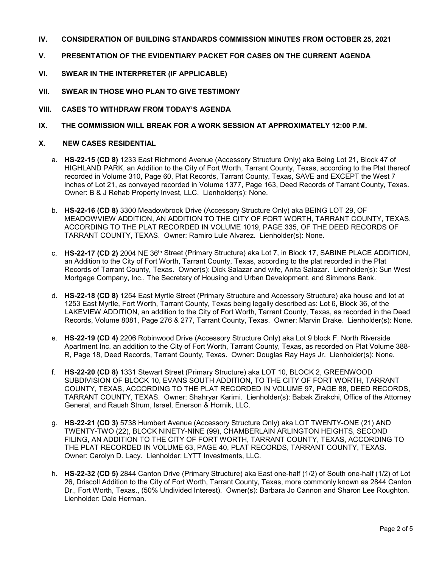- **IV. CONSIDERATION OF BUILDING STANDARDS COMMISSION MINUTES FROM OCTOBER 25, 2021**
- **V. PRESENTATION OF THE EVIDENTIARY PACKET FOR CASES ON THE CURRENT AGENDA**
- **VI. SWEAR IN THE INTERPRETER (IF APPLICABLE)**
- **VII. SWEAR IN THOSE WHO PLAN TO GIVE TESTIMONY**
- **VIII. CASES TO WITHDRAW FROM TODAY'S AGENDA**
- **IX. THE COMMISSION WILL BREAK FOR A WORK SESSION AT APPROXIMATELY 12:00 P.M.**

# **X. NEW CASES RESIDENTIAL**

- a. **HS-22-15 (CD 8)** 1233 East Richmond Avenue (Accessory Structure Only) aka Being Lot 21, Block 47 of HIGHLAND PARK, an Addition to the City of Fort Worth, Tarrant County, Texas, according to the Plat thereof recorded in Volume 310, Page 60, Plat Records, Tarrant County, Texas, SAVE and EXCEPT the West 7 inches of Lot 21, as conveyed recorded in Volume 1377, Page 163, Deed Records of Tarrant County, Texas. Owner: B & J Rehab Property Invest, LLC. Lienholder(s): None.
- b. **HS-22-16 (CD 8)** 3300 Meadowbrook Drive (Accessory Structure Only) aka BEING LOT 29, OF MEADOWVIEW ADDITION, AN ADDITION TO THE CITY OF FORT WORTH, TARRANT COUNTY, TEXAS, ACCORDING TO THE PLAT RECORDED IN VOLUME 1019, PAGE 335, OF THE DEED RECORDS OF TARRANT COUNTY, TEXAS. Owner: Ramiro Lule Alvarez. Lienholder(s): None.
- c. **HS-22-17 (CD 2)** 2004 NE 36th Street (Primary Structure) aka Lot 7, in Block 17, SABINE PLACE ADDITION, an Addition to the City of Fort Worth, Tarrant County, Texas, according to the plat recorded in the Plat Records of Tarrant County, Texas. Owner(s): Dick Salazar and wife, Anita Salazar. Lienholder(s): Sun West Mortgage Company, Inc., The Secretary of Housing and Urban Development, and Simmons Bank.
- d. **HS-22-18 (CD 8)** 1254 East Myrtle Street (Primary Structure and Accessory Structure) aka house and lot at 1253 East Myrtle, Fort Worth, Tarrant County, Texas being legally described as: Lot 6, Block 36, of the LAKEVIEW ADDITION, an addition to the City of Fort Worth, Tarrant County, Texas, as recorded in the Deed Records, Volume 8081, Page 276 & 277, Tarrant County, Texas. Owner: Marvin Drake. Lienholder(s): None.
- e. **HS-22-19 (CD 4)** 2206 Robinwood Drive (Accessory Structure Only) aka Lot 9 block F, North Riverside Apartment Inc. an addition to the City of Fort Worth, Tarrant County, Texas, as recorded on Plat Volume 388- R, Page 18, Deed Records, Tarrant County, Texas. Owner: Douglas Ray Hays Jr. Lienholder(s): None.
- f. **HS-22-20 (CD 8)** 1331 Stewart Street (Primary Structure) aka LOT 10, BLOCK 2, GREENWOOD SUBDIVISION OF BLOCK 10, EVANS SOUTH ADDITION, TO THE CITY OF FORT WORTH, TARRANT COUNTY, TEXAS, ACCORDING TO THE PLAT RECORDED IN VOLUME 97, PAGE 88, DEED RECORDS, TARRANT COUNTY, TEXAS. Owner: Shahryar Karimi. Lienholder(s): Babak Zirakchi, Office of the Attorney General, and Raush Strum, Israel, Enerson & Hornik, LLC.
- g. **HS-22-21 (CD 3)** 5738 Humbert Avenue (Accessory Structure Only) aka LOT TWENTY-ONE (21) AND TWENTY-TWO (22), BLOCK NINETY-NINE (99), CHAMBERLAIN ARLINGTON HEIGHTS, SECOND FILING, AN ADDITION TO THE CITY OF FORT WORTH, TARRANT COUNTY, TEXAS, ACCORDING TO THE PLAT RECORDED IN VOLUME 63, PAGE 40, PLAT RECORDS, TARRANT COUNTY, TEXAS. Owner: Carolyn D. Lacy. Lienholder: LYTT Investments, LLC.
- h. **HS-22-32 (CD 5)** 2844 Canton Drive (Primary Structure) aka East one-half (1/2) of South one-half (1/2) of Lot 26, Driscoll Addition to the City of Fort Worth, Tarrant County, Texas, more commonly known as 2844 Canton Dr., Fort Worth, Texas., (50% Undivided Interest). Owner(s): Barbara Jo Cannon and Sharon Lee Roughton. Lienholder: Dale Herman.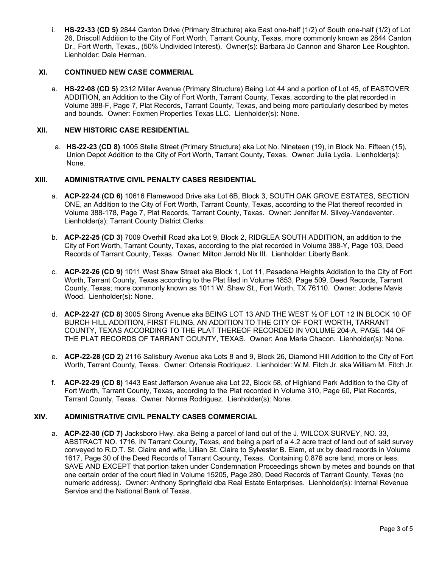i. **HS-22-33 (CD 5)** 2844 Canton Drive (Primary Structure) aka East one-half (1/2) of South one-half (1/2) of Lot 26, Driscoll Addition to the City of Fort Worth, Tarrant County, Texas, more commonly known as 2844 Canton Dr., Fort Worth, Texas., (50% Undivided Interest). Owner(s): Barbara Jo Cannon and Sharon Lee Roughton. Lienholder: Dale Herman.

#### **XI. CONTINUED NEW CASE COMMERIAL**

a. **HS-22-08 (CD 5)** 2312 Miller Avenue (Primary Structure) Being Lot 44 and a portion of Lot 45, of EASTOVER ADDITION, an Addition to the City of Fort Worth, Tarrant County, Texas, according to the plat recorded in Volume 388-F, Page 7, Plat Records, Tarrant County, Texas, and being more particularly described by metes and bounds. Owner: Foxmen Properties Texas LLC. Lienholder(s): None.

# **XII. NEW HISTORIC CASE RESIDENTIAL**

a. **HS-22-23 (CD 8)** 1005 Stella Street (Primary Structure) aka Lot No. Nineteen (19), in Block No. Fifteen (15), Union Depot Addition to the City of Fort Worth, Tarrant County, Texas. Owner: Julia Lydia. Lienholder(s): None.

# **XIII. ADMINISTRATIVE CIVIL PENALTY CASES RESIDENTIAL**

- a. **ACP-22-24 (CD 6)** 10616 Flamewood Drive aka Lot 6B, Block 3, SOUTH OAK GROVE ESTATES, SECTION ONE, an Addition to the City of Fort Worth, Tarrant County, Texas, according to the Plat thereof recorded in Volume 388-178, Page 7, Plat Records, Tarrant County, Texas. Owner: Jennifer M. Silvey-Vandeventer. Lienholder(s): Tarrant County District Clerks.
- b. **ACP-22-25 (CD 3)** 7009 Overhill Road aka Lot 9, Block 2, RIDGLEA SOUTH ADDITION, an addition to the City of Fort Worth, Tarrant County, Texas, according to the plat recorded in Volume 388-Y, Page 103, Deed Records of Tarrant County, Texas. Owner: Milton Jerrold Nix III. Lienholder: Liberty Bank.
- c. **ACP-22-26 (CD 9)** 1011 West Shaw Street aka Block 1, Lot 11, Pasadena Heights Addistion to the City of Fort Worth, Tarrant County, Texas according to the Plat filed in Volume 1853, Page 509, Deed Records, Tarrant County, Texas; more commonly known as 1011 W. Shaw St., Fort Worth, TX 76110. Owner: Jodene Mavis Wood. Lienholder(s): None.
- d. **ACP-22-27 (CD 8)** 3005 Strong Avenue aka BEING LOT 13 AND THE WEST ½ OF LOT 12 IN BLOCK 10 OF BURCH HILL ADDITION, FIRST FILING, AN ADDITION TO THE CITY OF FORT WORTH, TARRANT COUNTY, TEXAS ACCORDING TO THE PLAT THEREOF RECORDED IN VOLUME 204-A, PAGE 144 OF THE PLAT RECORDS OF TARRANT COUNTY, TEXAS. Owner: Ana Maria Chacon. Lienholder(s): None.
- e. **ACP-22-28 (CD 2)** 2116 Salisbury Avenue aka Lots 8 and 9, Block 26, Diamond Hill Addition to the City of Fort Worth, Tarrant County, Texas. Owner: Ortensia Rodriquez. Lienholder: W.M. Fitch Jr. aka William M. Fitch Jr.
- f. **ACP-22-29 (CD 8)** 1443 East Jefferson Avenue aka Lot 22, Block 58, of Highland Park Addition to the City of Fort Worth, Tarrant County, Texas, according to the Plat recorded in Volume 310, Page 60, Plat Records, Tarrant County, Texas. Owner: Norma Rodriguez. Lienholder(s): None.

#### **XIV. ADMINISTRATIVE CIVIL PENALTY CASES COMMERCIAL**

a. **ACP-22-30 (CD 7)** Jacksboro Hwy. aka Being a parcel of land out of the J. WILCOX SURVEY, NO. 33, ABSTRACT NO. 1716, IN Tarrant County, Texas, and being a part of a 4.2 acre tract of land out of said survey conveyed to R.D.T. St. Claire and wife, Lillian St. Claire to Sylvester B. Elam, et ux by deed records in Volume 1617, Page 30 of the Deed Records of Tarrant Caounty, Texas. Containing 0.876 acre land, more or less. SAVE AND EXCEPT that portion taken under Condemnation Proceedings shown by metes and bounds on that one certain order of the court filed in Volume 15205, Page 280, Deed Records of Tarrant County, Texas (no numeric address). Owner: Anthony Springfield dba Real Estate Enterprises. Lienholder(s): Internal Revenue Service and the National Bank of Texas.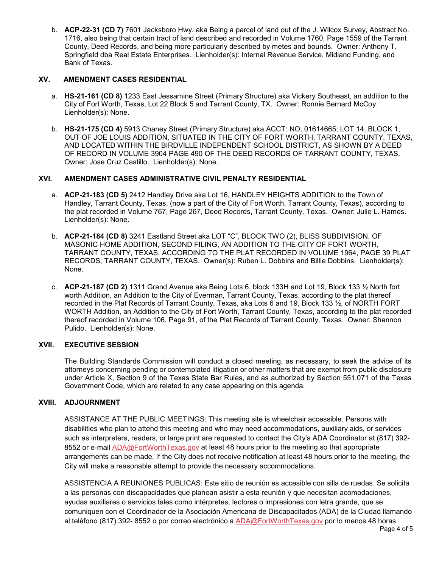b. **ACP-22-31 (CD 7)** 7601 Jacksboro Hwy. aka Being a parcel of land out of the J. Wilcox Survey, Abstract No. 1716, also being that certain tract of land described and recorded in Volume 1760, Page 1559 of the Tarrant County, Deed Records, and being more particularly described by metes and bounds. Owner: Anthony T. Springfield dba Real Estate Enterprises. Lienholder(s): Internal Revenue Service, Midland Funding, and Bank of Texas.

# **XV. AMENDMENT CASES RESIDENTIAL**

- a. **HS-21-161 (CD 8)** 1233 East Jessamine Street (Primary Structure) aka Vickery Southeast, an addition to the City of Fort Worth, Texas, Lot 22 Block 5 and Tarrant County, TX. Owner: Ronnie Bernard McCoy. Lienholder(s): None.
- b. **HS-21-175 (CD 4)** 5913 Chaney Street (Primary Structure) aka ACCT: NO. 01614665; LOT 14, BLOCK 1, OUT OF JOE LOUIS ADDITION, SITUATED IN THE CITY OF FORT WORTH, TARRANT COUNTY, TEXAS, AND LOCATED WITHIN THE BIRDVILLE INDEPENDENT SCHOOL DISTRICT, AS SHOWN BY A DEED OF RECORD IN VOLUME 3904 PAGE 490 OF THE DEED RECORDS OF TARRANT COUNTY, TEXAS. Owner: Jose Cruz Castillo. Lienholder(s): None.

# **XVI. AMENDMENT CASES ADMINISTRATIVE CIVIL PENALTY RESIDENTIAL**

- a. **ACP-21-183 (CD 5)** 2412 Handley Drive aka Lot 16, HANDLEY HEIGHTS ADDITION to the Town of Handley, Tarrant County, Texas, (now a part of the City of Fort Worth, Tarrant County, Texas), according to the plat recorded in Volume 767, Page 267, Deed Records, Tarrant County, Texas. Owner: Julie L. Hames. Lienholder(s): None.
- b. **ACP-21-184 (CD 8)** 3241 Eastland Street aka LOT "C", BLOCK TWO (2), BLISS SUBDIVISION, OF MASONIC HOME ADDITION, SECOND FILING, AN ADDITION TO THE CITY OF FORT WORTH, TARRANT COUNTY, TEXAS, ACCORDING TO THE PLAT RECORDED IN VOLUME 1964, PAGE 39 PLAT RECORDS, TARRANT COUNTY, TEXAS. Owner(s): Ruben L. Dobbins and Billie Dobbins. Lienholder(s): None.
- c. **ACP-21-187 (CD 2)** 1311 Grand Avenue aka Being Lots 6, block 133H and Lot 19, Block 133 ½ North fort worth Addition, an Addition to the City of Everman, Tarrant County, Texas, according to the plat thereof recorded in the Plat Records of Tarrant County, Texas, aka Lots 6 and 19, Block 133 ½, of NORTH FORT WORTH Addition, an Addition to the City of Fort Worth, Tarrant County, Texas, according to the plat recorded thereof recorded in Volume 106, Page 91, of the Plat Records of Tarrant County, Texas. Owner: Shannon Pulido. Lienholder(s): None.

# **XVII. EXECUTIVE SESSION**

The Building Standards Commission will conduct a closed meeting, as necessary, to seek the advice of its attorneys concerning pending or contemplated litigation or other matters that are exempt from public disclosure under Article X, Section 9 of the Texas State Bar Rules, and as authorized by Section 551.071 of the Texas Government Code, which are related to any case appearing on this agenda.

# **XVIII. ADJOURNMENT**

ASSISTANCE AT THE PUBLIC MEETINGS: This meeting site is wheelchair accessible. Persons with disabilities who plan to attend this meeting and who may need accommodations, auxiliary aids, or services such as interpreters, readers, or large print are requested to contact the City's ADA Coordinator at (817) 392- 8552 or e-mail **ADA@FortWorthTexas.gov** at least 48 hours prior to the meeting so that appropriate arrangements can be made. If the City does not receive notification at least 48 hours prior to the meeting, the City will make a reasonable attempt to provide the necessary accommodations.

ASSISTENCIA A REUNIONES PUBLICAS: Este sitio de reunión es accesible con silla de ruedas. Se solicita a las personas con discapacidades que planean asistir a esta reunión y que necesitan acomodaciones, ayudas auxiliares o servicios tales como intérpretes, lectores o impresiones con letra grande, que se comuniquen con el Coordinador de la Asociación Americana de Discapacitados (ADA) de la Ciudad llamando al teléfono (817) 392- 8552 o por correo electrónico a [ADA@FortWorthTexas.gov](mailto:ADA@FortWorthTexas.gov) por lo menos 48 horas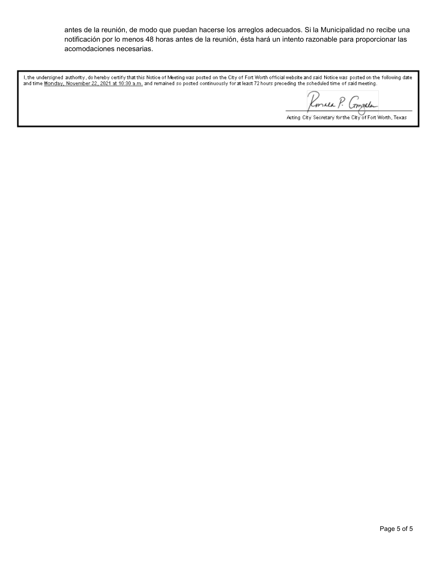antes de la reunión, de modo que puedan hacerse los arreglos adecuados. Si la Municipalidad no recibe una notificación por lo menos 48 horas antes de la reunión, ésta hará un intento razonable para proporcionar las acomodaciones necesarias.

I, the undersigned authority, do hereby certify that this Notice of Meeting was posted on the City of Fort Worth official website and said Notice was posted on the following date<br>and time <u>Monday, November 22, 2021 at 10:3</u>

Romald P. Compala

Acting City Secretary for the City of Fort Worth, Texas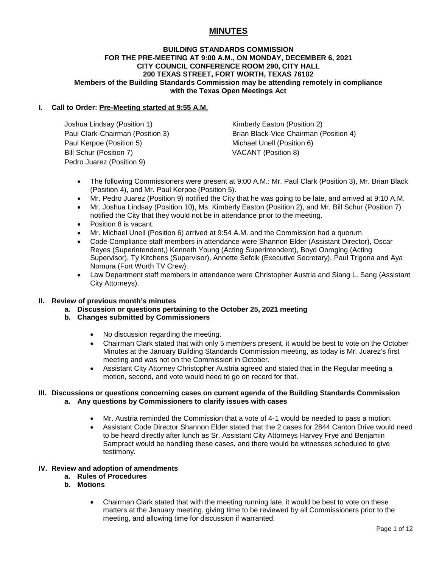# **MINUTES**

#### **BUILDING STANDARDS COMMISSION FOR THE PRE-MEETING AT 9:00 A.M., ON MONDAY, DECEMBER 6, 2021 CITY COUNCIL CONFERENCE ROOM 290, CITY HALL 200 TEXAS STREET, FORT WORTH, TEXAS 76102 Members of the Building Standards Commission may be attending remotely in compliance with the Texas Open Meetings Act**

# **I. Call to Order: Pre-Meeting started at 9:55 A.M.**

Joshua Lindsay (Position 1) The Rimberly Easton (Position 2) Paul Kerpoe (Position 5) Michael Unell (Position 6) Bill Schur (Position 7) VACANT (Position 8) Pedro Juarez (Position 9)

Paul Clark-Chairman (Position 3) Brian Black-Vice Chairman (Position 4)

- The following Commissioners were present at 9:00 A.M.: Mr. Paul Clark (Position 3), Mr. Brian Black (Position 4), and Mr. Paul Kerpoe (Position 5).
- Mr. Pedro Juarez (Position 9) notified the City that he was going to be late, and arrived at 9:10 A.M.
- Mr. Joshua Lindsay (Position 10), Ms. Kimberly Easton (Position 2), and Mr. Bill Schur (Position 7) notified the City that they would not be in attendance prior to the meeting.
- Position 8 is vacant.
- Mr. Michael Unell (Position 6) arrived at 9:54 A.M. and the Commission had a quorum.
- Code Compliance staff members in attendance were Shannon Elder (Assistant Director), Oscar Reyes (Superintendent,) Kenneth Young (Acting Superintendent), Boyd Oomging (Acting Supervisor), Ty Kitchens (Supervisor), Annette Sefcik (Executive Secretary), Paul Trigona and Aya Nomura (Fort Worth TV Crew).
- Law Department staff members in attendance were Christopher Austria and Siang L. Sang (Assistant City Attorneys).

#### **II. Review of previous month's minutes**

- **a. Discussion or questions pertaining to the October 25, 2021 meeting**
- **b. Changes submitted by Commissioners**
	- No discussion regarding the meeting.
	- Chairman Clark stated that with only 5 members present, it would be best to vote on the October Minutes at the January Building Standards Commission meeting, as today is Mr. Juarez's first meeting and was not on the Commission in October.
	- Assistant City Attorney Christopher Austria agreed and stated that in the Regular meeting a motion, second, and vote would need to go on record for that.

# **III. Discussions or questions concerning cases on current agenda of the Building Standards Commission a. Any questions by Commissioners to clarify issues with cases**

- Mr. Austria reminded the Commission that a vote of 4-1 would be needed to pass a motion.
- Assistant Code Director Shannon Elder stated that the 2 cases for 2844 Canton Drive would need to be heard directly after lunch as Sr. Assistant City Attorneys Harvey Frye and Benjamin Sampract would be handling these cases, and there would be witnesses scheduled to give testimony.

#### **IV. Review and adoption of amendments**

- **a. Rules of Procedures**
- **b. Motions**
	- Chairman Clark stated that with the meeting running late, it would be best to vote on these matters at the January meeting, giving time to be reviewed by all Commissioners prior to the meeting, and allowing time for discussion if warranted.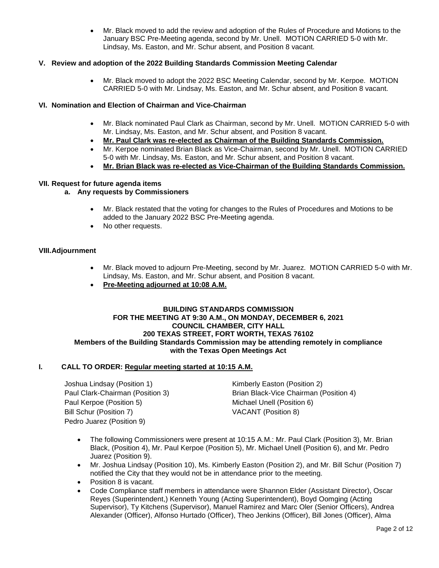• Mr. Black moved to add the review and adoption of the Rules of Procedure and Motions to the January BSC Pre-Meeting agenda, second by Mr. Unell. MOTION CARRIED 5-0 with Mr. Lindsay, Ms. Easton, and Mr. Schur absent, and Position 8 vacant.

# **V. Review and adoption of the 2022 Building Standards Commission Meeting Calendar**

• Mr. Black moved to adopt the 2022 BSC Meeting Calendar, second by Mr. Kerpoe. MOTION CARRIED 5-0 with Mr. Lindsay, Ms. Easton, and Mr. Schur absent, and Position 8 vacant.

# **VI. Nomination and Election of Chairman and Vice-Chairman**

- Mr. Black nominated Paul Clark as Chairman, second by Mr. Unell. MOTION CARRIED 5-0 with Mr. Lindsay, Ms. Easton, and Mr. Schur absent, and Position 8 vacant.
- **Mr. Paul Clark was re-elected as Chairman of the Building Standards Commission.**
- Mr. Kerpoe nominated Brian Black as Vice-Chairman, second by Mr. Unell. MOTION CARRIED 5-0 with Mr. Lindsay, Ms. Easton, and Mr. Schur absent, and Position 8 vacant.
- **Mr. Brian Black was re-elected as Vice-Chairman of the Building Standards Commission.**

#### **VII. Request for future agenda items**

# **a. Any requests by Commissioners**

- Mr. Black restated that the voting for changes to the Rules of Procedures and Motions to be added to the January 2022 BSC Pre-Meeting agenda.
- No other requests.

#### **VIII.Adjournment**

- Mr. Black moved to adjourn Pre-Meeting, second by Mr. Juarez. MOTION CARRIED 5-0 with Mr. Lindsay, Ms. Easton, and Mr. Schur absent, and Position 8 vacant.
- **Pre-Meeting adjourned at 10:08 A.M.**

#### **BUILDING STANDARDS COMMISSION FOR THE MEETING AT 9:30 A.M., ON MONDAY, DECEMBER 6, 2021 COUNCIL CHAMBER, CITY HALL 200 TEXAS STREET, FORT WORTH, TEXAS 76102 Members of the Building Standards Commission may be attending remotely in compliance with the Texas Open Meetings Act**

#### **I. CALL TO ORDER: Regular meeting started at 10:15 A.M.**

Joshua Lindsay (Position 1) The Rimberly Easton (Position 2) Paul Kerpoe (Position 5) Michael Unell (Position 6) Bill Schur (Position 7) VACANT (Position 8) Pedro Juarez (Position 9)

Paul Clark-Chairman (Position 3) Brian Black-Vice Chairman (Position 4)

- The following Commissioners were present at 10:15 A.M.: Mr. Paul Clark (Position 3), Mr. Brian Black, (Position 4), Mr. Paul Kerpoe (Position 5), Mr. Michael Unell (Position 6), and Mr. Pedro Juarez (Position 9).
- Mr. Joshua Lindsay (Position 10), Ms. Kimberly Easton (Position 2), and Mr. Bill Schur (Position 7) notified the City that they would not be in attendance prior to the meeting.
- Position 8 is vacant.
- Code Compliance staff members in attendance were Shannon Elder (Assistant Director), Oscar Reyes (Superintendent,) Kenneth Young (Acting Superintendent), Boyd Oomging (Acting Supervisor), Ty Kitchens (Supervisor), Manuel Ramirez and Marc Oler (Senior Officers), Andrea Alexander (Officer), Alfonso Hurtado (Officer), Theo Jenkins (Officer), Bill Jones (Officer), Alma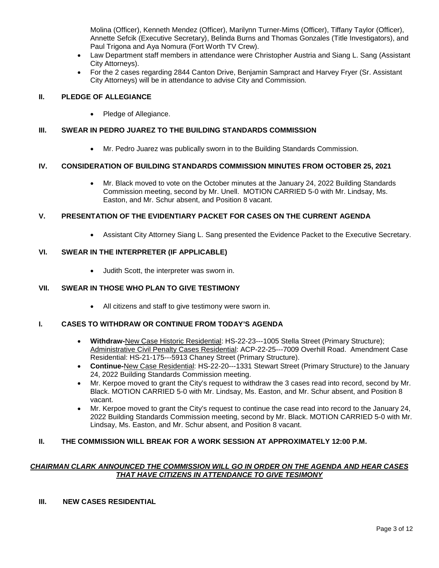Molina (Officer), Kenneth Mendez (Officer), Marilynn Turner-Mims (Officer), Tiffany Taylor (Officer), Annette Sefcik (Executive Secretary), Belinda Burns and Thomas Gonzales (Title Investigators), and Paul Trigona and Aya Nomura (Fort Worth TV Crew).

- Law Department staff members in attendance were Christopher Austria and Siang L. Sang (Assistant City Attorneys).
- For the 2 cases regarding 2844 Canton Drive, Benjamin Sampract and Harvey Fryer (Sr. Assistant City Attorneys) will be in attendance to advise City and Commission.

# **II. PLEDGE OF ALLEGIANCE**

• Pledge of Allegiance.

# **III. SWEAR IN PEDRO JUAREZ TO THE BUILDING STANDARDS COMMISSION**

• Mr. Pedro Juarez was publically sworn in to the Building Standards Commission.

# **IV. CONSIDERATION OF BUILDING STANDARDS COMMISSION MINUTES FROM OCTOBER 25, 2021**

• Mr. Black moved to vote on the October minutes at the January 24, 2022 Building Standards Commission meeting, second by Mr. Unell. MOTION CARRIED 5-0 with Mr. Lindsay, Ms. Easton, and Mr. Schur absent, and Position 8 vacant.

## **V. PRESENTATION OF THE EVIDENTIARY PACKET FOR CASES ON THE CURRENT AGENDA**

• Assistant City Attorney Siang L. Sang presented the Evidence Packet to the Executive Secretary.

## **VI. SWEAR IN THE INTERPRETER (IF APPLICABLE)**

• Judith Scott, the interpreter was sworn in.

# **VII. SWEAR IN THOSE WHO PLAN TO GIVE TESTIMONY**

• All citizens and staff to give testimony were sworn in.

#### **I. CASES TO WITHDRAW OR CONTINUE FROM TODAY'S AGENDA**

- **Withdraw-**New Case Historic Residential: HS-22-23---1005 Stella Street (Primary Structure); Administrative Civil Penalty Cases Residential: ACP-22-25---7009 Overhill Road. Amendment Case Residential: HS-21-175---5913 Chaney Street (Primary Structure).
- **Continue-**New Case Residential: HS-22-20---1331 Stewart Street (Primary Structure) to the January 24, 2022 Building Standards Commission meeting.
- Mr. Kerpoe moved to grant the City's request to withdraw the 3 cases read into record, second by Mr. Black. MOTION CARRIED 5-0 with Mr. Lindsay, Ms. Easton, and Mr. Schur absent, and Position 8 vacant.
- Mr. Kerpoe moved to grant the City's request to continue the case read into record to the January 24, 2022 Building Standards Commission meeting, second by Mr. Black. MOTION CARRIED 5-0 with Mr. Lindsay, Ms. Easton, and Mr. Schur absent, and Position 8 vacant.

#### **II. THE COMMISSION WILL BREAK FOR A WORK SESSION AT APPROXIMATELY 12:00 P.M.**

## *CHAIRMAN CLARK ANNOUNCED THE COMMISSION WILL GO IN ORDER ON THE AGENDA AND HEAR CASES THAT HAVE CITIZENS IN ATTENDANCE TO GIVE TESIMONY*

## **III. NEW CASES RESIDENTIAL**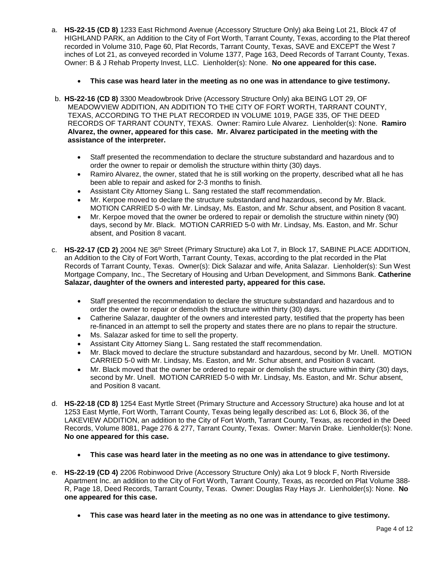- a. **HS-22-15 (CD 8)** 1233 East Richmond Avenue (Accessory Structure Only) aka Being Lot 21, Block 47 of HIGHLAND PARK, an Addition to the City of Fort Worth, Tarrant County, Texas, according to the Plat thereof recorded in Volume 310, Page 60, Plat Records, Tarrant County, Texas, SAVE and EXCEPT the West 7 inches of Lot 21, as conveyed recorded in Volume 1377, Page 163, Deed Records of Tarrant County, Texas. Owner: B & J Rehab Property Invest, LLC. Lienholder(s): None. **No one appeared for this case.**
	- **This case was heard later in the meeting as no one was in attendance to give testimony.**
- b. **HS-22-16 (CD 8)** 3300 Meadowbrook Drive (Accessory Structure Only) aka BEING LOT 29, OF MEADOWVIEW ADDITION, AN ADDITION TO THE CITY OF FORT WORTH, TARRANT COUNTY, TEXAS, ACCORDING TO THE PLAT RECORDED IN VOLUME 1019, PAGE 335, OF THE DEED RECORDS OF TARRANT COUNTY, TEXAS. Owner: Ramiro Lule Alvarez. Lienholder(s): None. **Ramiro Alvarez, the owner, appeared for this case. Mr. Alvarez participated in the meeting with the assistance of the interpreter.**
	- Staff presented the recommendation to declare the structure substandard and hazardous and to order the owner to repair or demolish the structure within thirty (30) days.
	- Ramiro Alvarez, the owner, stated that he is still working on the property, described what all he has been able to repair and asked for 2-3 months to finish.
	- Assistant City Attorney Siang L. Sang restated the staff recommendation.
	- Mr. Kerpoe moved to declare the structure substandard and hazardous, second by Mr. Black. MOTION CARRIED 5-0 with Mr. Lindsay, Ms. Easton, and Mr. Schur absent, and Position 8 vacant.
	- Mr. Kerpoe moved that the owner be ordered to repair or demolish the structure within ninety (90) days, second by Mr. Black. MOTION CARRIED 5-0 with Mr. Lindsay, Ms. Easton, and Mr. Schur absent, and Position 8 vacant.
- c. **HS-22-17 (CD 2)** 2004 NE 36th Street (Primary Structure) aka Lot 7, in Block 17, SABINE PLACE ADDITION, an Addition to the City of Fort Worth, Tarrant County, Texas, according to the plat recorded in the Plat Records of Tarrant County, Texas. Owner(s): Dick Salazar and wife, Anita Salazar. Lienholder(s): Sun West Mortgage Company, Inc., The Secretary of Housing and Urban Development, and Simmons Bank. **Catherine Salazar, daughter of the owners and interested party, appeared for this case.**
	- Staff presented the recommendation to declare the structure substandard and hazardous and to order the owner to repair or demolish the structure within thirty (30) days.
	- Catherine Salazar, daughter of the owners and interested party, testified that the property has been re-financed in an attempt to sell the property and states there are no plans to repair the structure.
	- Ms. Salazar asked for time to sell the property.
	- Assistant City Attorney Siang L. Sang restated the staff recommendation.
	- Mr. Black moved to declare the structure substandard and hazardous, second by Mr. Unell. MOTION CARRIED 5-0 with Mr. Lindsay, Ms. Easton, and Mr. Schur absent, and Position 8 vacant.
	- Mr. Black moved that the owner be ordered to repair or demolish the structure within thirty (30) days, second by Mr. Unell. MOTION CARRIED 5-0 with Mr. Lindsay, Ms. Easton, and Mr. Schur absent, and Position 8 vacant.
- d. **HS-22-18 (CD 8)** 1254 East Myrtle Street (Primary Structure and Accessory Structure) aka house and lot at 1253 East Myrtle, Fort Worth, Tarrant County, Texas being legally described as: Lot 6, Block 36, of the LAKEVIEW ADDITION, an addition to the City of Fort Worth, Tarrant County, Texas, as recorded in the Deed Records, Volume 8081, Page 276 & 277, Tarrant County, Texas. Owner: Marvin Drake. Lienholder(s): None. **No one appeared for this case.**
	- **This case was heard later in the meeting as no one was in attendance to give testimony.**
- e. **HS-22-19 (CD 4)** 2206 Robinwood Drive (Accessory Structure Only) aka Lot 9 block F, North Riverside Apartment Inc. an addition to the City of Fort Worth, Tarrant County, Texas, as recorded on Plat Volume 388- R, Page 18, Deed Records, Tarrant County, Texas. Owner: Douglas Ray Hays Jr. Lienholder(s): None. **No one appeared for this case.**
	- **This case was heard later in the meeting as no one was in attendance to give testimony.**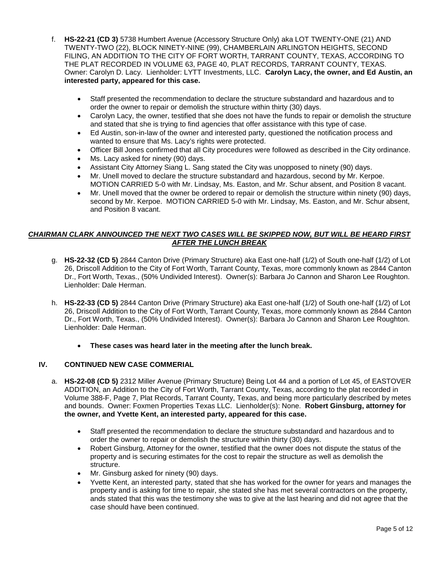- f. **HS-22-21 (CD 3)** 5738 Humbert Avenue (Accessory Structure Only) aka LOT TWENTY-ONE (21) AND TWENTY-TWO (22), BLOCK NINETY-NINE (99), CHAMBERLAIN ARLINGTON HEIGHTS, SECOND FILING, AN ADDITION TO THE CITY OF FORT WORTH, TARRANT COUNTY, TEXAS, ACCORDING TO THE PLAT RECORDED IN VOLUME 63, PAGE 40, PLAT RECORDS, TARRANT COUNTY, TEXAS. Owner: Carolyn D. Lacy. Lienholder: LYTT Investments, LLC. **Carolyn Lacy, the owner, and Ed Austin, an interested party, appeared for this case.**
	- Staff presented the recommendation to declare the structure substandard and hazardous and to order the owner to repair or demolish the structure within thirty (30) days.
	- Carolyn Lacy, the owner, testified that she does not have the funds to repair or demolish the structure and stated that she is trying to find agencies that offer assistance with this type of case.
	- Ed Austin, son-in-law of the owner and interested party, questioned the notification process and wanted to ensure that Ms. Lacy's rights were protected.
	- Officer Bill Jones confirmed that all City procedures were followed as described in the City ordinance.
	- Ms. Lacy asked for ninety (90) days.
	- Assistant City Attorney Siang L. Sang stated the City was unopposed to ninety (90) days.
	- Mr. Unell moved to declare the structure substandard and hazardous, second by Mr. Kerpoe. MOTION CARRIED 5-0 with Mr. Lindsay, Ms. Easton, and Mr. Schur absent, and Position 8 vacant.
	- Mr. Unell moved that the owner be ordered to repair or demolish the structure within ninety (90) days, second by Mr. Kerpoe. MOTION CARRIED 5-0 with Mr. Lindsay, Ms. Easton, and Mr. Schur absent, and Position 8 vacant.

# *CHAIRMAN CLARK ANNOUNCED THE NEXT TWO CASES WILL BE SKIPPED NOW, BUT WILL BE HEARD FIRST AFTER THE LUNCH BREAK*

- g. **HS-22-32 (CD 5)** 2844 Canton Drive (Primary Structure) aka East one-half (1/2) of South one-half (1/2) of Lot 26, Driscoll Addition to the City of Fort Worth, Tarrant County, Texas, more commonly known as 2844 Canton Dr., Fort Worth, Texas., (50% Undivided Interest). Owner(s): Barbara Jo Cannon and Sharon Lee Roughton. Lienholder: Dale Herman.
- h. **HS-22-33 (CD 5)** 2844 Canton Drive (Primary Structure) aka East one-half (1/2) of South one-half (1/2) of Lot 26, Driscoll Addition to the City of Fort Worth, Tarrant County, Texas, more commonly known as 2844 Canton Dr., Fort Worth, Texas., (50% Undivided Interest). Owner(s): Barbara Jo Cannon and Sharon Lee Roughton. Lienholder: Dale Herman.
	- **These cases was heard later in the meeting after the lunch break.**

## **IV. CONTINUED NEW CASE COMMERIAL**

- a. **HS-22-08 (CD 5)** 2312 Miller Avenue (Primary Structure) Being Lot 44 and a portion of Lot 45, of EASTOVER ADDITION, an Addition to the City of Fort Worth, Tarrant County, Texas, according to the plat recorded in Volume 388-F, Page 7, Plat Records, Tarrant County, Texas, and being more particularly described by metes and bounds. Owner: Foxmen Properties Texas LLC. Lienholder(s): None. **Robert Ginsburg, attorney for the owner, and Yvette Kent, an interested party, appeared for this case.**
	- Staff presented the recommendation to declare the structure substandard and hazardous and to order the owner to repair or demolish the structure within thirty (30) days.
	- Robert Ginsburg, Attorney for the owner, testified that the owner does not dispute the status of the property and is securing estimates for the cost to repair the structure as well as demolish the structure.
	- Mr. Ginsburg asked for ninety (90) days.
	- Yvette Kent, an interested party, stated that she has worked for the owner for years and manages the property and is asking for time to repair, she stated she has met several contractors on the property, ands stated that this was the testimony she was to give at the last hearing and did not agree that the case should have been continued.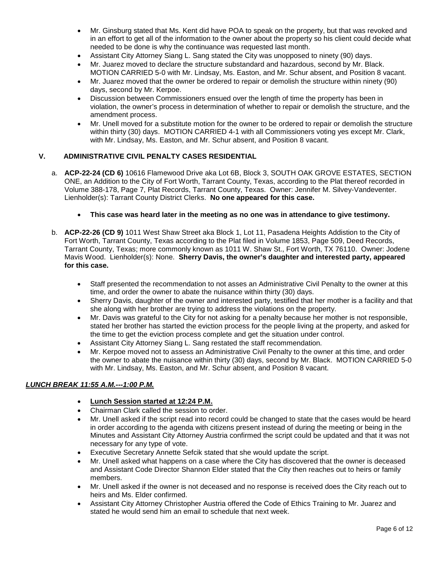- Mr. Ginsburg stated that Ms. Kent did have POA to speak on the property, but that was revoked and in an effort to get all of the information to the owner about the property so his client could decide what needed to be done is why the continuance was requested last month.
- Assistant City Attorney Siang L. Sang stated the City was unopposed to ninety (90) days.
- Mr. Juarez moved to declare the structure substandard and hazardous, second by Mr. Black. MOTION CARRIED 5-0 with Mr. Lindsay, Ms. Easton, and Mr. Schur absent, and Position 8 vacant.
- Mr. Juarez moved that the owner be ordered to repair or demolish the structure within ninety (90) days, second by Mr. Kerpoe.
- Discussion between Commissioners ensued over the length of time the property has been in violation, the owner's process in determination of whether to repair or demolish the structure, and the amendment process.
- Mr. Unell moved for a substitute motion for the owner to be ordered to repair or demolish the structure within thirty (30) days. MOTION CARRIED 4-1 with all Commissioners voting yes except Mr. Clark, with Mr. Lindsay, Ms. Easton, and Mr. Schur absent, and Position 8 vacant.

## **V. ADMINISTRATIVE CIVIL PENALTY CASES RESIDENTIAL**

- a. **ACP-22-24 (CD 6)** 10616 Flamewood Drive aka Lot 6B, Block 3, SOUTH OAK GROVE ESTATES, SECTION ONE, an Addition to the City of Fort Worth, Tarrant County, Texas, according to the Plat thereof recorded in Volume 388-178, Page 7, Plat Records, Tarrant County, Texas. Owner: Jennifer M. Silvey-Vandeventer. Lienholder(s): Tarrant County District Clerks. **No one appeared for this case.**
	- **This case was heard later in the meeting as no one was in attendance to give testimony.**
- b. **ACP-22-26 (CD 9)** 1011 West Shaw Street aka Block 1, Lot 11, Pasadena Heights Addistion to the City of Fort Worth, Tarrant County, Texas according to the Plat filed in Volume 1853, Page 509, Deed Records, Tarrant County, Texas; more commonly known as 1011 W. Shaw St., Fort Worth, TX 76110. Owner: Jodene Mavis Wood. Lienholder(s): None. **Sherry Davis, the owner's daughter and interested party, appeared for this case.**
	- Staff presented the recommendation to not asses an Administrative Civil Penalty to the owner at this time, and order the owner to abate the nuisance within thirty (30) days.
	- Sherry Davis, daughter of the owner and interested party, testified that her mother is a facility and that she along with her brother are trying to address the violations on the property.
	- Mr. Davis was grateful to the City for not asking for a penalty because her mother is not responsible, stated her brother has started the eviction process for the people living at the property, and asked for the time to get the eviction process complete and get the situation under control.
	- Assistant City Attorney Siang L. Sang restated the staff recommendation.
	- Mr. Kerpoe moved not to assess an Administrative Civil Penalty to the owner at this time, and order the owner to abate the nuisance within thirty (30) days, second by Mr. Black. MOTION CARRIED 5-0 with Mr. Lindsay, Ms. Easton, and Mr. Schur absent, and Position 8 vacant.

# *LUNCH BREAK 11:55 A.M.---1:00 P.M.*

- **Lunch Session started at 12:24 P.M.**
- Chairman Clark called the session to order.
- Mr. Unell asked if the script read into record could be changed to state that the cases would be heard in order according to the agenda with citizens present instead of during the meeting or being in the Minutes and Assistant City Attorney Austria confirmed the script could be updated and that it was not necessary for any type of vote.
- Executive Secretary Annette Sefcik stated that she would update the script.
- Mr. Unell asked what happens on a case where the City has discovered that the owner is deceased and Assistant Code Director Shannon Elder stated that the City then reaches out to heirs or family members.
- Mr. Unell asked if the owner is not deceased and no response is received does the City reach out to heirs and Ms. Elder confirmed.
- Assistant City Attorney Christopher Austria offered the Code of Ethics Training to Mr. Juarez and stated he would send him an email to schedule that next week.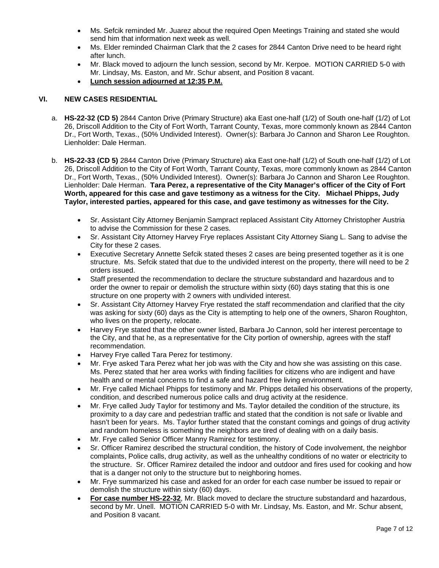- Ms. Sefcik reminded Mr. Juarez about the required Open Meetings Training and stated she would send him that information next week as well.
- Ms. Elder reminded Chairman Clark that the 2 cases for 2844 Canton Drive need to be heard right after lunch.
- Mr. Black moved to adjourn the lunch session, second by Mr. Kerpoe. MOTION CARRIED 5-0 with Mr. Lindsay, Ms. Easton, and Mr. Schur absent, and Position 8 vacant.
- **Lunch session adjourned at 12:35 P.M.**

## **VI. NEW CASES RESIDENTIAL**

- a. **HS-22-32 (CD 5)** 2844 Canton Drive (Primary Structure) aka East one-half (1/2) of South one-half (1/2) of Lot 26, Driscoll Addition to the City of Fort Worth, Tarrant County, Texas, more commonly known as 2844 Canton Dr., Fort Worth, Texas., (50% Undivided Interest). Owner(s): Barbara Jo Cannon and Sharon Lee Roughton. Lienholder: Dale Herman.
- b. **HS-22-33 (CD 5)** 2844 Canton Drive (Primary Structure) aka East one-half (1/2) of South one-half (1/2) of Lot 26, Driscoll Addition to the City of Fort Worth, Tarrant County, Texas, more commonly known as 2844 Canton Dr., Fort Worth, Texas., (50% Undivided Interest). Owner(s): Barbara Jo Cannon and Sharon Lee Roughton. Lienholder: Dale Herman. **Tara Perez, a representative of the City Manager's officer of the City of Fort Worth, appeared for this case and gave testimony as a witness for the City. Michael Phipps, Judy Taylor, interested parties, appeared for this case, and gave testimony as witnesses for the City.** 
	- Sr. Assistant City Attorney Benjamin Sampract replaced Assistant City Attorney Christopher Austria to advise the Commission for these 2 cases.
	- Sr. Assistant City Attorney Harvey Frye replaces Assistant City Attorney Siang L. Sang to advise the City for these 2 cases.
	- Executive Secretary Annette Sefcik stated theses 2 cases are being presented together as it is one structure. Ms. Sefcik stated that due to the undivided interest on the property, there will need to be 2 orders issued.
	- Staff presented the recommendation to declare the structure substandard and hazardous and to order the owner to repair or demolish the structure within sixty (60) days stating that this is one structure on one property with 2 owners with undivided interest.
	- Sr. Assistant City Attorney Harvey Frye restated the staff recommendation and clarified that the city was asking for sixty (60) days as the City is attempting to help one of the owners, Sharon Roughton, who lives on the property, relocate.
	- Harvey Frye stated that the other owner listed, Barbara Jo Cannon, sold her interest percentage to the City, and that he, as a representative for the City portion of ownership, agrees with the staff recommendation.
	- Harvey Frye called Tara Perez for testimony.
	- Mr. Frye asked Tara Perez what her job was with the City and how she was assisting on this case. Ms. Perez stated that her area works with finding facilities for citizens who are indigent and have health and or mental concerns to find a safe and hazard free living environment.
	- Mr. Frye called Michael Phipps for testimony and Mr. Phipps detailed his observations of the property, condition, and described numerous police calls and drug activity at the residence.
	- Mr. Frye called Judy Taylor for testimony and Ms. Taylor detailed the condition of the structure, its proximity to a day care and pedestrian traffic and stated that the condition is not safe or livable and hasn't been for years. Ms. Taylor further stated that the constant comings and goings of drug activity and random homeless is something the neighbors are tired of dealing with on a daily basis.
	- Mr. Frye called Senior Officer Manny Ramirez for testimony.
	- Sr. Officer Ramirez described the structural condition, the history of Code involvement, the neighbor complaints, Police calls, drug activity, as well as the unhealthy conditions of no water or electricity to the structure. Sr. Officer Ramirez detailed the indoor and outdoor and fires used for cooking and how that is a danger not only to the structure but to neighboring homes.
	- Mr. Frye summarized his case and asked for an order for each case number be issued to repair or demolish the structure within sixty (60) days.
	- **For case number HS-22-32**, Mr. Black moved to declare the structure substandard and hazardous, second by Mr. Unell. MOTION CARRIED 5-0 with Mr. Lindsay, Ms. Easton, and Mr. Schur absent, and Position 8 vacant.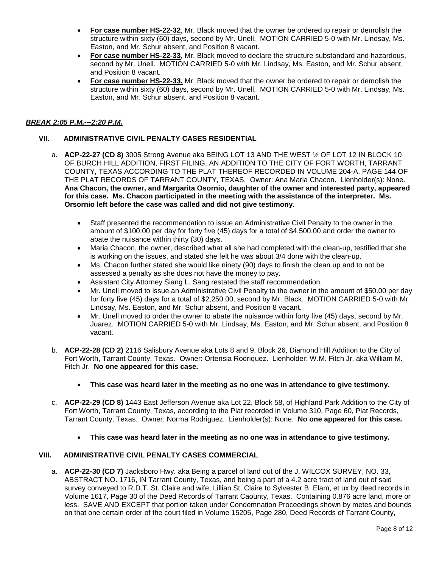- **For case number HS-22-32**, Mr. Black moved that the owner be ordered to repair or demolish the structure within sixty (60) days, second by Mr. Unell. MOTION CARRIED 5-0 with Mr. Lindsay, Ms. Easton, and Mr. Schur absent, and Position 8 vacant.
- **For case number HS-22-33**, Mr. Black moved to declare the structure substandard and hazardous, second by Mr. Unell. MOTION CARRIED 5-0 with Mr. Lindsay, Ms. Easton, and Mr. Schur absent, and Position 8 vacant.
- **For case number HS-22-33,** Mr. Black moved that the owner be ordered to repair or demolish the structure within sixty (60) days, second by Mr. Unell. MOTION CARRIED 5-0 with Mr. Lindsay, Ms. Easton, and Mr. Schur absent, and Position 8 vacant.

# *BREAK 2:05 P.M.---2:20 P.M.*

# **VII. ADMINISTRATIVE CIVIL PENALTY CASES RESIDENTIAL**

- a. **ACP-22-27 (CD 8)** 3005 Strong Avenue aka BEING LOT 13 AND THE WEST ½ OF LOT 12 IN BLOCK 10 OF BURCH HILL ADDITION, FIRST FILING, AN ADDITION TO THE CITY OF FORT WORTH, TARRANT COUNTY, TEXAS ACCORDING TO THE PLAT THEREOF RECORDED IN VOLUME 204-A, PAGE 144 OF THE PLAT RECORDS OF TARRANT COUNTY, TEXAS. Owner: Ana Maria Chacon. Lienholder(s): None. **Ana Chacon, the owner, and Margarita Osornio, daughter of the owner and interested party, appeared for this case. Ms. Chacon participated in the meeting with the assistance of the interpreter. Ms. Orsornio left before the case was called and did not give testimony.**
	- Staff presented the recommendation to issue an Administrative Civil Penalty to the owner in the amount of \$100.00 per day for forty five (45) days for a total of \$4,500.00 and order the owner to abate the nuisance within thirty (30) days.
	- Maria Chacon, the owner, described what all she had completed with the clean-up, testified that she is working on the issues, and stated she felt he was about 3/4 done with the clean-up.
	- Ms. Chacon further stated she would like ninety (90) days to finish the clean up and to not be assessed a penalty as she does not have the money to pay.
	- Assistant City Attorney Siang L. Sang restated the staff recommendation.
	- Mr. Unell moved to issue an Administrative Civil Penalty to the owner in the amount of \$50.00 per day for forty five (45) days for a total of \$2,250.00, second by Mr. Black. MOTION CARRIED 5-0 with Mr. Lindsay, Ms. Easton, and Mr. Schur absent, and Position 8 vacant.
	- Mr. Unell moved to order the owner to abate the nuisance within forty five (45) days, second by Mr. Juarez. MOTION CARRIED 5-0 with Mr. Lindsay, Ms. Easton, and Mr. Schur absent, and Position 8 vacant.
- b. **ACP-22-28 (CD 2)** 2116 Salisbury Avenue aka Lots 8 and 9, Block 26, Diamond Hill Addition to the City of Fort Worth, Tarrant County, Texas. Owner: Ortensia Rodriquez. Lienholder: W.M. Fitch Jr. aka William M. Fitch Jr. **No one appeared for this case.**
	- **This case was heard later in the meeting as no one was in attendance to give testimony.**
- c. **ACP-22-29 (CD 8)** 1443 East Jefferson Avenue aka Lot 22, Block 58, of Highland Park Addition to the City of Fort Worth, Tarrant County, Texas, according to the Plat recorded in Volume 310, Page 60, Plat Records, Tarrant County, Texas. Owner: Norma Rodriguez. Lienholder(s): None. **No one appeared for this case.**
	- **This case was heard later in the meeting as no one was in attendance to give testimony.**

## **VIII. ADMINISTRATIVE CIVIL PENALTY CASES COMMERCIAL**

a. **ACP-22-30 (CD 7)** Jacksboro Hwy. aka Being a parcel of land out of the J. WILCOX SURVEY, NO. 33, ABSTRACT NO. 1716, IN Tarrant County, Texas, and being a part of a 4.2 acre tract of land out of said survey conveyed to R.D.T. St. Claire and wife, Lillian St. Claire to Sylvester B. Elam, et ux by deed records in Volume 1617, Page 30 of the Deed Records of Tarrant Caounty, Texas. Containing 0.876 acre land, more or less. SAVE AND EXCEPT that portion taken under Condemnation Proceedings shown by metes and bounds on that one certain order of the court filed in Volume 15205, Page 280, Deed Records of Tarrant County,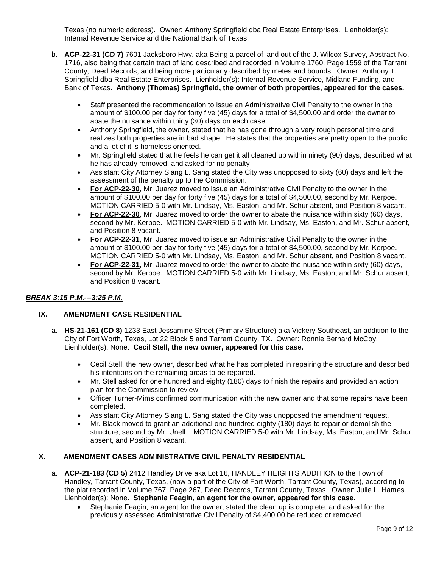Texas (no numeric address). Owner: Anthony Springfield dba Real Estate Enterprises. Lienholder(s): Internal Revenue Service and the National Bank of Texas.

- b. **ACP-22-31 (CD 7)** 7601 Jacksboro Hwy. aka Being a parcel of land out of the J. Wilcox Survey, Abstract No. 1716, also being that certain tract of land described and recorded in Volume 1760, Page 1559 of the Tarrant County, Deed Records, and being more particularly described by metes and bounds. Owner: Anthony T. Springfield dba Real Estate Enterprises. Lienholder(s): Internal Revenue Service, Midland Funding, and Bank of Texas. **Anthony (Thomas) Springfield, the owner of both properties, appeared for the cases.**
	- Staff presented the recommendation to issue an Administrative Civil Penalty to the owner in the amount of \$100.00 per day for forty five (45) days for a total of \$4,500.00 and order the owner to abate the nuisance within thirty (30) days on each case.
	- Anthony Springfield, the owner, stated that he has gone through a very rough personal time and realizes both properties are in bad shape. He states that the properties are pretty open to the public and a lot of it is homeless oriented.
	- Mr. Springfield stated that he feels he can get it all cleaned up within ninety (90) days, described what he has already removed, and asked for no penalty
	- Assistant City Attorney Siang L. Sang stated the City was unopposed to sixty (60) days and left the assessment of the penalty up to the Commission.
	- **For ACP-22-30**, Mr. Juarez moved to issue an Administrative Civil Penalty to the owner in the amount of \$100.00 per day for forty five (45) days for a total of \$4,500.00, second by Mr. Kerpoe. MOTION CARRIED 5-0 with Mr. Lindsay, Ms. Easton, and Mr. Schur absent, and Position 8 vacant.
	- **For ACP-22-30**, Mr. Juarez moved to order the owner to abate the nuisance within sixty (60) days, second by Mr. Kerpoe. MOTION CARRIED 5-0 with Mr. Lindsay, Ms. Easton, and Mr. Schur absent, and Position 8 vacant.
	- **For ACP-22-31**, Mr. Juarez moved to issue an Administrative Civil Penalty to the owner in the amount of \$100.00 per day for forty five (45) days for a total of \$4,500.00, second by Mr. Kerpoe. MOTION CARRIED 5-0 with Mr. Lindsay, Ms. Easton, and Mr. Schur absent, and Position 8 vacant.
	- **For ACP-22-31**, Mr. Juarez moved to order the owner to abate the nuisance within sixty (60) days, second by Mr. Kerpoe. MOTION CARRIED 5-0 with Mr. Lindsay, Ms. Easton, and Mr. Schur absent, and Position 8 vacant.

# *BREAK 3:15 P.M.---3:25 P.M.*

# **IX. AMENDMENT CASE RESIDENTIAL**

- a. **HS-21-161 (CD 8)** 1233 East Jessamine Street (Primary Structure) aka Vickery Southeast, an addition to the City of Fort Worth, Texas, Lot 22 Block 5 and Tarrant County, TX. Owner: Ronnie Bernard McCoy. Lienholder(s): None. **Cecil Stell, the new owner, appeared for this case.**
	- Cecil Stell, the new owner, described what he has completed in repairing the structure and described his intentions on the remaining areas to be repaired.
	- Mr. Stell asked for one hundred and eighty (180) days to finish the repairs and provided an action plan for the Commission to review.
	- Officer Turner-Mims confirmed communication with the new owner and that some repairs have been completed.
	- Assistant City Attorney Siang L. Sang stated the City was unopposed the amendment request.
	- Mr. Black moved to grant an additional one hundred eighty (180) days to repair or demolish the structure, second by Mr. Unell. MOTION CARRIED 5-0 with Mr. Lindsay, Ms. Easton, and Mr. Schur absent, and Position 8 vacant.

#### **X. AMENDMENT CASES ADMINISTRATIVE CIVIL PENALTY RESIDENTIAL**

- a. **ACP-21-183 (CD 5)** 2412 Handley Drive aka Lot 16, HANDLEY HEIGHTS ADDITION to the Town of Handley, Tarrant County, Texas, (now a part of the City of Fort Worth, Tarrant County, Texas), according to the plat recorded in Volume 767, Page 267, Deed Records, Tarrant County, Texas. Owner: Julie L. Hames. Lienholder(s): None. **Stephanie Feagin, an agent for the owner, appeared for this case.**
	- Stephanie Feagin, an agent for the owner, stated the clean up is complete, and asked for the previously assessed Administrative Civil Penalty of \$4,400.00 be reduced or removed.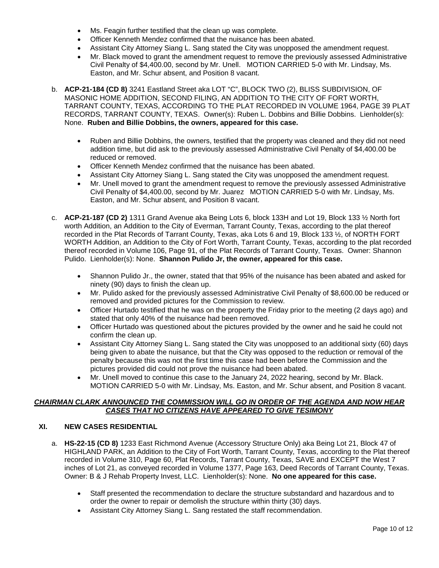- Ms. Feagin further testified that the clean up was complete.
- Officer Kenneth Mendez confirmed that the nuisance has been abated.
- Assistant City Attorney Siang L. Sang stated the City was unopposed the amendment request.
- Mr. Black moved to grant the amendment request to remove the previously assessed Administrative Civil Penalty of \$4,400.00, second by Mr. Unell. MOTION CARRIED 5-0 with Mr. Lindsay, Ms. Easton, and Mr. Schur absent, and Position 8 vacant.
- b. **ACP-21-184 (CD 8)** 3241 Eastland Street aka LOT "C", BLOCK TWO (2), BLISS SUBDIVISION, OF MASONIC HOME ADDITION, SECOND FILING, AN ADDITION TO THE CITY OF FORT WORTH, TARRANT COUNTY, TEXAS, ACCORDING TO THE PLAT RECORDED IN VOLUME 1964, PAGE 39 PLAT RECORDS, TARRANT COUNTY, TEXAS. Owner(s): Ruben L. Dobbins and Billie Dobbins. Lienholder(s): None. **Ruben and Billie Dobbins, the owners, appeared for this case.**
	- Ruben and Billie Dobbins, the owners, testified that the property was cleaned and they did not need addition time, but did ask to the previously assessed Administrative Civil Penalty of \$4,400.00 be reduced or removed.
	- Officer Kenneth Mendez confirmed that the nuisance has been abated.
	- Assistant City Attorney Siang L. Sang stated the City was unopposed the amendment request.
	- Mr. Unell moved to grant the amendment request to remove the previously assessed Administrative Civil Penalty of \$4,400.00, second by Mr. Juarez MOTION CARRIED 5-0 with Mr. Lindsay, Ms. Easton, and Mr. Schur absent, and Position 8 vacant.
- c. **ACP-21-187 (CD 2)** 1311 Grand Avenue aka Being Lots 6, block 133H and Lot 19, Block 133 ½ North fort worth Addition, an Addition to the City of Everman, Tarrant County, Texas, according to the plat thereof recorded in the Plat Records of Tarrant County, Texas, aka Lots 6 and 19, Block 133 ½, of NORTH FORT WORTH Addition, an Addition to the City of Fort Worth, Tarrant County, Texas, according to the plat recorded thereof recorded in Volume 106, Page 91, of the Plat Records of Tarrant County, Texas. Owner: Shannon Pulido. Lienholder(s): None. **Shannon Pulido Jr, the owner, appeared for this case.**
	- Shannon Pulido Jr., the owner, stated that that 95% of the nuisance has been abated and asked for ninety (90) days to finish the clean up.
	- Mr. Pulido asked for the previously assessed Administrative Civil Penalty of \$8,600.00 be reduced or removed and provided pictures for the Commission to review.
	- Officer Hurtado testified that he was on the property the Friday prior to the meeting (2 days ago) and stated that only 40% of the nuisance had been removed.
	- Officer Hurtado was questioned about the pictures provided by the owner and he said he could not confirm the clean up.
	- Assistant City Attorney Siang L. Sang stated the City was unopposed to an additional sixty (60) days being given to abate the nuisance, but that the City was opposed to the reduction or removal of the penalty because this was not the first time this case had been before the Commission and the pictures provided did could not prove the nuisance had been abated.
	- Mr. Unell moved to continue this case to the January 24, 2022 hearing, second by Mr. Black. MOTION CARRIED 5-0 with Mr. Lindsay, Ms. Easton, and Mr. Schur absent, and Position 8 vacant.

## *CHAIRMAN CLARK ANNOUNCED THE COMMISSION WILL GO IN ORDER OF THE AGENDA AND NOW HEAR CASES THAT NO CITIZENS HAVE APPEARED TO GIVE TESIMONY*

## **XI. NEW CASES RESIDENTIAL**

- a. **HS-22-15 (CD 8)** 1233 East Richmond Avenue (Accessory Structure Only) aka Being Lot 21, Block 47 of HIGHLAND PARK, an Addition to the City of Fort Worth, Tarrant County, Texas, according to the Plat thereof recorded in Volume 310, Page 60, Plat Records, Tarrant County, Texas, SAVE and EXCEPT the West 7 inches of Lot 21, as conveyed recorded in Volume 1377, Page 163, Deed Records of Tarrant County, Texas. Owner: B & J Rehab Property Invest, LLC. Lienholder(s): None. **No one appeared for this case.**
	- Staff presented the recommendation to declare the structure substandard and hazardous and to order the owner to repair or demolish the structure within thirty (30) days.
	- Assistant City Attorney Siang L. Sang restated the staff recommendation.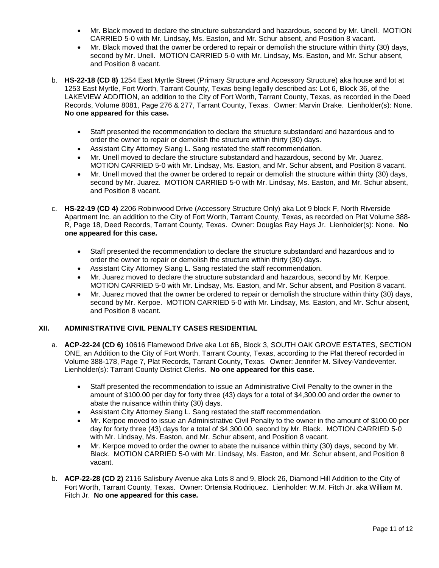- Mr. Black moved to declare the structure substandard and hazardous, second by Mr. Unell. MOTION CARRIED 5-0 with Mr. Lindsay, Ms. Easton, and Mr. Schur absent, and Position 8 vacant.
- Mr. Black moved that the owner be ordered to repair or demolish the structure within thirty (30) days, second by Mr. Unell. MOTION CARRIED 5-0 with Mr. Lindsay, Ms. Easton, and Mr. Schur absent, and Position 8 vacant.
- b. **HS-22-18 (CD 8)** 1254 East Myrtle Street (Primary Structure and Accessory Structure) aka house and lot at 1253 East Myrtle, Fort Worth, Tarrant County, Texas being legally described as: Lot 6, Block 36, of the LAKEVIEW ADDITION, an addition to the City of Fort Worth, Tarrant County, Texas, as recorded in the Deed Records, Volume 8081, Page 276 & 277, Tarrant County, Texas. Owner: Marvin Drake. Lienholder(s): None. **No one appeared for this case.**
	- Staff presented the recommendation to declare the structure substandard and hazardous and to order the owner to repair or demolish the structure within thirty (30) days.
	- Assistant City Attorney Siang L. Sang restated the staff recommendation.
	- Mr. Unell moved to declare the structure substandard and hazardous, second by Mr. Juarez. MOTION CARRIED 5-0 with Mr. Lindsay, Ms. Easton, and Mr. Schur absent, and Position 8 vacant.
	- Mr. Unell moved that the owner be ordered to repair or demolish the structure within thirty (30) days, second by Mr. Juarez. MOTION CARRIED 5-0 with Mr. Lindsay, Ms. Easton, and Mr. Schur absent, and Position 8 vacant.
- c. **HS-22-19 (CD 4)** 2206 Robinwood Drive (Accessory Structure Only) aka Lot 9 block F, North Riverside Apartment Inc. an addition to the City of Fort Worth, Tarrant County, Texas, as recorded on Plat Volume 388- R, Page 18, Deed Records, Tarrant County, Texas. Owner: Douglas Ray Hays Jr. Lienholder(s): None. **No one appeared for this case.**
	- Staff presented the recommendation to declare the structure substandard and hazardous and to order the owner to repair or demolish the structure within thirty (30) days.
	- Assistant City Attorney Siang L. Sang restated the staff recommendation.
	- Mr. Juarez moved to declare the structure substandard and hazardous, second by Mr. Kerpoe. MOTION CARRIED 5-0 with Mr. Lindsay, Ms. Easton, and Mr. Schur absent, and Position 8 vacant.
	- Mr. Juarez moved that the owner be ordered to repair or demolish the structure within thirty (30) days, second by Mr. Kerpoe. MOTION CARRIED 5-0 with Mr. Lindsay, Ms. Easton, and Mr. Schur absent, and Position 8 vacant.

# **XII. ADMINISTRATIVE CIVIL PENALTY CASES RESIDENTIAL**

- a. **ACP-22-24 (CD 6)** 10616 Flamewood Drive aka Lot 6B, Block 3, SOUTH OAK GROVE ESTATES, SECTION ONE, an Addition to the City of Fort Worth, Tarrant County, Texas, according to the Plat thereof recorded in Volume 388-178, Page 7, Plat Records, Tarrant County, Texas. Owner: Jennifer M. Silvey-Vandeventer. Lienholder(s): Tarrant County District Clerks. **No one appeared for this case.**
	- Staff presented the recommendation to issue an Administrative Civil Penalty to the owner in the amount of \$100.00 per day for forty three (43) days for a total of \$4,300.00 and order the owner to abate the nuisance within thirty (30) days.
	- Assistant City Attorney Siang L. Sang restated the staff recommendation.
	- Mr. Kerpoe moved to issue an Administrative Civil Penalty to the owner in the amount of \$100.00 per day for forty three (43) days for a total of \$4,300.00, second by Mr. Black. MOTION CARRIED 5-0 with Mr. Lindsay, Ms. Easton, and Mr. Schur absent, and Position 8 vacant.
	- Mr. Kerpoe moved to order the owner to abate the nuisance within thirty (30) days, second by Mr. Black. MOTION CARRIED 5-0 with Mr. Lindsay, Ms. Easton, and Mr. Schur absent, and Position 8 vacant.
- b. **ACP-22-28 (CD 2)** 2116 Salisbury Avenue aka Lots 8 and 9, Block 26, Diamond Hill Addition to the City of Fort Worth, Tarrant County, Texas. Owner: Ortensia Rodriquez. Lienholder: W.M. Fitch Jr. aka William M. Fitch Jr. **No one appeared for this case.**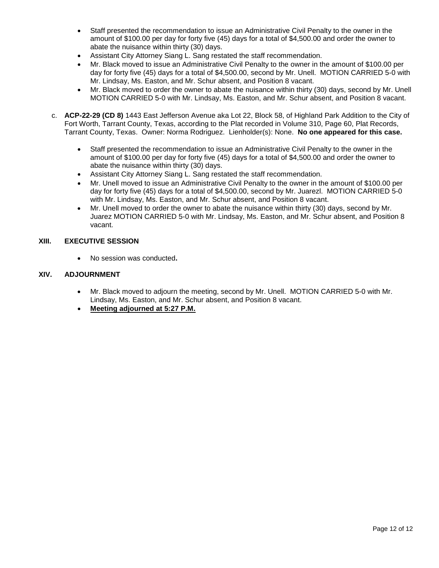- Staff presented the recommendation to issue an Administrative Civil Penalty to the owner in the amount of \$100.00 per day for forty five (45) days for a total of \$4,500.00 and order the owner to abate the nuisance within thirty (30) days.
- Assistant City Attorney Siang L. Sang restated the staff recommendation.
- Mr. Black moved to issue an Administrative Civil Penalty to the owner in the amount of \$100.00 per day for forty five (45) days for a total of \$4,500.00, second by Mr. Unell. MOTION CARRIED 5-0 with Mr. Lindsay, Ms. Easton, and Mr. Schur absent, and Position 8 vacant.
- Mr. Black moved to order the owner to abate the nuisance within thirty (30) days, second by Mr. Unell MOTION CARRIED 5-0 with Mr. Lindsay, Ms. Easton, and Mr. Schur absent, and Position 8 vacant.
- c. **ACP-22-29 (CD 8)** 1443 East Jefferson Avenue aka Lot 22, Block 58, of Highland Park Addition to the City of Fort Worth, Tarrant County, Texas, according to the Plat recorded in Volume 310, Page 60, Plat Records, Tarrant County, Texas. Owner: Norma Rodriguez. Lienholder(s): None. **No one appeared for this case.**
	- Staff presented the recommendation to issue an Administrative Civil Penalty to the owner in the amount of \$100.00 per day for forty five (45) days for a total of \$4,500.00 and order the owner to abate the nuisance within thirty (30) days.
	- Assistant City Attorney Siang L. Sang restated the staff recommendation.
	- Mr. Unell moved to issue an Administrative Civil Penalty to the owner in the amount of \$100.00 per day for forty five (45) days for a total of \$4,500.00, second by Mr. Juarezl. MOTION CARRIED 5-0 with Mr. Lindsay, Ms. Easton, and Mr. Schur absent, and Position 8 vacant.
	- Mr. Unell moved to order the owner to abate the nuisance within thirty (30) days, second by Mr. Juarez MOTION CARRIED 5-0 with Mr. Lindsay, Ms. Easton, and Mr. Schur absent, and Position 8 vacant.

## **XIII. EXECUTIVE SESSION**

• No session was conducted**.**

## **XIV. ADJOURNMENT**

- Mr. Black moved to adjourn the meeting, second by Mr. Unell. MOTION CARRIED 5-0 with Mr. Lindsay, Ms. Easton, and Mr. Schur absent, and Position 8 vacant.
- **Meeting adjourned at 5:27 P.M.**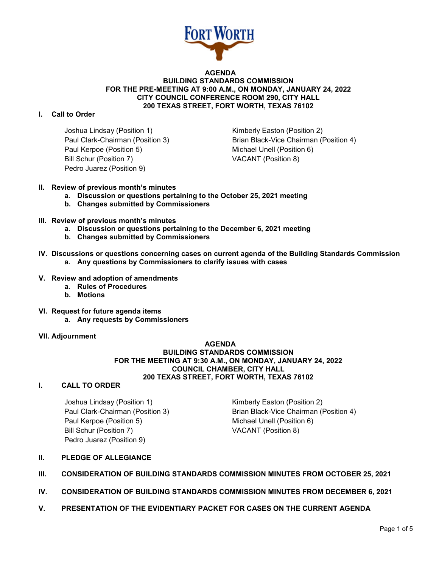

#### **AGENDA BUILDING STANDARDS COMMISSION FOR THE PRE-MEETING AT 9:00 A.M., ON MONDAY, JANUARY 24, 2022 CITY COUNCIL CONFERENCE ROOM 290, CITY HALL 200 TEXAS STREET, FORT WORTH, TEXAS 76102**

## **I. Call to Order**

Joshua Lindsay (Position 1) The Rimberly Easton (Position 2) Paul Kerpoe (Position 5) Michael Unell (Position 6) Bill Schur (Position 7) VACANT (Position 8) Pedro Juarez (Position 9)

Paul Clark-Chairman (Position 3) Brian Black-Vice Chairman (Position 4)

- **II. Review of previous month's minutes**
	- **a. Discussion or questions pertaining to the October 25, 2021 meeting**
	- **b. Changes submitted by Commissioners**
- **III. Review of previous month's minutes**
	- **a. Discussion or questions pertaining to the December 6, 2021 meeting**
	- **b. Changes submitted by Commissioners**
- **IV. Discussions or questions concerning cases on current agenda of the Building Standards Commission a. Any questions by Commissioners to clarify issues with cases**
- **V. Review and adoption of amendments**
	- **a. Rules of Procedures**
	- **b. Motions**
- **VI. Request for future agenda items**
	- **a. Any requests by Commissioners**
- **VII. Adjournment**

## **AGENDA BUILDING STANDARDS COMMISSION FOR THE MEETING AT 9:30 A.M., ON MONDAY, JANUARY 24, 2022 COUNCIL CHAMBER, CITY HALL 200 TEXAS STREET, FORT WORTH, TEXAS 76102**

#### **I. CALL TO ORDER**

Joshua Lindsay (Position 1) Manuel Coston (Position 2) Paul Kerpoe (Position 5) Michael Unell (Position 6) Bill Schur (Position 7) VACANT (Position 8) Pedro Juarez (Position 9)

Paul Clark-Chairman (Position 3) Brian Black-Vice Chairman (Position 4)

- **II. PLEDGE OF ALLEGIANCE**
- **III. CONSIDERATION OF BUILDING STANDARDS COMMISSION MINUTES FROM OCTOBER 25, 2021**
- **IV. CONSIDERATION OF BUILDING STANDARDS COMMISSION MINUTES FROM DECEMBER 6, 2021**
- **V. PRESENTATION OF THE EVIDENTIARY PACKET FOR CASES ON THE CURRENT AGENDA**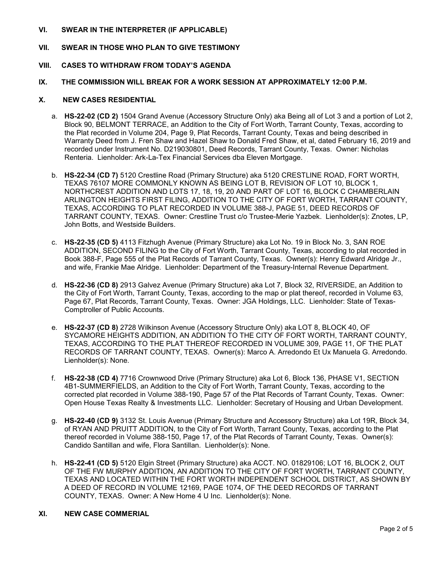## **VI. SWEAR IN THE INTERPRETER (IF APPLICABLE)**

# **VII. SWEAR IN THOSE WHO PLAN TO GIVE TESTIMONY**

#### **VIII. CASES TO WITHDRAW FROM TODAY'S AGENDA**

#### **IX. THE COMMISSION WILL BREAK FOR A WORK SESSION AT APPROXIMATELY 12:00 P.M.**

#### **X. NEW CASES RESIDENTIAL**

- a. **HS-22-02 (CD 2)** 1504 Grand Avenue (Accessory Structure Only) aka Being all of Lot 3 and a portion of Lot 2, Block 90, BELMONT TERRACE, an Addition to the City of Fort Worth, Tarrant County, Texas, according to the Plat recorded in Volume 204, Page 9, Plat Records, Tarrant County, Texas and being described in Warranty Deed from J. Fren Shaw and Hazel Shaw to Donald Fred Shaw, et al, dated February 16, 2019 and recorded under Instrument No. D219030801, Deed Records, Tarrant County, Texas. Owner: Nicholas Renteria. Lienholder: Ark-La-Tex Financial Services dba Eleven Mortgage.
- b. **HS-22-34 (CD 7)** 5120 Crestline Road (Primary Structure) aka 5120 CRESTLINE ROAD, FORT WORTH, TEXAS 76107 MORE COMMONLY KNOWN AS BEING LOT B, REVISION OF LOT 10, BLOCK 1, NORTHCREST ADDITION AND LOTS 17, 18, 19, 20 AND PART OF LOT 16, BLOCK C CHAMBERLAIN ARLINGTON HEIGHTS FIRST FILING, ADDITION TO THE CITY OF FORT WORTH, TARRANT COUNTY, TEXAS, ACCORDING TO PLAT RECORDED IN VOLUME 388-J, PAGE 51, DEED RECORDS OF TARRANT COUNTY, TEXAS. Owner: Crestline Trust c/o Trustee-Merie Yazbek. Lienholder(s): Znotes, LP, John Botts, and Westside Builders.
- c. **HS-22-35 (CD 5)** 4113 Fitzhugh Avenue (Primary Structure) aka Lot No. 19 in Block No. 3, SAN ROE ADDITION, SECOND FILING to the City of Fort Worth, Tarrant County, Texas, according to plat recorded in Book 388-F, Page 555 of the Plat Records of Tarrant County, Texas. Owner(s): Henry Edward Alridge Jr., and wife, Frankie Mae Alridge. Lienholder: Department of the Treasury-Internal Revenue Department.
- d. **HS-22-36 (CD 8)** 2913 Galvez Avenue (Primary Structure) aka Lot 7, Block 32, RIVERSIDE, an Addition to the City of Fort Worth, Tarrant County, Texas, according to the map or plat thereof, recorded in Volume 63, Page 67, Plat Records, Tarrant County, Texas. Owner: JGA Holdings, LLC. Lienholder: State of Texas-Comptroller of Public Accounts.
- e. **HS-22-37 (CD 8)** 2728 Wilkinson Avenue (Accessory Structure Only) aka LOT 8, BLOCK 40, OF SYCAMORE HEIGHTS ADDITION, AN ADDITION TO THE CITY OF FORT WORTH, TARRANT COUNTY, TEXAS, ACCORDING TO THE PLAT THEREOF RECORDED IN VOLUME 309, PAGE 11, OF THE PLAT RECORDS OF TARRANT COUNTY, TEXAS. Owner(s): Marco A. Arredondo Et Ux Manuela G. Arredondo. Lienholder(s): None.
- f. **HS-22-38 (CD 4)** 7716 Crownwood Drive (Primary Structure) aka Lot 6, Block 136, PHASE V1, SECTION 4B1-SUMMERFIELDS, an Addition to the City of Fort Worth, Tarrant County, Texas, according to the corrected plat recorded in Volume 388-190, Page 57 of the Plat Records of Tarrant County, Texas. Owner: Open House Texas Realty & Investments LLC. Lienholder: Secretary of Housing and Urban Development.
- g. **HS-22-40 (CD 9)** 3132 St. Louis Avenue (Primary Structure and Accessory Structure) aka Lot 19R, Block 34, of RYAN AND PRUITT ADDITION, to the City of Fort Worth, Tarrant County, Texas, according to the Plat thereof recorded in Volume 388-150, Page 17, of the Plat Records of Tarrant County, Texas. Owner(s): Candido Santillan and wife, Flora Santillan. Lienholder(s): None.
- h. **HS-22-41 (CD 5)** 5120 Elgin Street (Primary Structure) aka ACCT. NO. 01829106; LOT 16, BLOCK 2, OUT OF THE FW MURPHY ADDITION, AN ADDITION TO THE CITY OF FORT WORTH, TARRANT COUNTY, TEXAS AND LOCATED WITHIN THE FORT WORTH INDEPENDENT SCHOOL DISTRICT, AS SHOWN BY A DEED OF RECORD IN VOLUME 12169, PAGE 1074, OF THE DEED RECORDS OF TARRANT COUNTY, TEXAS. Owner: A New Home 4 U Inc. Lienholder(s): None.

## **XI. NEW CASE COMMERIAL**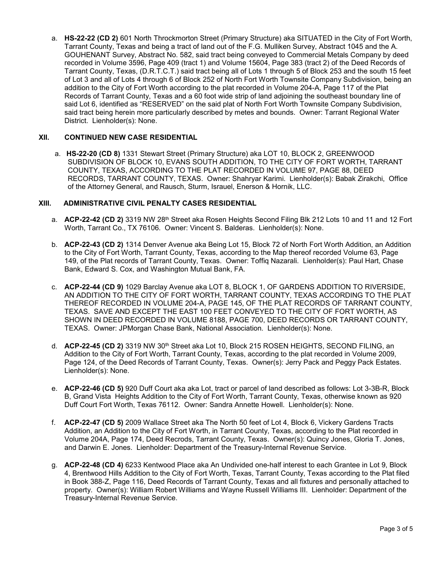a. **HS-22-22 (CD 2)** 601 North Throckmorton Street (Primary Structure) aka SITUATED in the City of Fort Worth, Tarrant County, Texas and being a tract of land out of the F.G. Mulliken Survey, Abstract 1045 and the A. GOUHENANT Survey, Abstract No. 582, said tract being conveyed to Commercial Metals Company by deed recorded in Volume 3596, Page 409 (tract 1) and Volume 15604, Page 383 (tract 2) of the Deed Records of Tarrant County, Texas, (D.R.T.C.T.) said tract being all of Lots 1 through 5 of Block 253 and the south 15 feet of Lot 3 and all of Lots 4 through 6 of Block 252 of North Fort Worth Townsite Company Subdivision, being an addition to the City of Fort Worth according to the plat recorded in Volume 204-A, Page 117 of the Plat Records of Tarrant County, Texas and a 60 foot wide strip of land adjoining the southeast boundary line of said Lot 6, identified as "RESERVED" on the said plat of North Fort Worth Townsite Company Subdivision, said tract being herein more particularly described by metes and bounds. Owner: Tarrant Regional Water District. Lienholder(s): None.

## **XII. CONTINUED NEW CASE RESIDENTIAL**

a. **HS-22-20 (CD 8)** 1331 Stewart Street (Primary Structure) aka LOT 10, BLOCK 2, GREENWOOD SUBDIVISION OF BLOCK 10, EVANS SOUTH ADDITION, TO THE CITY OF FORT WORTH, TARRANT COUNTY, TEXAS, ACCORDING TO THE PLAT RECORDED IN VOLUME 97, PAGE 88, DEED RECORDS, TARRANT COUNTY, TEXAS. Owner: Shahryar Karimi. Lienholder(s): Babak Zirakchi, Office of the Attorney General, and Rausch, Sturm, Israuel, Enerson & Hornik, LLC.

## **XIII. ADMINISTRATIVE CIVIL PENALTY CASES RESIDENTIAL**

- a. **ACP-22-42 (CD 2)** 3319 NW 28<sup>th</sup> Street aka Rosen Heights Second Filing Blk 212 Lots 10 and 11 and 12 Fort Worth, Tarrant Co., TX 76106. Owner: Vincent S. Balderas. Lienholder(s): None.
- b. **ACP-22-43 (CD 2)** 1314 Denver Avenue aka Being Lot 15, Block 72 of North Fort Worth Addition, an Addition to the City of Fort Worth, Tarrant County, Texas, according to the Map thereof recorded Volume 63, Page 149, of the Plat records of Tarrant County, Texas. Owner: Toffiq Nazarali. Lienholder(s): Paul Hart, Chase Bank, Edward S. Cox, and Washington Mutual Bank, FA.
- c. **ACP-22-44 (CD 9)** 1029 Barclay Avenue aka LOT 8, BLOCK 1, OF GARDENS ADDITION TO RIVERSIDE, AN ADDITION TO THE CITY OF FORT WORTH, TARRANT COUNTY, TEXAS ACCORDING TO THE PLAT THEREOF RECORDED IN VOLUME 204-A, PAGE 145, OF THE PLAT RECORDS OF TARRANT COUNTY, TEXAS. SAVE AND EXCEPT THE EAST 100 FEET CONVEYED TO THE CITY OF FORT WORTH, AS SHOWN IN DEED RECORDED IN VOLUME 8188, PAGE 700, DEED RECORDS OR TARRANT COUNTY, TEXAS. Owner: JPMorgan Chase Bank, National Association. Lienholder(s): None.
- d. **ACP-22-45 (CD 2)** 3319 NW 30<sup>th</sup> Street aka Lot 10, Block 215 ROSEN HEIGHTS, SECOND FILING, an Addition to the City of Fort Worth, Tarrant County, Texas, according to the plat recorded in Volume 2009, Page 124, of the Deed Records of Tarrant County, Texas. Owner(s): Jerry Pack and Peggy Pack Estates. Lienholder(s): None.
- e. **ACP-22-46 (CD 5)** 920 Duff Court aka aka Lot, tract or parcel of land described as follows: Lot 3-3B-R, Block B, Grand Vista Heights Addition to the City of Fort Worth, Tarrant County, Texas, otherwise known as 920 Duff Court Fort Worth, Texas 76112. Owner: Sandra Annette Howell. Lienholder(s): None.
- f. **ACP-22-47 (CD 5)** 2009 Wallace Street aka The North 50 feet of Lot 4, Block 6, Vickery Gardens Tracts Addition, an Addition to the City of Fort Worth, in Tarrant County, Texas, according to the Plat recorded in Volume 204A, Page 174, Deed Recrods, Tarrant County, Texas. Owner(s): Quincy Jones, Gloria T. Jones, and Darwin E. Jones. Lienholder: Department of the Treasury-Internal Revenue Service.
- g. **ACP-22-48 (CD 4)** 6233 Kentwood Place aka An Undivided one-half interest to each Grantee in Lot 9, Block 4, Brentwood Hills Addition to the City of Fort Worth, Texas, Tarrant County, Texas according to the Plat filed in Book 388-Z, Page 116, Deed Records of Tarrant County, Texas and all fixtures and personally attached to property. Owner(s): William Robert Williams and Wayne Russell Williams III. Lienholder: Department of the Treasury-Internal Revenue Service.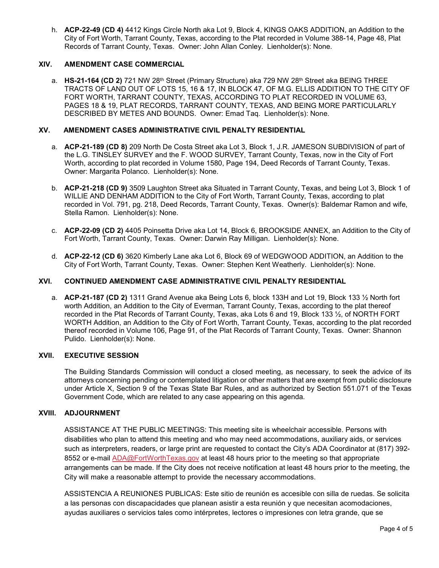h. **ACP-22-49 (CD 4)** 4412 Kings Circle North aka Lot 9, Block 4, KINGS OAKS ADDITION, an Addition to the City of Fort Worth, Tarrant County, Texas, according to the Plat recorded in Volume 388-14, Page 48, Plat Records of Tarrant County, Texas. Owner: John Allan Conley. Lienholder(s): None.

## **XIV. AMENDMENT CASE COMMERCIAL**

a. **HS-21-164 (CD 2)** 721 NW 28<sup>th</sup> Street (Primary Structure) aka 729 NW 28<sup>th</sup> Street aka BEING THREE TRACTS OF LAND OUT OF LOTS 15, 16 & 17, IN BLOCK 47, OF M.G. ELLIS ADDITION TO THE CITY OF FORT WORTH, TARRANT COUNTY, TEXAS, ACCORDING TO PLAT RECORDED IN VOLUME 63, PAGES 18 & 19, PLAT RECORDS, TARRANT COUNTY, TEXAS, AND BEING MORE PARTICULARLY DESCRIBED BY METES AND BOUNDS. Owner: Emad Taq. Lienholder(s): None.

## **XV. AMENDMENT CASES ADMINISTRATIVE CIVIL PENALTY RESIDENTIAL**

- a. **ACP-21-189 (CD 8)** 209 North De Costa Street aka Lot 3, Block 1, J.R. JAMESON SUBDIVISION of part of the L.G. TINSLEY SURVEY and the F. WOOD SURVEY, Tarrant County, Texas, now in the City of Fort Worth, according to plat recorded in Volume 1580, Page 194, Deed Records of Tarrant County, Texas. Owner: Margarita Polanco. Lienholder(s): None.
- b. **ACP-21-218 (CD 9)** 3509 Laughton Street aka Situated in Tarrant County, Texas, and being Lot 3, Block 1 of WILLIE AND DENHAM ADDITION to the City of Fort Worth, Tarrant County, Texas, according to plat recorded in Vol. 791, pg. 218, Deed Records, Tarrant County, Texas. Owner(s): Baldemar Ramon and wife, Stella Ramon. Lienholder(s): None.
- c. **ACP-22-09 (CD 2)** 4405 Poinsetta Drive aka Lot 14, Block 6, BROOKSIDE ANNEX, an Addition to the City of Fort Worth, Tarrant County, Texas. Owner: Darwin Ray Milligan. Lienholder(s): None.
- d. **ACP-22-12 (CD 6)** 3620 Kimberly Lane aka Lot 6, Block 69 of WEDGWOOD ADDITION, an Addition to the City of Fort Worth, Tarrant County, Texas. Owner: Stephen Kent Weatherly. Lienholder(s): None.

## **XVI. CONTINUED AMENDMENT CASE ADMINISTRATIVE CIVIL PENALTY RESIDENTIAL**

a. **ACP-21-187 (CD 2)** 1311 Grand Avenue aka Being Lots 6, block 133H and Lot 19, Block 133 ½ North fort worth Addition, an Addition to the City of Everman, Tarrant County, Texas, according to the plat thereof recorded in the Plat Records of Tarrant County, Texas, aka Lots 6 and 19, Block 133 ½, of NORTH FORT WORTH Addition, an Addition to the City of Fort Worth, Tarrant County, Texas, according to the plat recorded thereof recorded in Volume 106, Page 91, of the Plat Records of Tarrant County, Texas. Owner: Shannon Pulido. Lienholder(s): None.

## **XVII. EXECUTIVE SESSION**

The Building Standards Commission will conduct a closed meeting, as necessary, to seek the advice of its attorneys concerning pending or contemplated litigation or other matters that are exempt from public disclosure under Article X, Section 9 of the Texas State Bar Rules, and as authorized by Section 551.071 of the Texas Government Code, which are related to any case appearing on this agenda.

#### **XVIII. ADJOURNMENT**

ASSISTANCE AT THE PUBLIC MEETINGS: This meeting site is wheelchair accessible. Persons with disabilities who plan to attend this meeting and who may need accommodations, auxiliary aids, or services such as interpreters, readers, or large print are requested to contact the City's ADA Coordinator at (817) 392- 8552 or e-mail [ADA@FortWorthTexas.gov](mailto:ADA@FortWorthTexas.gov) at least 48 hours prior to the meeting so that appropriate arrangements can be made. If the City does not receive notification at least 48 hours prior to the meeting, the City will make a reasonable attempt to provide the necessary accommodations.

ASSISTENCIA A REUNIONES PUBLICAS: Este sitio de reunión es accesible con silla de ruedas. Se solicita a las personas con discapacidades que planean asistir a esta reunión y que necesitan acomodaciones, ayudas auxiliares o servicios tales como intérpretes, lectores o impresiones con letra grande, que se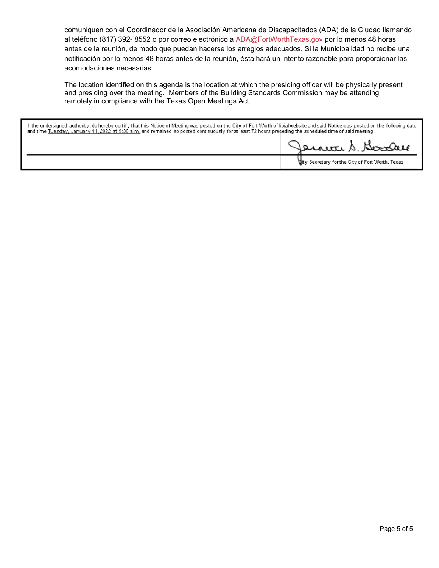comuniquen con el Coordinador de la Asociación Americana de Discapacitados (ADA) de la Ciudad llamando al teléfono (817) 392- 8552 o por correo electrónico a [ADA@FortWorthTexas.gov](mailto:ADA@FortWorthTexas.gov) por lo menos 48 horas antes de la reunión, de modo que puedan hacerse los arreglos adecuados. Si la Municipalidad no recibe una notificación por lo menos 48 horas antes de la reunión, ésta hará un intento razonable para proporcionar las acomodaciones necesarias.

The location identified on this agenda is the location at which the presiding officer will be physically present and presiding over the meeting. Members of the Building Standards Commission may be attending remotely in compliance with the Texas Open Meetings Act.

l, the undersigned authority, do hereby certify that this Notice of Meeting was posted on the City of Fort Worth official website and said Notice was posted on the following date<br>and time <u>Tuesday, January 11, 2022 at 9:30</u>

arrete S. Berndal

tity Secretary for the City of Fort Worth, Texas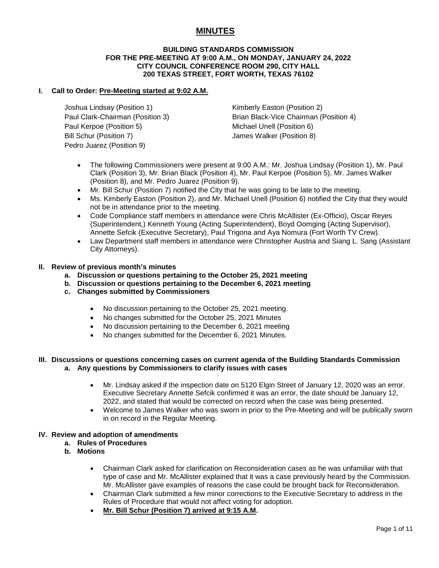# **MINUTES**

#### **BUILDING STANDARDS COMMISSION FOR THE PRE-MEETING AT 9:00 A.M., ON MONDAY, JANUARY 24, 2022 CITY COUNCIL CONFERENCE ROOM 290, CITY HALL 200 TEXAS STREET, FORT WORTH, TEXAS 76102**

## **I. Call to Order: Pre-Meeting started at 9:02 A.M.**

Joshua Lindsay (Position 1) The Research Hotel Kimberly Easton (Position 2) Paul Kerpoe (Position 5) Michael Unell (Position 6) Bill Schur (Position 7) James Walker (Position 8) Pedro Juarez (Position 9)

Paul Clark-Chairman (Position 3) Brian Black-Vice Chairman (Position 4)

- The following Commissioners were present at 9:00 A.M.: Mr. Joshua Lindsay (Position 1), Mr. Paul Clark (Position 3), Mr. Brian Black (Position 4), Mr. Paul Kerpoe (Position 5), Mr. James Walker (Position 8), and Mr. Pedro Juarez (Position 9).
- Mr. Bill Schur (Position 7) notified the City that he was going to be late to the meeting.
- Ms. Kimberly Easton (Position 2), and Mr. Michael Unell (Position 6) notified the City that they would not be in attendance prior to the meeting.
- Code Compliance staff members in attendance were Chris McAllister (Ex-Officio), Oscar Reyes (Superintendent,) Kenneth Young (Acting Superintendent), Boyd Oomging (Acting Supervisor), Annette Sefcik (Executive Secretary), Paul Trigona and Aya Nomura (Fort Worth TV Crew).
- Law Department staff members in attendance were Christopher Austria and Siang L. Sang (Assistant City Attorneys).

#### **II. Review of previous month's minutes**

- **a. Discussion or questions pertaining to the October 25, 2021 meeting**
- **b. Discussion or questions pertaining to the December 6, 2021 meeting**
- **c. Changes submitted by Commissioners**
	- No discussion pertaining to the October 25, 2021 meeting.
	- No changes submitted for the October 25, 2021 Minutes
	- No discussion pertaining to the December 6, 2021 meeting
	- No changes submitted for the December 6, 2021 Minutes.

#### **III. Discussions or questions concerning cases on current agenda of the Building Standards Commission a. Any questions by Commissioners to clarify issues with cases**

- Mr. Lindsay asked if the inspection date on 5120 Elgin Street of January 12, 2020 was an error. Executive Secretary Annette Sefcik confirmed it was an error, the date should be January 12, 2022, and stated that would be corrected on record when the case was being presented.
- Welcome to James Walker who was sworn in prior to the Pre-Meeting and will be publically sworn in on record in the Regular Meeting.

## **IV. Review and adoption of amendments**

- **a. Rules of Procedures**
- **b. Motions**
	- Chairman Clark asked for clarification on Reconsideration cases as he was unfamiliar with that type of case and Mr. McAllister explained that it was a case previously heard by the Commission. Mr. McAllister gave examples of reasons the case could be brought back for Reconsideration.
	- Chairman Clark submitted a few minor corrections to the Executive Secretary to address in the Rules of Procedure that would not affect voting for adoption.
	- **Mr. Bill Schur (Position 7) arrived at 9:15 A.M.**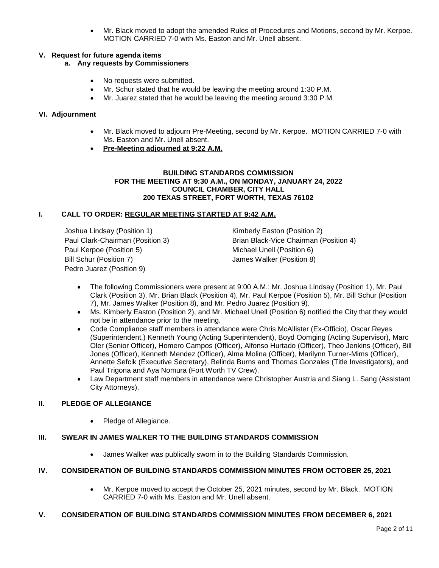• Mr. Black moved to adopt the amended Rules of Procedures and Motions, second by Mr. Kerpoe. MOTION CARRIED 7-0 with Ms. Easton and Mr. Unell absent.

## **V. Request for future agenda items**

# **a. Any requests by Commissioners**

- No requests were submitted.
- Mr. Schur stated that he would be leaving the meeting around 1:30 P.M.
- Mr. Juarez stated that he would be leaving the meeting around 3:30 P.M.

## **VI. Adjournment**

- Mr. Black moved to adjourn Pre-Meeting, second by Mr. Kerpoe. MOTION CARRIED 7-0 with Ms. Easton and Mr. Unell absent.
- **Pre-Meeting adjourned at 9:22 A.M.**

#### **BUILDING STANDARDS COMMISSION FOR THE MEETING AT 9:30 A.M., ON MONDAY, JANUARY 24, 2022 COUNCIL CHAMBER, CITY HALL 200 TEXAS STREET, FORT WORTH, TEXAS 76102**

#### **I. CALL TO ORDER: REGULAR MEETING STARTED AT 9:42 A.M.**

Joshua Lindsay (Position 1) The Research Rimberly Easton (Position 2) Paul Kerpoe (Position 5) Michael Unell (Position 6) Bill Schur (Position 7) James Walker (Position 8) Pedro Juarez (Position 9)

Paul Clark-Chairman (Position 3) Brian Black-Vice Chairman (Position 4)

- The following Commissioners were present at 9:00 A.M.: Mr. Joshua Lindsay (Position 1), Mr. Paul Clark (Position 3), Mr. Brian Black (Position 4), Mr. Paul Kerpoe (Position 5), Mr. Bill Schur (Position 7), Mr. James Walker (Position 8), and Mr. Pedro Juarez (Position 9).
- Ms. Kimberly Easton (Position 2), and Mr. Michael Unell (Position 6) notified the City that they would not be in attendance prior to the meeting.
- Code Compliance staff members in attendance were Chris McAllister (Ex-Officio), Oscar Reyes (Superintendent,) Kenneth Young (Acting Superintendent), Boyd Oomging (Acting Supervisor), Marc Oler (Senior Officer), Homero Campos (Officer), Alfonso Hurtado (Officer), Theo Jenkins (Officer), Bill Jones (Officer), Kenneth Mendez (Officer), Alma Molina (Officer), Marilynn Turner-Mims (Officer), Annette Sefcik (Executive Secretary), Belinda Burns and Thomas Gonzales (Title Investigators), and Paul Trigona and Aya Nomura (Fort Worth TV Crew).
- Law Department staff members in attendance were Christopher Austria and Siang L. Sang (Assistant City Attorneys).

# **II. PLEDGE OF ALLEGIANCE**

• Pledge of Allegiance.

# **III. SWEAR IN JAMES WALKER TO THE BUILDING STANDARDS COMMISSION**

• James Walker was publically sworn in to the Building Standards Commission.

# **IV. CONSIDERATION OF BUILDING STANDARDS COMMISSION MINUTES FROM OCTOBER 25, 2021**

• Mr. Kerpoe moved to accept the October 25, 2021 minutes, second by Mr. Black. MOTION CARRIED 7-0 with Ms. Easton and Mr. Unell absent.

#### **V. CONSIDERATION OF BUILDING STANDARDS COMMISSION MINUTES FROM DECEMBER 6, 2021**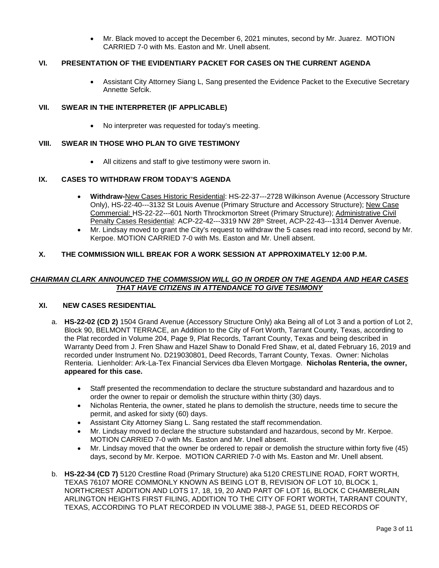• Mr. Black moved to accept the December 6, 2021 minutes, second by Mr. Juarez. MOTION CARRIED 7-0 with Ms. Easton and Mr. Unell absent.

# **VI. PRESENTATION OF THE EVIDENTIARY PACKET FOR CASES ON THE CURRENT AGENDA**

• Assistant City Attorney Siang L, Sang presented the Evidence Packet to the Executive Secretary Annette Sefcik.

## **VII. SWEAR IN THE INTERPRETER (IF APPLICABLE)**

• No interpreter was requested for today's meeting.

# **VIII. SWEAR IN THOSE WHO PLAN TO GIVE TESTIMONY**

• All citizens and staff to give testimony were sworn in.

## **IX. CASES TO WITHDRAW FROM TODAY'S AGENDA**

- **Withdraw-**New Cases Historic Residential: HS-22-37---2728 Wilkinson Avenue (Accessory Structure Only), HS-22-40---3132 St Louis Avenue (Primary Structure and Accessory Structure); New Case Commercial: HS-22-22---601 North Throckmorton Street (Primary Structure); Administrative Civil Penalty Cases Residential: ACP-22-42---3319 NW 28<sup>th</sup> Street, ACP-22-43---1314 Denver Avenue.
- Mr. Lindsay moved to grant the City's request to withdraw the 5 cases read into record, second by Mr. Kerpoe. MOTION CARRIED 7-0 with Ms. Easton and Mr. Unell absent.

## **X. THE COMMISSION WILL BREAK FOR A WORK SESSION AT APPROXIMATELY 12:00 P.M.**

## *CHAIRMAN CLARK ANNOUNCED THE COMMISSION WILL GO IN ORDER ON THE AGENDA AND HEAR CASES THAT HAVE CITIZENS IN ATTENDANCE TO GIVE TESIMONY*

#### **XI. NEW CASES RESIDENTIAL**

- a. **HS-22-02 (CD 2)** 1504 Grand Avenue (Accessory Structure Only) aka Being all of Lot 3 and a portion of Lot 2, Block 90, BELMONT TERRACE, an Addition to the City of Fort Worth, Tarrant County, Texas, according to the Plat recorded in Volume 204, Page 9, Plat Records, Tarrant County, Texas and being described in Warranty Deed from J. Fren Shaw and Hazel Shaw to Donald Fred Shaw, et al, dated February 16, 2019 and recorded under Instrument No. D219030801, Deed Records, Tarrant County, Texas. Owner: Nicholas Renteria. Lienholder: Ark-La-Tex Financial Services dba Eleven Mortgage. **Nicholas Renteria, the owner, appeared for this case.**
	- Staff presented the recommendation to declare the structure substandard and hazardous and to order the owner to repair or demolish the structure within thirty (30) days.
	- Nicholas Renteria, the owner, stated he plans to demolish the structure, needs time to secure the permit, and asked for sixty (60) days.
	- Assistant City Attorney Siang L. Sang restated the staff recommendation.
	- Mr. Lindsay moved to declare the structure substandard and hazardous, second by Mr. Kerpoe. MOTION CARRIED 7-0 with Ms. Easton and Mr. Unell absent.
	- Mr. Lindsay moved that the owner be ordered to repair or demolish the structure within forty five (45) days, second by Mr. Kerpoe. MOTION CARRIED 7-0 with Ms. Easton and Mr. Unell absent.
- b. **HS-22-34 (CD 7)** 5120 Crestline Road (Primary Structure) aka 5120 CRESTLINE ROAD, FORT WORTH, TEXAS 76107 MORE COMMONLY KNOWN AS BEING LOT B, REVISION OF LOT 10, BLOCK 1, NORTHCREST ADDITION AND LOTS 17, 18, 19, 20 AND PART OF LOT 16, BLOCK C CHAMBERLAIN ARLINGTON HEIGHTS FIRST FILING, ADDITION TO THE CITY OF FORT WORTH, TARRANT COUNTY, TEXAS, ACCORDING TO PLAT RECORDED IN VOLUME 388-J, PAGE 51, DEED RECORDS OF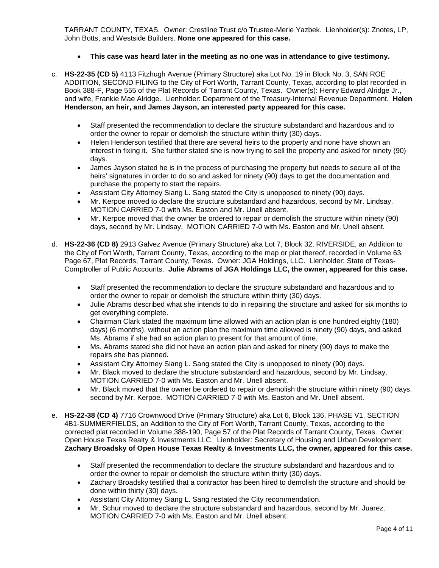TARRANT COUNTY, TEXAS. Owner: Crestline Trust c/o Trustee-Merie Yazbek. Lienholder(s): Znotes, LP, John Botts, and Westside Builders. **None one appeared for this case.**

- **This case was heard later in the meeting as no one was in attendance to give testimony.**
- c. **HS-22-35 (CD 5)** 4113 Fitzhugh Avenue (Primary Structure) aka Lot No. 19 in Block No. 3, SAN ROE ADDITION, SECOND FILING to the City of Fort Worth, Tarrant County, Texas, according to plat recorded in Book 388-F, Page 555 of the Plat Records of Tarrant County, Texas. Owner(s): Henry Edward Alridge Jr., and wife, Frankie Mae Alridge. Lienholder: Department of the Treasury-Internal Revenue Department. **Helen Henderson, an heir, and James Jayson, an interested party appeared for this case.** 
	- Staff presented the recommendation to declare the structure substandard and hazardous and to order the owner to repair or demolish the structure within thirty (30) days.
	- Helen Henderson testified that there are several heirs to the property and none have shown an interest in fixing it. She further stated she is now trying to sell the property and asked for ninety (90) days.
	- James Jayson stated he is in the process of purchasing the property but needs to secure all of the heirs' signatures in order to do so and asked for ninety (90) days to get the documentation and purchase the property to start the repairs.
	- Assistant City Attorney Siang L. Sang stated the City is unopposed to ninety (90) days.
	- Mr. Kerpoe moved to declare the structure substandard and hazardous, second by Mr. Lindsay. MOTION CARRIED 7-0 with Ms. Easton and Mr. Unell absent.
	- Mr. Kerpoe moved that the owner be ordered to repair or demolish the structure within ninety (90) days, second by Mr. Lindsay. MOTION CARRIED 7-0 with Ms. Easton and Mr. Unell absent.
- d. **HS-22-36 (CD 8)** 2913 Galvez Avenue (Primary Structure) aka Lot 7, Block 32, RIVERSIDE, an Addition to the City of Fort Worth, Tarrant County, Texas, according to the map or plat thereof, recorded in Volume 63, Page 67, Plat Records, Tarrant County, Texas. Owner: JGA Holdings, LLC. Lienholder: State of Texas-Comptroller of Public Accounts. **Julie Abrams of JGA Holdings LLC, the owner, appeared for this case.**
	- Staff presented the recommendation to declare the structure substandard and hazardous and to order the owner to repair or demolish the structure within thirty (30) days.
	- Julie Abrams described what she intends to do in repairing the structure and asked for six months to get everything complete.
	- Chairman Clark stated the maximum time allowed with an action plan is one hundred eighty (180) days) (6 months), without an action plan the maximum time allowed is ninety (90) days, and asked Ms. Abrams if she had an action plan to present for that amount of time.
	- Ms. Abrams stated she did not have an action plan and asked for ninety (90) days to make the repairs she has planned.
	- Assistant City Attorney Siang L. Sang stated the City is unopposed to ninety (90) days.
	- Mr. Black moved to declare the structure substandard and hazardous, second by Mr. Lindsay. MOTION CARRIED 7-0 with Ms. Easton and Mr. Unell absent.
	- Mr. Black moved that the owner be ordered to repair or demolish the structure within ninety (90) days, second by Mr. Kerpoe. MOTION CARRIED 7-0 with Ms. Easton and Mr. Unell absent.
- e. **HS-22-38 (CD 4)** 7716 Crownwood Drive (Primary Structure) aka Lot 6, Block 136, PHASE V1, SECTION 4B1-SUMMERFIELDS, an Addition to the City of Fort Worth, Tarrant County, Texas, according to the corrected plat recorded in Volume 388-190, Page 57 of the Plat Records of Tarrant County, Texas. Owner: Open House Texas Realty & Investments LLC. Lienholder: Secretary of Housing and Urban Development. **Zachary Broadsky of Open House Texas Realty & Investments LLC, the owner, appeared for this case.**
	- Staff presented the recommendation to declare the structure substandard and hazardous and to order the owner to repair or demolish the structure within thirty (30) days.
	- Zachary Broadsky testified that a contractor has been hired to demolish the structure and should be done within thirty (30) days.
	- Assistant City Attorney Siang L. Sang restated the City recommendation.
	- Mr. Schur moved to declare the structure substandard and hazardous, second by Mr. Juarez. MOTION CARRIED 7-0 with Ms. Easton and Mr. Unell absent.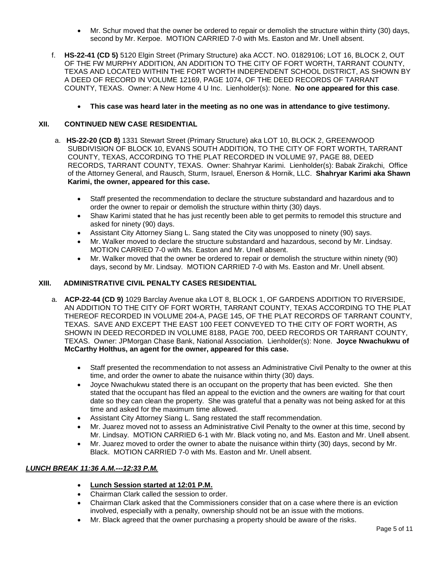- Mr. Schur moved that the owner be ordered to repair or demolish the structure within thirty (30) days, second by Mr. Kerpoe. MOTION CARRIED 7-0 with Ms. Easton and Mr. Unell absent.
- f. **HS-22-41 (CD 5)** 5120 Elgin Street (Primary Structure) aka ACCT. NO. 01829106; LOT 16, BLOCK 2, OUT OF THE FW MURPHY ADDITION, AN ADDITION TO THE CITY OF FORT WORTH, TARRANT COUNTY, TEXAS AND LOCATED WITHIN THE FORT WORTH INDEPENDENT SCHOOL DISTRICT, AS SHOWN BY A DEED OF RECORD IN VOLUME 12169, PAGE 1074, OF THE DEED RECORDS OF TARRANT COUNTY, TEXAS. Owner: A New Home 4 U Inc. Lienholder(s): None. **No one appeared for this case**.
	- **This case was heard later in the meeting as no one was in attendance to give testimony.**

## **XII. CONTINUED NEW CASE RESIDENTIAL**

- a. **HS-22-20 (CD 8)** 1331 Stewart Street (Primary Structure) aka LOT 10, BLOCK 2, GREENWOOD SUBDIVISION OF BLOCK 10, EVANS SOUTH ADDITION, TO THE CITY OF FORT WORTH, TARRANT COUNTY, TEXAS, ACCORDING TO THE PLAT RECORDED IN VOLUME 97, PAGE 88, DEED RECORDS, TARRANT COUNTY, TEXAS. Owner: Shahryar Karimi. Lienholder(s): Babak Zirakchi, Office of the Attorney General, and Rausch, Sturm, Israuel, Enerson & Hornik, LLC. **Shahryar Karimi aka Shawn Karimi, the owner, appeared for this case.**
	- Staff presented the recommendation to declare the structure substandard and hazardous and to order the owner to repair or demolish the structure within thirty (30) days.
	- Shaw Karimi stated that he has just recently been able to get permits to remodel this structure and asked for ninety (90) days.
	- Assistant City Attorney Siang L. Sang stated the City was unopposed to ninety (90) says.
	- Mr. Walker moved to declare the structure substandard and hazardous, second by Mr. Lindsay. MOTION CARRIED 7-0 with Ms. Easton and Mr. Unell absent.
	- Mr. Walker moved that the owner be ordered to repair or demolish the structure within ninety (90) days, second by Mr. Lindsay. MOTION CARRIED 7-0 with Ms. Easton and Mr. Unell absent.

## **XIII. ADMINISTRATIVE CIVIL PENALTY CASES RESIDENTIAL**

- a. **ACP-22-44 (CD 9)** 1029 Barclay Avenue aka LOT 8, BLOCK 1, OF GARDENS ADDITION TO RIVERSIDE, AN ADDITION TO THE CITY OF FORT WORTH, TARRANT COUNTY, TEXAS ACCORDING TO THE PLAT THEREOF RECORDED IN VOLUME 204-A, PAGE 145, OF THE PLAT RECORDS OF TARRANT COUNTY, TEXAS. SAVE AND EXCEPT THE EAST 100 FEET CONVEYED TO THE CITY OF FORT WORTH, AS SHOWN IN DEED RECORDED IN VOLUME 8188, PAGE 700, DEED RECORDS OR TARRANT COUNTY, TEXAS. Owner: JPMorgan Chase Bank, National Association. Lienholder(s): None. **Joyce Nwachukwu of McCarthy Holthus, an agent for the owner, appeared for this case.**
	- Staff presented the recommendation to not assess an Administrative Civil Penalty to the owner at this time, and order the owner to abate the nuisance within thirty (30) days.
	- Joyce Nwachukwu stated there is an occupant on the property that has been evicted. She then stated that the occupant has filed an appeal to the eviction and the owners are waiting for that court date so they can clean the property. She was grateful that a penalty was not being asked for at this time and asked for the maximum time allowed.
	- Assistant City Attorney Siang L. Sang restated the staff recommendation.
	- Mr. Juarez moved not to assess an Administrative Civil Penalty to the owner at this time, second by Mr. Lindsay. MOTION CARRIED 6-1 with Mr. Black voting no, and Ms. Easton and Mr. Unell absent.
	- Mr. Juarez moved to order the owner to abate the nuisance within thirty (30) days, second by Mr. Black. MOTION CARRIED 7-0 with Ms. Easton and Mr. Unell absent.

# *LUNCH BREAK 11:36 A.M.---12:33 P.M.*

- **Lunch Session started at 12:01 P.M.**
- Chairman Clark called the session to order.
- Chairman Clark asked that the Commissioners consider that on a case where there is an eviction involved, especially with a penalty, ownership should not be an issue with the motions.
- Mr. Black agreed that the owner purchasing a property should be aware of the risks.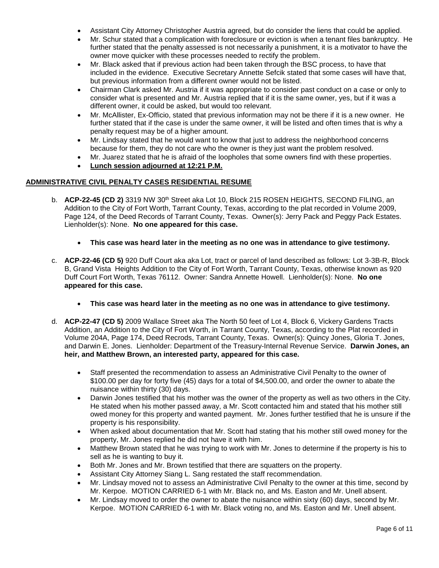- Assistant City Attorney Christopher Austria agreed, but do consider the liens that could be applied.
- Mr. Schur stated that a complication with foreclosure or eviction is when a tenant files bankruptcy. He further stated that the penalty assessed is not necessarily a punishment, it is a motivator to have the owner move quicker with these processes needed to rectify the problem.
- Mr. Black asked that if previous action had been taken through the BSC process, to have that included in the evidence. Executive Secretary Annette Sefcik stated that some cases will have that, but previous information from a different owner would not be listed.
- Chairman Clark asked Mr. Austria if it was appropriate to consider past conduct on a case or only to consider what is presented and Mr. Austria replied that if it is the same owner, yes, but if it was a different owner, it could be asked, but would too relevant.
- Mr. McAllister, Ex-Officio, stated that previous information may not be there if it is a new owner. He further stated that if the case is under the same owner, it will be listed and often times that is why a penalty request may be of a higher amount.
- Mr. Lindsay stated that he would want to know that just to address the neighborhood concerns because for them, they do not care who the owner is they just want the problem resolved.
- Mr. Juarez stated that he is afraid of the loopholes that some owners find with these properties.
- **Lunch session adjourned at 12:21 P.M.**

# **ADMINISTRATIVE CIVIL PENALTY CASES RESIDENTIAL RESUME**

- b. **ACP-22-45 (CD 2)** 3319 NW 30<sup>th</sup> Street aka Lot 10, Block 215 ROSEN HEIGHTS, SECOND FILING, an Addition to the City of Fort Worth, Tarrant County, Texas, according to the plat recorded in Volume 2009, Page 124, of the Deed Records of Tarrant County, Texas. Owner(s): Jerry Pack and Peggy Pack Estates. Lienholder(s): None. **No one appeared for this case.**
	- **This case was heard later in the meeting as no one was in attendance to give testimony.**
- c. **ACP-22-46 (CD 5)** 920 Duff Court aka aka Lot, tract or parcel of land described as follows: Lot 3-3B-R, Block B, Grand Vista Heights Addition to the City of Fort Worth, Tarrant County, Texas, otherwise known as 920 Duff Court Fort Worth, Texas 76112. Owner: Sandra Annette Howell. Lienholder(s): None. **No one appeared for this case.**
	- **This case was heard later in the meeting as no one was in attendance to give testimony.**
- d. **ACP-22-47 (CD 5)** 2009 Wallace Street aka The North 50 feet of Lot 4, Block 6, Vickery Gardens Tracts Addition, an Addition to the City of Fort Worth, in Tarrant County, Texas, according to the Plat recorded in Volume 204A, Page 174, Deed Recrods, Tarrant County, Texas. Owner(s): Quincy Jones, Gloria T. Jones, and Darwin E. Jones. Lienholder: Department of the Treasury-Internal Revenue Service. **Darwin Jones, an heir, and Matthew Brown, an interested party, appeared for this case.**
	- Staff presented the recommendation to assess an Administrative Civil Penalty to the owner of \$100.00 per day for forty five (45) days for a total of \$4,500.00, and order the owner to abate the nuisance within thirty (30) days.
	- Darwin Jones testified that his mother was the owner of the property as well as two others in the City. He stated when his mother passed away, a Mr. Scott contacted him and stated that his mother still owed money for this property and wanted payment. Mr. Jones further testified that he is unsure if the property is his responsibility.
	- When asked about documentation that Mr. Scott had stating that his mother still owed money for the property, Mr. Jones replied he did not have it with him.
	- Matthew Brown stated that he was trying to work with Mr. Jones to determine if the property is his to sell as he is wanting to buy it.
	- Both Mr. Jones and Mr. Brown testified that there are squatters on the property.
	- Assistant City Attorney Siang L. Sang restated the staff recommendation.
	- Mr. Lindsay moved not to assess an Administrative Civil Penalty to the owner at this time, second by Mr. Kerpoe. MOTION CARRIED 6-1 with Mr. Black no, and Ms. Easton and Mr. Unell absent.
	- Mr. Lindsay moved to order the owner to abate the nuisance within sixty (60) days, second by Mr. Kerpoe. MOTION CARRIED 6-1 with Mr. Black voting no, and Ms. Easton and Mr. Unell absent.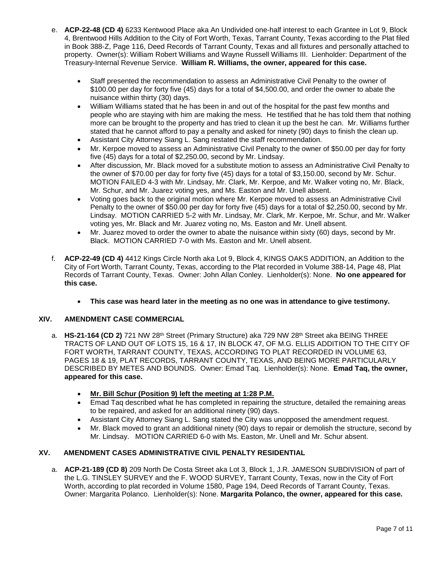- e. **ACP-22-48 (CD 4)** 6233 Kentwood Place aka An Undivided one-half interest to each Grantee in Lot 9, Block 4, Brentwood Hills Addition to the City of Fort Worth, Texas, Tarrant County, Texas according to the Plat filed in Book 388-Z, Page 116, Deed Records of Tarrant County, Texas and all fixtures and personally attached to property. Owner(s): William Robert Williams and Wayne Russell Williams III. Lienholder: Department of the Treasury-Internal Revenue Service. **William R. Williams, the owner, appeared for this case.**
	- Staff presented the recommendation to assess an Administrative Civil Penalty to the owner of \$100.00 per day for forty five (45) days for a total of \$4,500.00, and order the owner to abate the nuisance within thirty (30) days.
	- William Williams stated that he has been in and out of the hospital for the past few months and people who are staying with him are making the mess. He testified that he has told them that nothing more can be brought to the property and has tried to clean it up the best he can. Mr. Williams further stated that he cannot afford to pay a penalty and asked for ninety (90) days to finish the clean up.
	- Assistant City Attorney Siang L. Sang restated the staff recommendation.
	- Mr. Kerpoe moved to assess an Administrative Civil Penalty to the owner of \$50.00 per day for forty five (45) days for a total of \$2,250.00, second by Mr. Lindsay.
	- After discussion, Mr. Black moved for a substitute motion to assess an Administrative Civil Penalty to the owner of \$70.00 per day for forty five (45) days for a total of \$3,150.00, second by Mr. Schur. MOTION FAILED 4-3 with Mr. Lindsay, Mr. Clark, Mr. Kerpoe, and Mr. Walker voting no, Mr. Black, Mr. Schur, and Mr. Juarez voting yes, and Ms. Easton and Mr. Unell absent.
	- Voting goes back to the original motion where Mr. Kerpoe moved to assess an Administrative Civil Penalty to the owner of \$50.00 per day for forty five (45) days for a total of \$2,250.00, second by Mr. Lindsay. MOTION CARRIED 5-2 with Mr. Lindsay, Mr. Clark, Mr. Kerpoe, Mr. Schur, and Mr. Walker voting yes, Mr. Black and Mr. Juarez voting no, Ms. Easton and Mr. Unell absent.
	- Mr. Juarez moved to order the owner to abate the nuisance within sixty (60) days, second by Mr. Black. MOTION CARRIED 7-0 with Ms. Easton and Mr. Unell absent.
- f. **ACP-22-49 (CD 4)** 4412 Kings Circle North aka Lot 9, Block 4, KINGS OAKS ADDITION, an Addition to the City of Fort Worth, Tarrant County, Texas, according to the Plat recorded in Volume 388-14, Page 48, Plat Records of Tarrant County, Texas. Owner: John Allan Conley. Lienholder(s): None. **No one appeared for this case.**
	- **This case was heard later in the meeting as no one was in attendance to give testimony.**

## **XIV. AMENDMENT CASE COMMERCIAL**

- a. **HS-21-164 (CD 2)** 721 NW 28<sup>th</sup> Street (Primary Structure) aka 729 NW 28<sup>th</sup> Street aka BEING THREE TRACTS OF LAND OUT OF LOTS 15, 16 & 17, IN BLOCK 47, OF M.G. ELLIS ADDITION TO THE CITY OF FORT WORTH, TARRANT COUNTY, TEXAS, ACCORDING TO PLAT RECORDED IN VOLUME 63, PAGES 18 & 19, PLAT RECORDS, TARRANT COUNTY, TEXAS, AND BEING MORE PARTICULARLY DESCRIBED BY METES AND BOUNDS. Owner: Emad Taq. Lienholder(s): None. **Emad Taq, the owner, appeared for this case.**
	- **Mr. Bill Schur (Position 9) left the meeting at 1:28 P.M.**
	- Emad Taq described what he has completed in repairing the structure, detailed the remaining areas to be repaired, and asked for an additional ninety (90) days.
	- Assistant City Attorney Siang L. Sang stated the City was unopposed the amendment request.
	- Mr. Black moved to grant an additional ninety (90) days to repair or demolish the structure, second by Mr. Lindsay. MOTION CARRIED 6-0 with Ms. Easton, Mr. Unell and Mr. Schur absent.

#### **XV. AMENDMENT CASES ADMINISTRATIVE CIVIL PENALTY RESIDENTIAL**

a. **ACP-21-189 (CD 8)** 209 North De Costa Street aka Lot 3, Block 1, J.R. JAMESON SUBDIVISION of part of the L.G. TINSLEY SURVEY and the F. WOOD SURVEY, Tarrant County, Texas, now in the City of Fort Worth, according to plat recorded in Volume 1580, Page 194, Deed Records of Tarrant County, Texas. Owner: Margarita Polanco. Lienholder(s): None. **Margarita Polanco, the owner, appeared for this case.**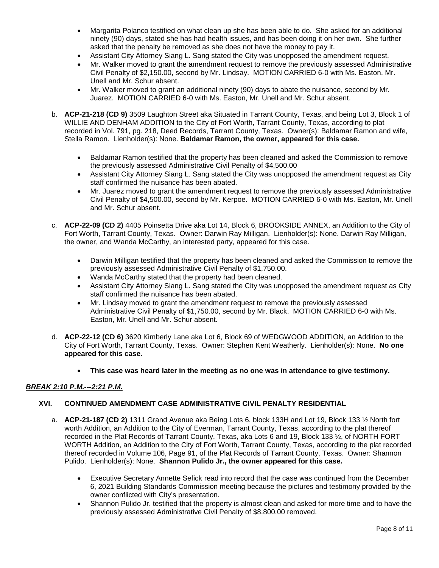- Margarita Polanco testified on what clean up she has been able to do. She asked for an additional ninety (90) days, stated she has had health issues, and has been doing it on her own. She further asked that the penalty be removed as she does not have the money to pay it.
- Assistant City Attorney Siang L. Sang stated the City was unopposed the amendment request.
- Mr. Walker moved to grant the amendment request to remove the previously assessed Administrative Civil Penalty of \$2,150.00, second by Mr. Lindsay. MOTION CARRIED 6-0 with Ms. Easton, Mr. Unell and Mr. Schur absent.
- Mr. Walker moved to grant an additional ninety (90) days to abate the nuisance, second by Mr. Juarez. MOTION CARRIED 6-0 with Ms. Easton, Mr. Unell and Mr. Schur absent.
- b. **ACP-21-218 (CD 9)** 3509 Laughton Street aka Situated in Tarrant County, Texas, and being Lot 3, Block 1 of WILLIE AND DENHAM ADDITION to the City of Fort Worth, Tarrant County, Texas, according to plat recorded in Vol. 791, pg. 218, Deed Records, Tarrant County, Texas. Owner(s): Baldamar Ramon and wife, Stella Ramon. Lienholder(s): None. **Baldamar Ramon, the owner, appeared for this case.**
	- Baldamar Ramon testified that the property has been cleaned and asked the Commission to remove the previously assessed Administrative Civil Penalty of \$4,500.00
	- Assistant City Attorney Siang L. Sang stated the City was unopposed the amendment request as City staff confirmed the nuisance has been abated.
	- Mr. Juarez moved to grant the amendment request to remove the previously assessed Administrative Civil Penalty of \$4,500.00, second by Mr. Kerpoe. MOTION CARRIED 6-0 with Ms. Easton, Mr. Unell and Mr. Schur absent.
- c. **ACP-22-09 (CD 2)** 4405 Poinsetta Drive aka Lot 14, Block 6, BROOKSIDE ANNEX, an Addition to the City of Fort Worth, Tarrant County, Texas. Owner: Darwin Ray Milligan. Lienholder(s): None. Darwin Ray Milligan, the owner, and Wanda McCarthy, an interested party, appeared for this case.
	- Darwin Milligan testified that the property has been cleaned and asked the Commission to remove the previously assessed Administrative Civil Penalty of \$1,750.00.
	- Wanda McCarthy stated that the property had been cleaned.
	- Assistant City Attorney Siang L. Sang stated the City was unopposed the amendment request as City staff confirmed the nuisance has been abated.
	- Mr. Lindsay moved to grant the amendment request to remove the previously assessed Administrative Civil Penalty of \$1,750.00, second by Mr. Black. MOTION CARRIED 6-0 with Ms. Easton, Mr. Unell and Mr. Schur absent.
- d. **ACP-22-12 (CD 6)** 3620 Kimberly Lane aka Lot 6, Block 69 of WEDGWOOD ADDITION, an Addition to the City of Fort Worth, Tarrant County, Texas. Owner: Stephen Kent Weatherly. Lienholder(s): None. **No one appeared for this case.**
	- **This case was heard later in the meeting as no one was in attendance to give testimony.**

# *BREAK 2:10 P.M.---2:21 P.M.*

#### **XVI. CONTINUED AMENDMENT CASE ADMINISTRATIVE CIVIL PENALTY RESIDENTIAL**

- a. **ACP-21-187 (CD 2)** 1311 Grand Avenue aka Being Lots 6, block 133H and Lot 19, Block 133 ½ North fort worth Addition, an Addition to the City of Everman, Tarrant County, Texas, according to the plat thereof recorded in the Plat Records of Tarrant County, Texas, aka Lots 6 and 19, Block 133 ½, of NORTH FORT WORTH Addition, an Addition to the City of Fort Worth, Tarrant County, Texas, according to the plat recorded thereof recorded in Volume 106, Page 91, of the Plat Records of Tarrant County, Texas. Owner: Shannon Pulido. Lienholder(s): None. **Shannon Pulido Jr., the owner appeared for this case.**
	- Executive Secretary Annette Sefick read into record that the case was continued from the December 6, 2021 Building Standards Commission meeting because the pictures and testimony provided by the owner conflicted with City's presentation.
	- Shannon Pulido Jr. testified that the property is almost clean and asked for more time and to have the previously assessed Administrative Civil Penalty of \$8.800.00 removed.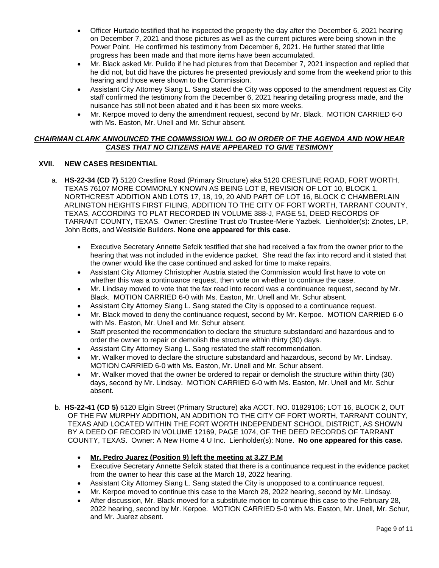- Officer Hurtado testified that he inspected the property the day after the December 6, 2021 hearing on December 7, 2021 and those pictures as well as the current pictures were being shown in the Power Point. He confirmed his testimony from December 6, 2021. He further stated that little progress has been made and that more items have been accumulated.
- Mr. Black asked Mr. Pulido if he had pictures from that December 7, 2021 inspection and replied that he did not, but did have the pictures he presented previously and some from the weekend prior to this hearing and those were shown to the Commission.
- Assistant City Attorney Siang L. Sang stated the City was opposed to the amendment request as City staff confirmed the testimony from the December 6, 2021 hearing detailing progress made, and the nuisance has still not been abated and it has been six more weeks.
- Mr. Kerpoe moved to deny the amendment request, second by Mr. Black. MOTION CARRIED 6-0 with Ms. Easton, Mr. Unell and Mr. Schur absent.

## *CHAIRMAN CLARK ANNOUNCED THE COMMISSION WILL GO IN ORDER OF THE AGENDA AND NOW HEAR CASES THAT NO CITIZENS HAVE APPEARED TO GIVE TESIMONY*

# **XVII. NEW CASES RESIDENTIAL**

- a. **HS-22-34 (CD 7)** 5120 Crestline Road (Primary Structure) aka 5120 CRESTLINE ROAD, FORT WORTH, TEXAS 76107 MORE COMMONLY KNOWN AS BEING LOT B, REVISION OF LOT 10, BLOCK 1, NORTHCREST ADDITION AND LOTS 17, 18, 19, 20 AND PART OF LOT 16, BLOCK C CHAMBERLAIN ARLINGTON HEIGHTS FIRST FILING, ADDITION TO THE CITY OF FORT WORTH, TARRANT COUNTY, TEXAS, ACCORDING TO PLAT RECORDED IN VOLUME 388-J, PAGE 51, DEED RECORDS OF TARRANT COUNTY, TEXAS. Owner: Crestline Trust c/o Trustee-Merie Yazbek. Lienholder(s): Znotes, LP, John Botts, and Westside Builders. **None one appeared for this case.**
	- Executive Secretary Annette Sefcik testified that she had received a fax from the owner prior to the hearing that was not included in the evidence packet. She read the fax into record and it stated that the owner would like the case continued and asked for time to make repairs.
	- Assistant City Attorney Christopher Austria stated the Commission would first have to vote on whether this was a continuance request, then vote on whether to continue the case.
	- Mr. Lindsay moved to vote that the fax read into record was a continuance request, second by Mr. Black. MOTION CARRIED 6-0 with Ms. Easton, Mr. Unell and Mr. Schur absent.
	- Assistant City Attorney Siang L. Sang stated the City is opposed to a continuance request.
	- Mr. Black moved to deny the continuance request, second by Mr. Kerpoe. MOTION CARRIED 6-0 with Ms. Easton, Mr. Unell and Mr. Schur absent.
	- Staff presented the recommendation to declare the structure substandard and hazardous and to order the owner to repair or demolish the structure within thirty (30) days.
	- Assistant City Attorney Siang L. Sang restated the staff recommendation.
	- Mr. Walker moved to declare the structure substandard and hazardous, second by Mr. Lindsay. MOTION CARRIED 6-0 with Ms. Easton, Mr. Unell and Mr. Schur absent.
	- Mr. Walker moved that the owner be ordered to repair or demolish the structure within thirty (30) days, second by Mr. Lindsay. MOTION CARRIED 6-0 with Ms. Easton, Mr. Unell and Mr. Schur absent.
- b. **HS-22-41 (CD 5)** 5120 Elgin Street (Primary Structure) aka ACCT. NO. 01829106; LOT 16, BLOCK 2, OUT OF THE FW MURPHY ADDITION, AN ADDITION TO THE CITY OF FORT WORTH, TARRANT COUNTY, TEXAS AND LOCATED WITHIN THE FORT WORTH INDEPENDENT SCHOOL DISTRICT, AS SHOWN BY A DEED OF RECORD IN VOLUME 12169, PAGE 1074, OF THE DEED RECORDS OF TARRANT COUNTY, TEXAS. Owner: A New Home 4 U Inc. Lienholder(s): None. **No one appeared for this case.**
	- **Mr. Pedro Juarez (Position 9) left the meeting at 3.27 P.M**
	- Executive Secretary Annette Sefcik stated that there is a continuance request in the evidence packet from the owner to hear this case at the March 18, 2022 hearing.
	- Assistant City Attorney Siang L. Sang stated the City is unopposed to a continuance request.
	- Mr. Kerpoe moved to continue this case to the March 28, 2022 hearing, second by Mr. Lindsay.
	- After discussion, Mr. Black moved for a substitute motion to continue this case to the February 28, 2022 hearing, second by Mr. Kerpoe. MOTION CARRIED 5-0 with Ms. Easton, Mr. Unell, Mr. Schur, and Mr. Juarez absent.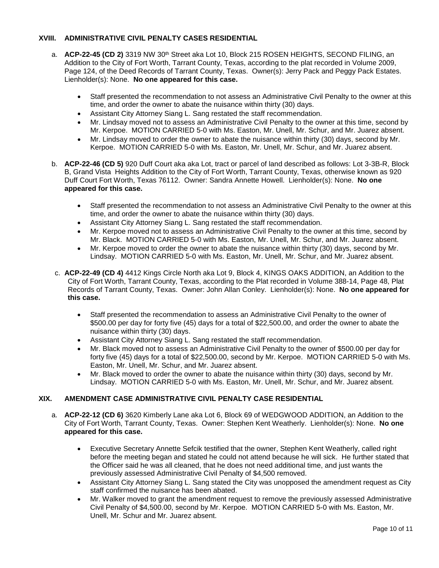# **XVIII. ADMINISTRATIVE CIVIL PENALTY CASES RESIDENTIAL**

- a. **ACP-22-45 (CD 2)** 3319 NW 30<sup>th</sup> Street aka Lot 10, Block 215 ROSEN HEIGHTS, SECOND FILING, an Addition to the City of Fort Worth, Tarrant County, Texas, according to the plat recorded in Volume 2009, Page 124, of the Deed Records of Tarrant County, Texas. Owner(s): Jerry Pack and Peggy Pack Estates. Lienholder(s): None. **No one appeared for this case.**
	- Staff presented the recommendation to not assess an Administrative Civil Penalty to the owner at this time, and order the owner to abate the nuisance within thirty (30) days.
	- Assistant City Attorney Siang L. Sang restated the staff recommendation.
	- Mr. Lindsay moved not to assess an Administrative Civil Penalty to the owner at this time, second by Mr. Kerpoe. MOTION CARRIED 5-0 with Ms. Easton, Mr. Unell, Mr. Schur, and Mr. Juarez absent.
	- Mr. Lindsay moved to order the owner to abate the nuisance within thirty (30) days, second by Mr. Kerpoe. MOTION CARRIED 5-0 with Ms. Easton, Mr. Unell, Mr. Schur, and Mr. Juarez absent.
- b. **ACP-22-46 (CD 5)** 920 Duff Court aka aka Lot, tract or parcel of land described as follows: Lot 3-3B-R, Block B, Grand Vista Heights Addition to the City of Fort Worth, Tarrant County, Texas, otherwise known as 920 Duff Court Fort Worth, Texas 76112. Owner: Sandra Annette Howell. Lienholder(s): None. **No one appeared for this case.**
	- Staff presented the recommendation to not assess an Administrative Civil Penalty to the owner at this time, and order the owner to abate the nuisance within thirty (30) days.
	- Assistant City Attorney Siang L. Sang restated the staff recommendation.
	- Mr. Kerpoe moved not to assess an Administrative Civil Penalty to the owner at this time, second by Mr. Black. MOTION CARRIED 5-0 with Ms. Easton, Mr. Unell, Mr. Schur, and Mr. Juarez absent.
	- Mr. Kerpoe moved to order the owner to abate the nuisance within thirty (30) days, second by Mr. Lindsay. MOTION CARRIED 5-0 with Ms. Easton, Mr. Unell, Mr. Schur, and Mr. Juarez absent.
- c. **ACP-22-49 (CD 4)** 4412 Kings Circle North aka Lot 9, Block 4, KINGS OAKS ADDITION, an Addition to the City of Fort Worth, Tarrant County, Texas, according to the Plat recorded in Volume 388-14, Page 48, Plat Records of Tarrant County, Texas. Owner: John Allan Conley. Lienholder(s): None. **No one appeared for this case.**
	- Staff presented the recommendation to assess an Administrative Civil Penalty to the owner of \$500.00 per day for forty five (45) days for a total of \$22,500.00, and order the owner to abate the nuisance within thirty (30) days.
	- Assistant City Attorney Siang L. Sang restated the staff recommendation.
	- Mr. Black moved not to assess an Administrative Civil Penalty to the owner of \$500.00 per day for forty five (45) days for a total of \$22,500.00, second by Mr. Kerpoe. MOTION CARRIED 5-0 with Ms. Easton, Mr. Unell, Mr. Schur, and Mr. Juarez absent.
	- Mr. Black moved to order the owner to abate the nuisance within thirty (30) days, second by Mr. Lindsay. MOTION CARRIED 5-0 with Ms. Easton, Mr. Unell, Mr. Schur, and Mr. Juarez absent.

# **XIX. AMENDMENT CASE ADMINISTRATIVE CIVIL PENALTY CASE RESIDENTIAL**

- a. **ACP-22-12 (CD 6)** 3620 Kimberly Lane aka Lot 6, Block 69 of WEDGWOOD ADDITION, an Addition to the City of Fort Worth, Tarrant County, Texas. Owner: Stephen Kent Weatherly. Lienholder(s): None. **No one appeared for this case.**
	- Executive Secretary Annette Sefcik testified that the owner, Stephen Kent Weatherly, called right before the meeting began and stated he could not attend because he will sick. He further stated that the Officer said he was all cleaned, that he does not need additional time, and just wants the previously assessed Administrative Civil Penalty of \$4,500 removed.
	- Assistant City Attorney Siang L. Sang stated the City was unopposed the amendment request as City staff confirmed the nuisance has been abated.
	- Mr. Walker moved to grant the amendment request to remove the previously assessed Administrative Civil Penalty of \$4,500.00, second by Mr. Kerpoe. MOTION CARRIED 5-0 with Ms. Easton, Mr. Unell, Mr. Schur and Mr. Juarez absent.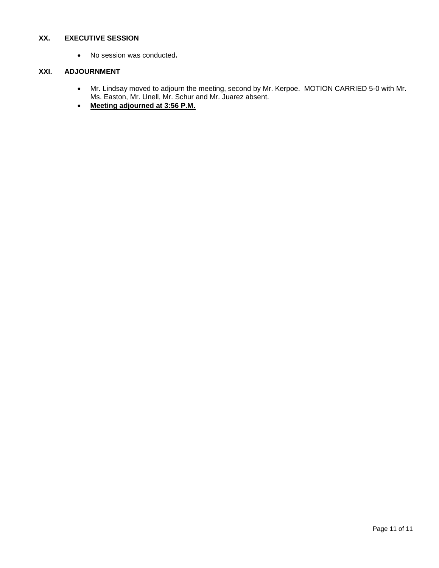# **XX. EXECUTIVE SESSION**

• No session was conducted**.**

# **XXI. ADJOURNMENT**

- Mr. Lindsay moved to adjourn the meeting, second by Mr. Kerpoe. MOTION CARRIED 5-0 with Mr. Ms. Easton, Mr. Unell, Mr. Schur and Mr. Juarez absent.
- **Meeting adjourned at 3:56 P.M.**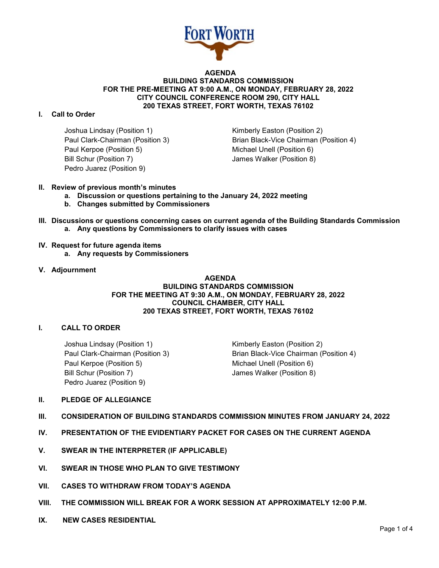

#### **AGENDA BUILDING STANDARDS COMMISSION FOR THE PRE-MEETING AT 9:00 A.M., ON MONDAY, FEBRUARY 28, 2022 CITY COUNCIL CONFERENCE ROOM 290, CITY HALL 200 TEXAS STREET, FORT WORTH, TEXAS 76102**

## **I. Call to Order**

Joshua Lindsay (Position 1) The Rimberly Easton (Position 2) Paul Kerpoe (Position 5) Michael Unell (Position 6) Bill Schur (Position 7) James Walker (Position 8) Pedro Juarez (Position 9)

Paul Clark-Chairman (Position 3) Brian Black-Vice Chairman (Position 4)

- **II. Review of previous month's minutes**
	- **a. Discussion or questions pertaining to the January 24, 2022 meeting**
	- **b. Changes submitted by Commissioners**
- **III. Discussions or questions concerning cases on current agenda of the Building Standards Commission a. Any questions by Commissioners to clarify issues with cases**
- **IV. Request for future agenda items**
	- **a. Any requests by Commissioners**
- **V. Adjournment**

#### **AGENDA BUILDING STANDARDS COMMISSION FOR THE MEETING AT 9:30 A.M., ON MONDAY, FEBRUARY 28, 2022 COUNCIL CHAMBER, CITY HALL 200 TEXAS STREET, FORT WORTH, TEXAS 76102**

# **I. CALL TO ORDER**

Joshua Lindsay (Position 1) The Rimberly Easton (Position 2) Paul Kerpoe (Position 5) Michael Unell (Position 6) Bill Schur (Position 7) James Walker (Position 8) Pedro Juarez (Position 9)

Paul Clark-Chairman (Position 3) Brian Black-Vice Chairman (Position 4)

#### **II. PLEDGE OF ALLEGIANCE**

#### **III. CONSIDERATION OF BUILDING STANDARDS COMMISSION MINUTES FROM JANUARY 24, 2022**

- **IV. PRESENTATION OF THE EVIDENTIARY PACKET FOR CASES ON THE CURRENT AGENDA**
- **V. SWEAR IN THE INTERPRETER (IF APPLICABLE)**
- **VI. SWEAR IN THOSE WHO PLAN TO GIVE TESTIMONY**
- **VII. CASES TO WITHDRAW FROM TODAY'S AGENDA**
- **VIII. THE COMMISSION WILL BREAK FOR A WORK SESSION AT APPROXIMATELY 12:00 P.M.**
- **IX. NEW CASES RESIDENTIAL**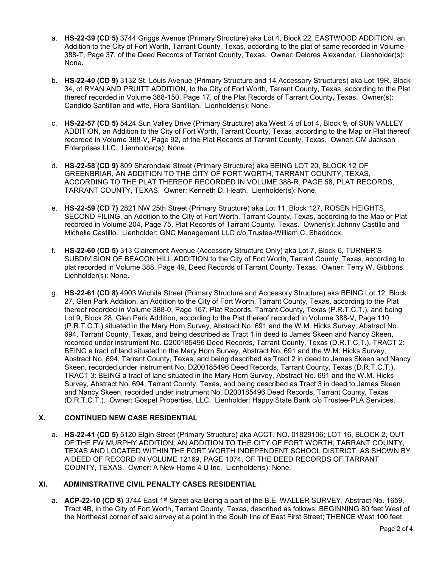- a. **HS-22-39 (CD 5)** 3744 Griggs Avenue (Primary Structure) aka Lot 4, Block 22, EASTWOOD ADDITION, an Addition to the City of Fort Worth, Tarrant County, Texas, according to the plat of same recorded in Volume 388-T, Page 37, of the Deed Records of Tarrant County, Texas. Owner: Delores Alexander. Lienholder(s): None.
- b. **HS-22-40 (CD 9)** 3132 St. Louis Avenue (Primary Structure and 14 Accessory Structures) aka Lot 19R, Block 34, of RYAN AND PRUITT ADDITION, to the City of Fort Worth, Tarrant County, Texas, according to the Plat thereof recorded in Volume 388-150, Page 17, of the Plat Records of Tarrant County, Texas. Owner(s): Candido Santillan and wife, Flora Santillan. Lienholder(s): None.
- c. **HS-22-57 (CD 5)** 5424 Sun Valley Drive (Primary Structure) aka West ½ of Lot 4, Block 9, of SUN VALLEY ADDITION, an Addition to the City of Fort Worth, Tarrant County, Texas, according to the Map or Plat thereof recorded in Volume 388-V, Page 92, of the Plat Records of Tarrant County, Texas. Owner: CM Jackson Enterprises LLC. Lienholder(s): None.
- d. **HS-22-58 (CD 9)** 809 Sharondale Street (Primary Structure) aka BEING LOT 20, BLOCK 12 OF GREENBRIAR, AN ADDITION TO THE CITY OF FORT WORTH, TARRANT COUNTY, TEXAS, ACCORDING TO THE PLAT THEREOF RECORDED IN VOLUME 388-R, PAGE 58, PLAT RECORDS, TARRANT COUNTY, TEXAS. Owner: Kenneth D. Heath. Lienholder(s): None.
- e. **HS-22-59 (CD 7)** 2821 NW 25th Street (Primary Structure) aka Lot 11, Block 127, ROSEN HEIGHTS, SECOND FILING, an Addition to the City of Fort Worth, Tarrant County, Texas, according to the Map or Plat recorded in Volume 204, Page 75, Plat Records of Tarrant County, Texas. Owner(s): Johnny Castillo and Michelle Castillo. Lienholder: GNC Management LLC c/o Trustee-William C. Shaddock.
- f. **HS-22-60 (CD 5)** 313 Clairemont Avenue (Accessory Structure Only) aka Lot 7, Block 6, TURNER'S SUBDIVISION OF BEACON HILL ADDITION to the City of Fort Worth, Tarrant County, Texas, according to plat recorded in Volume 388, Page 49, Deed Records of Tarrant County, Texas. Owner: Terry W. Gibbons. Lienholder(s): None.
- g. **HS-22-61 (CD 8)** 4903 Wichita Street (Primary Structure and Accessory Structure) aka BEING Lot 12, Block 27, Glen Park Addition, an Addition to the City of Fort Worth, Tarrant County, Texas, according to the Plat thereof recorded in Volume 388-0, Page 167, Plat Records, Tarrant County, Texas (P.R.T.C.T.), and being Lot 9, Block 28, Glen Park Addition, according to the Plat thereof recorded in Volume 388-V, Page 110 (P.R.T.C.T.) situated in the Mary Horn Survey, Abstract No. 691 and the W.M. Hicks Survey, Abstract No. 694, Tarrant County, Texas, and being described as Tract 1 in deed to James Skeen and Nancy Skeen, recorded under instrument No. D200185496 Deed Records, Tarrant County, Texas (D.R.T.C.T.), TRACT 2: BEING a tract of land situated in the Mary Horn Survey, Abstract No. 691 and the W.M. Hicks Survey, Abstract No. 694, Tarrant County, Texas, and being described as Tract 2 in deed to James Skeen and Nancy Skeen, recorded under instrument No. D200185496 Deed Records, Tarrant County, Texas (D.R.T.C.T.), TRACT 3: BEING a tract of land situated in the Mary Horn Survey, Abstract No. 691 and the W.M. Hicks Survey, Abstract No. 694, Tarrant County, Texas, and being described as Tract 3 in deed to James Skeen and Nancy Skeen, recorded under instrument No. D200185496 Deed Records, Tarrant County, Texas (D.R.T.C.T.). Owner: Gospel Properties, LLC. Lienholder: Happy State Bank c/o Trustee-PLA Services.

# **X. CONTINUED NEW CASE RESIDENTIAL**

a. **HS-22-41 (CD 5)** 5120 Elgin Street (Primary Structure) aka ACCT. NO. 01829106; LOT 16, BLOCK 2, OUT OF THE FW MURPHY ADDITION, AN ADDITION TO THE CITY OF FORT WORTH, TARRANT COUNTY, TEXAS AND LOCATED WITHIN THE FORT WORTH INDEPENDENT SCHOOL DISTRICT, AS SHOWN BY A DEED OF RECORD IN VOLUME 12169, PAGE 1074, OF THE DEED RECORDS OF TARRANT COUNTY, TEXAS. Owner: A New Home 4 U Inc. Lienholder(s): None.

# **XI. ADMINISTRATIVE CIVIL PENALTY CASES RESIDENTIAL**

a. **ACP-22-10 (CD 8)** 3744 East 1<sup>st</sup> Street aka Being a part of the B.E. WALLER SURVEY, Abstract No. 1659, Tract 4B, in the City of Fort Worth, Tarrant County, Texas, described as follows: BEGINNING 80 feet West of the Northeast corner of said survey at a point in the South line of East First Street; THENCE West 100 feet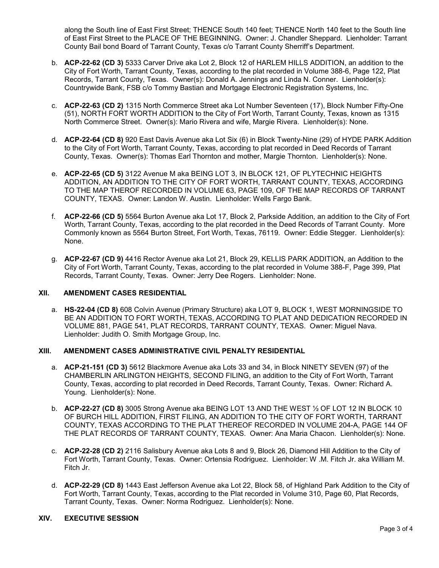along the South line of East First Street; THENCE South 140 feet; THENCE North 140 feet to the South line of East First Street to the PLACE OF THE BEGINNING. Owner: J. Chandler Sheppard. Lienholder: Tarrant County Bail bond Board of Tarrant County, Texas c/o Tarrant County Sherriff's Department.

- b. **ACP-22-62 (CD 3)** 5333 Carver Drive aka Lot 2, Block 12 of HARLEM HILLS ADDITION, an addition to the City of Fort Worth, Tarrant County, Texas, according to the plat recorded in Volume 388-6, Page 122, Plat Records, Tarrant County, Texas. Owner(s): Donald A. Jennings and Linda N. Conner. Lienholder(s): Countrywide Bank, FSB c/o Tommy Bastian and Mortgage Electronic Registration Systems, Inc.
- c. **ACP-22-63 (CD 2)** 1315 North Commerce Street aka Lot Number Seventeen (17), Block Number Fifty-One (51), NORTH FORT WORTH ADDITION to the City of Fort Worth, Tarrant County, Texas, known as 1315 North Commerce Street. Owner(s): Mario Rivera and wife, Margie Rivera. Lienholder(s): None.
- d. **ACP-22-64 (CD 8)** 920 East Davis Avenue aka Lot Six (6) in Block Twenty-Nine (29) of HYDE PARK Addition to the City of Fort Worth, Tarrant County, Texas, according to plat recorded in Deed Records of Tarrant County, Texas. Owner(s): Thomas Earl Thornton and mother, Margie Thornton. Lienholder(s): None.
- e. **ACP-22-65 (CD 5)** 3122 Avenue M aka BEING LOT 3, IN BLOCK 121, OF PLYTECHNIC HEIGHTS ADDITION, AN ADDITION TO THE CITY OF FORT WORTH, TARRANT COUNTY, TEXAS, ACCORDING TO THE MAP THEROF RECORDED IN VOLUME 63, PAGE 109, OF THE MAP RECORDS OF TARRANT COUNTY, TEXAS. Owner: Landon W. Austin. Lienholder: Wells Fargo Bank.
- f. **ACP-22-66 (CD 5)** 5564 Burton Avenue aka Lot 17, Block 2, Parkside Addition, an addition to the City of Fort Worth, Tarrant County, Texas, according to the plat recorded in the Deed Records of Tarrant County. More Commonly known as 5564 Burton Street, Fort Worth, Texas, 76119. Owner: Eddie Stegger. Lienholder(s): None.
- g. **ACP-22-67 (CD 9)** 4416 Rector Avenue aka Lot 21, Block 29, KELLIS PARK ADDITION, an Addition to the City of Fort Worth, Tarrant County, Texas, according to the plat recorded in Volume 388-F, Page 399, Plat Records, Tarrant County, Texas. Owner: Jerry Dee Rogers. Lienholder: None.

#### **XII. AMENDMENT CASES RESIDENTIAL**

a. **HS-22-04 (CD 8)** 608 Colvin Avenue (Primary Structure) aka LOT 9, BLOCK 1, WEST MORNINGSIDE TO BE AN ADDITION TO FORT WORTH, TEXAS, ACCORDING TO PLAT AND DEDICATION RECORDED IN VOLUME 881, PAGE 541, PLAT RECORDS, TARRANT COUNTY, TEXAS. Owner: Miguel Nava. Lienholder: Judith O. Smith Mortgage Group, Inc.

# **XIII. AMENDMENT CASES ADMINISTRATIVE CIVIL PENALTY RESIDENTIAL**

- a. **ACP-21-151 (CD 3)** 5612 Blackmore Avenue aka Lots 33 and 34, in Block NINETY SEVEN (97) of the CHAMBERLIN ARLINGTON HEIGHTS, SECOND FILING, an addition to the City of Fort Worth, Tarrant County, Texas, according to plat recorded in Deed Records, Tarrant County, Texas. Owner: Richard A. Young. Lienholder(s): None.
- b. **ACP-22-27 (CD 8)** 3005 Strong Avenue aka BEING LOT 13 AND THE WEST ½ OF LOT 12 IN BLOCK 10 OF BURCH HILL ADDITION, FIRST FILING, AN ADDITION TO THE CITY OF FORT WORTH, TARRANT COUNTY, TEXAS ACCORDING TO THE PLAT THEREOF RECORDED IN VOLUME 204-A, PAGE 144 OF THE PLAT RECORDS OF TARRANT COUNTY, TEXAS. Owner: Ana Maria Chacon. Lienholder(s): None.
- c. **ACP-22-28 (CD 2)** 2116 Salisbury Avenue aka Lots 8 and 9, Block 26, Diamond Hill Addition to the City of Fort Worth, Tarrant County, Texas. Owner: Ortensia Rodriguez. Lienholder: W .M. Fitch Jr. aka William M. Fitch Jr.
- d. **ACP-22-29 (CD 8)** 1443 East Jefferson Avenue aka Lot 22, Block 58, of Highland Park Addition to the City of Fort Worth, Tarrant County, Texas, according to the Plat recorded in Volume 310, Page 60, Plat Records, Tarrant County, Texas. Owner: Norma Rodriguez. Lienholder(s): None.

## **XIV. EXECUTIVE SESSION**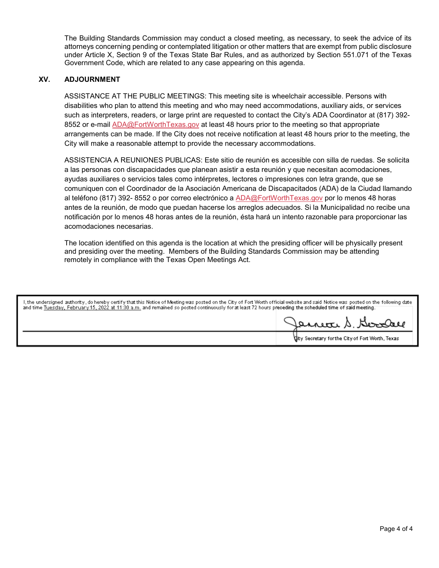The Building Standards Commission may conduct a closed meeting, as necessary, to seek the advice of its attorneys concerning pending or contemplated litigation or other matters that are exempt from public disclosure under Article X, Section 9 of the Texas State Bar Rules, and as authorized by Section 551.071 of the Texas Government Code, which are related to any case appearing on this agenda.

## **XV. ADJOURNMENT**

ASSISTANCE AT THE PUBLIC MEETINGS: This meeting site is wheelchair accessible. Persons with disabilities who plan to attend this meeting and who may need accommodations, auxiliary aids, or services such as interpreters, readers, or large print are requested to contact the City's ADA Coordinator at (817) 392- 8552 or e-mail [ADA@FortWorthTexas.gov](mailto:ADA@FortWorthTexas.gov) at least 48 hours prior to the meeting so that appropriate arrangements can be made. If the City does not receive notification at least 48 hours prior to the meeting, the City will make a reasonable attempt to provide the necessary accommodations.

ASSISTENCIA A REUNIONES PUBLICAS: Este sitio de reunión es accesible con silla de ruedas. Se solicita a las personas con discapacidades que planean asistir a esta reunión y que necesitan acomodaciones, ayudas auxiliares o servicios tales como intérpretes, lectores o impresiones con letra grande, que se comuniquen con el Coordinador de la Asociación Americana de Discapacitados (ADA) de la Ciudad llamando al teléfono (817) 392- 8552 o por correo electrónico a [ADA@FortWorthTexas.gov](mailto:ADA@FortWorthTexas.gov) por lo menos 48 horas antes de la reunión, de modo que puedan hacerse los arreglos adecuados. Si la Municipalidad no recibe una notificación por lo menos 48 horas antes de la reunión, ésta hará un intento razonable para proporcionar las acomodaciones necesarias.

The location identified on this agenda is the location at which the presiding officer will be physically present and presiding over the meeting. Members of the Building Standards Commission may be attending remotely in compliance with the Texas Open Meetings Act.

| l, the undersigned authority, do hereby certify that this Notice of Meeting was posted on the City of Fort Worth official website and said Notice was posted on the following date.<br>and time Tuesday, February 15, 2022 at 11:30 a.m. and remained so posted continuously for at least 72 hours preceding the scheduled time of said meeting. |  |                                                  |
|--------------------------------------------------------------------------------------------------------------------------------------------------------------------------------------------------------------------------------------------------------------------------------------------------------------------------------------------------|--|--------------------------------------------------|
|                                                                                                                                                                                                                                                                                                                                                  |  | Jannea S. Goodre                                 |
|                                                                                                                                                                                                                                                                                                                                                  |  | lity Secretary for the City of Fort Worth, Texas |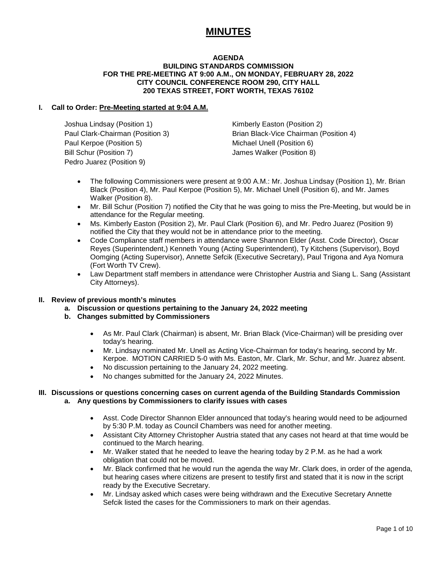# **MINUTES**

## **AGENDA BUILDING STANDARDS COMMISSION FOR THE PRE-MEETING AT 9:00 A.M., ON MONDAY, FEBRUARY 28, 2022 CITY COUNCIL CONFERENCE ROOM 290, CITY HALL 200 TEXAS STREET, FORT WORTH, TEXAS 76102**

## **I. Call to Order: Pre-Meeting started at 9:04 A.M.**

Joshua Lindsay (Position 1) The Rimberly Easton (Position 2) Paul Kerpoe (Position 5) Michael Unell (Position 6) Bill Schur (Position 7) James Walker (Position 8) Pedro Juarez (Position 9)

Paul Clark-Chairman (Position 3) Brian Black-Vice Chairman (Position 4)

- The following Commissioners were present at 9:00 A.M.: Mr. Joshua Lindsay (Position 1), Mr. Brian Black (Position 4), Mr. Paul Kerpoe (Position 5), Mr. Michael Unell (Position 6), and Mr. James Walker (Position 8).
- Mr. Bill Schur (Position 7) notified the City that he was going to miss the Pre-Meeting, but would be in attendance for the Regular meeting.
- Ms. Kimberly Easton (Position 2), Mr. Paul Clark (Position 6), and Mr. Pedro Juarez (Position 9) notified the City that they would not be in attendance prior to the meeting.
- Code Compliance staff members in attendance were Shannon Elder (Asst. Code Director), Oscar Reyes (Superintendent,) Kenneth Young (Acting Superintendent), Ty Kitchens (Supervisor), Boyd Oomging (Acting Supervisor), Annette Sefcik (Executive Secretary), Paul Trigona and Aya Nomura (Fort Worth TV Crew).
- Law Department staff members in attendance were Christopher Austria and Siang L. Sang (Assistant City Attorneys).

# **II. Review of previous month's minutes**

- **a. Discussion or questions pertaining to the January 24, 2022 meeting**
- **b. Changes submitted by Commissioners**
	- As Mr. Paul Clark (Chairman) is absent, Mr. Brian Black (Vice-Chairman) will be presiding over today's hearing.
	- Mr. Lindsay nominated Mr. Unell as Acting Vice-Chairman for today's hearing, second by Mr. Kerpoe. MOTION CARRIED 5-0 with Ms. Easton, Mr. Clark, Mr. Schur, and Mr. Juarez absent.
	- No discussion pertaining to the January 24, 2022 meeting.
	- No changes submitted for the January 24, 2022 Minutes.

#### **III. Discussions or questions concerning cases on current agenda of the Building Standards Commission a. Any questions by Commissioners to clarify issues with cases**

- Asst. Code Director Shannon Elder announced that today's hearing would need to be adjourned by 5:30 P.M. today as Council Chambers was need for another meeting.
- Assistant City Attorney Christopher Austria stated that any cases not heard at that time would be continued to the March hearing.
- Mr. Walker stated that he needed to leave the hearing today by 2 P.M. as he had a work obligation that could not be moved.
- Mr. Black confirmed that he would run the agenda the way Mr. Clark does, in order of the agenda, but hearing cases where citizens are present to testify first and stated that it is now in the script ready by the Executive Secretary.
- Mr. Lindsay asked which cases were being withdrawn and the Executive Secretary Annette Sefcik listed the cases for the Commissioners to mark on their agendas.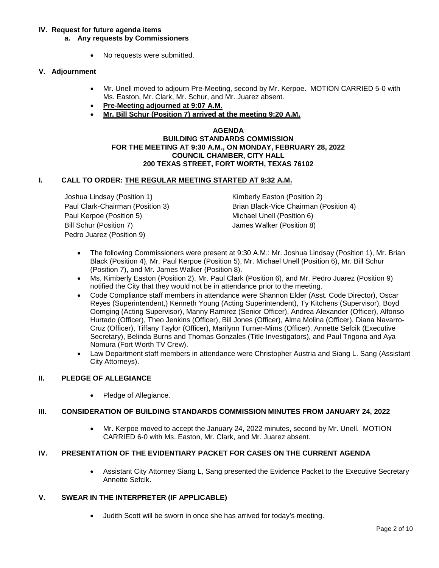## **IV. Request for future agenda items**

- **a. Any requests by Commissioners**
	- No requests were submitted.

## **V. Adjournment**

- Mr. Unell moved to adjourn Pre-Meeting, second by Mr. Kerpoe. MOTION CARRIED 5-0 with Ms. Easton, Mr. Clark, Mr. Schur, and Mr. Juarez absent.
- **Pre-Meeting adjourned at 9:07 A.M.**
- **Mr. Bill Schur (Position 7) arrived at the meeting 9:20 A.M.**

#### **AGENDA BUILDING STANDARDS COMMISSION FOR THE MEETING AT 9:30 A.M., ON MONDAY, FEBRUARY 28, 2022 COUNCIL CHAMBER, CITY HALL 200 TEXAS STREET, FORT WORTH, TEXAS 76102**

## **I. CALL TO ORDER: THE REGULAR MEETING STARTED AT 9:32 A.M.**

Joshua Lindsay (Position 1) The Rimberly Easton (Position 2) Paul Kerpoe (Position 5) The Michael Unell (Position 6) Bill Schur (Position 7) James Walker (Position 8) Pedro Juarez (Position 9)

Paul Clark-Chairman (Position 3) Brian Black-Vice Chairman (Position 4)

- The following Commissioners were present at 9:30 A.M.: Mr. Joshua Lindsay (Position 1), Mr. Brian Black (Position 4), Mr. Paul Kerpoe (Position 5), Mr. Michael Unell (Position 6), Mr. Bill Schur (Position 7), and Mr. James Walker (Position 8).
- Ms. Kimberly Easton (Position 2), Mr. Paul Clark (Position 6), and Mr. Pedro Juarez (Position 9) notified the City that they would not be in attendance prior to the meeting.
- Code Compliance staff members in attendance were Shannon Elder (Asst. Code Director), Oscar Reyes (Superintendent,) Kenneth Young (Acting Superintendent), Ty Kitchens (Supervisor), Boyd Oomging (Acting Supervisor), Manny Ramirez (Senior Officer), Andrea Alexander (Officer), Alfonso Hurtado (Officer), Theo Jenkins (Officer), Bill Jones (Officer), Alma Molina (Officer), Diana Navarro-Cruz (Officer), Tiffany Taylor (Officer), Marilynn Turner-Mims (Officer), Annette Sefcik (Executive Secretary), Belinda Burns and Thomas Gonzales (Title Investigators), and Paul Trigona and Aya Nomura (Fort Worth TV Crew).
- Law Department staff members in attendance were Christopher Austria and Siang L. Sang (Assistant City Attorneys).

# **II. PLEDGE OF ALLEGIANCE**

• Pledge of Allegiance.

#### **III. CONSIDERATION OF BUILDING STANDARDS COMMISSION MINUTES FROM JANUARY 24, 2022**

• Mr. Kerpoe moved to accept the January 24, 2022 minutes, second by Mr. Unell. MOTION CARRIED 6-0 with Ms. Easton, Mr. Clark, and Mr. Juarez absent.

#### **IV. PRESENTATION OF THE EVIDENTIARY PACKET FOR CASES ON THE CURRENT AGENDA**

• Assistant City Attorney Siang L, Sang presented the Evidence Packet to the Executive Secretary Annette Sefcik.

#### **V. SWEAR IN THE INTERPRETER (IF APPLICABLE)**

• Judith Scott will be sworn in once she has arrived for today's meeting.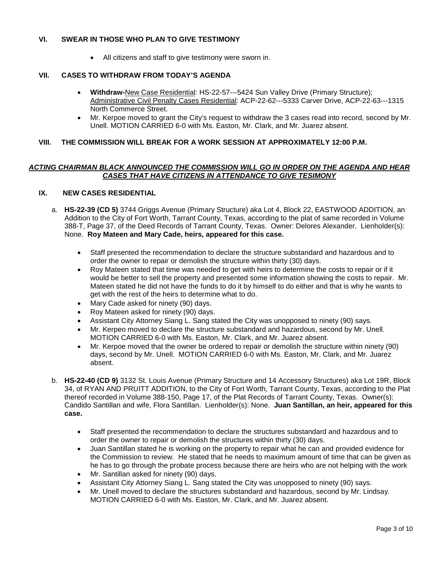# **VI. SWEAR IN THOSE WHO PLAN TO GIVE TESTIMONY**

• All citizens and staff to give testimony were sworn in.

## **VII. CASES TO WITHDRAW FROM TODAY'S AGENDA**

- **Withdraw-**New Case Residential: HS-22-57---5424 Sun Valley Drive (Primary Structure); Administrative Civil Penalty Cases Residential: ACP-22-62---5333 Carver Drive, ACP-22-63---1315 North Commerce Street.
- Mr. Kerpoe moved to grant the City's request to withdraw the 3 cases read into record, second by Mr. Unell. MOTION CARRIED 6-0 with Ms. Easton, Mr. Clark, and Mr. Juarez absent.

## **VIII. THE COMMISSION WILL BREAK FOR A WORK SESSION AT APPROXIMATELY 12:00 P.M.**

## *ACTING CHAIRMAN BLACK ANNOUNCED THE COMMISSION WILL GO IN ORDER ON THE AGENDA AND HEAR CASES THAT HAVE CITIZENS IN ATTENDANCE TO GIVE TESIMONY*

# **IX. NEW CASES RESIDENTIAL**

- a. **HS-22-39 (CD 5)** 3744 Griggs Avenue (Primary Structure) aka Lot 4, Block 22, EASTWOOD ADDITION, an Addition to the City of Fort Worth, Tarrant County, Texas, according to the plat of same recorded in Volume 388-T, Page 37, of the Deed Records of Tarrant County, Texas. Owner: Delores Alexander. Lienholder(s): None. **Roy Mateen and Mary Cade, heirs, appeared for this case.**
	- Staff presented the recommendation to declare the structure substandard and hazardous and to order the owner to repair or demolish the structure within thirty (30) days.
	- Roy Mateen stated that time was needed to get with heirs to determine the costs to repair or if it would be better to sell the property and presented some information showing the costs to repair. Mr. Mateen stated he did not have the funds to do it by himself to do either and that is why he wants to get with the rest of the heirs to determine what to do.
	- Mary Cade asked for ninety (90) days.
	- Roy Mateen asked for ninety (90) days.
	- Assistant City Attorney Siang L. Sang stated the City was unopposed to ninety (90) says.
	- Mr. Kerpeo moved to declare the structure substandard and hazardous, second by Mr. Unell. MOTION CARRIED 6-0 with Ms. Easton, Mr. Clark, and Mr. Juarez absent.
	- Mr. Kerpoe moved that the owner be ordered to repair or demolish the structure within ninety (90) days, second by Mr. Unell. MOTION CARRIED 6-0 with Ms. Easton, Mr. Clark, and Mr. Juarez absent.
- b. **HS-22-40 (CD 9)** 3132 St. Louis Avenue (Primary Structure and 14 Accessory Structures) aka Lot 19R, Block 34, of RYAN AND PRUITT ADDITION, to the City of Fort Worth, Tarrant County, Texas, according to the Plat thereof recorded in Volume 388-150, Page 17, of the Plat Records of Tarrant County, Texas. Owner(s): Candido Santillan and wife, Flora Santillan. Lienholder(s): None. **Juan Santillan, an heir, appeared for this case.**
	- Staff presented the recommendation to declare the structures substandard and hazardous and to order the owner to repair or demolish the structures within thirty (30) days.
	- Juan Santillan stated he is working on the property to repair what he can and provided evidence for the Commission to review. He stated that he needs to maximum amount of time that can be given as he has to go through the probate process because there are heirs who are not helping with the work
	- Mr. Santillan asked for ninety (90) days.
	- Assistant City Attorney Siang L. Sang stated the City was unopposed to ninety (90) says.
	- Mr. Unell moved to declare the structures substandard and hazardous, second by Mr. Lindsay. MOTION CARRIED 6-0 with Ms. Easton, Mr. Clark, and Mr. Juarez absent.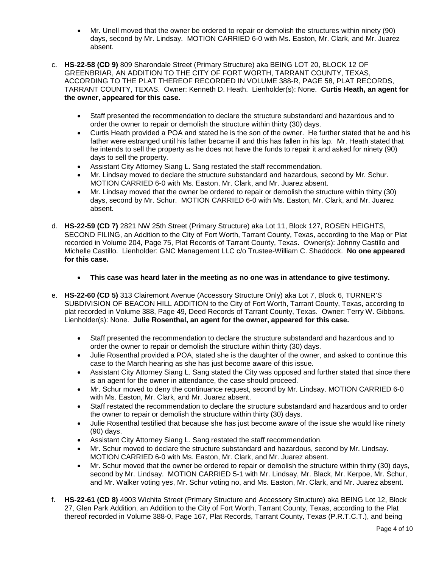- Mr. Unell moved that the owner be ordered to repair or demolish the structures within ninety (90) days, second by Mr. Lindsay. MOTION CARRIED 6-0 with Ms. Easton, Mr. Clark, and Mr. Juarez absent.
- c. **HS-22-58 (CD 9)** 809 Sharondale Street (Primary Structure) aka BEING LOT 20, BLOCK 12 OF GREENBRIAR, AN ADDITION TO THE CITY OF FORT WORTH, TARRANT COUNTY, TEXAS, ACCORDING TO THE PLAT THEREOF RECORDED IN VOLUME 388-R, PAGE 58, PLAT RECORDS, TARRANT COUNTY, TEXAS. Owner: Kenneth D. Heath. Lienholder(s): None. **Curtis Heath, an agent for the owner, appeared for this case.**
	- Staff presented the recommendation to declare the structure substandard and hazardous and to order the owner to repair or demolish the structure within thirty (30) days.
	- Curtis Heath provided a POA and stated he is the son of the owner. He further stated that he and his father were estranged until his father became ill and this has fallen in his lap. Mr. Heath stated that he intends to sell the property as he does not have the funds to repair it and asked for ninety (90) days to sell the property.
	- Assistant City Attorney Siang L. Sang restated the staff recommendation.
	- Mr. Lindsay moved to declare the structure substandard and hazardous, second by Mr. Schur. MOTION CARRIED 6-0 with Ms. Easton, Mr. Clark, and Mr. Juarez absent.
	- Mr. Lindsay moved that the owner be ordered to repair or demolish the structure within thirty (30) days, second by Mr. Schur. MOTION CARRIED 6-0 with Ms. Easton, Mr. Clark, and Mr. Juarez absent.
- d. **HS-22-59 (CD 7)** 2821 NW 25th Street (Primary Structure) aka Lot 11, Block 127, ROSEN HEIGHTS, SECOND FILING, an Addition to the City of Fort Worth, Tarrant County, Texas, according to the Map or Plat recorded in Volume 204, Page 75, Plat Records of Tarrant County, Texas. Owner(s): Johnny Castillo and Michelle Castillo. Lienholder: GNC Management LLC c/o Trustee-William C. Shaddock. **No one appeared for this case.**
	- **This case was heard later in the meeting as no one was in attendance to give testimony.**
- e. **HS-22-60 (CD 5)** 313 Clairemont Avenue (Accessory Structure Only) aka Lot 7, Block 6, TURNER'S SUBDIVISION OF BEACON HILL ADDITION to the City of Fort Worth, Tarrant County, Texas, according to plat recorded in Volume 388, Page 49, Deed Records of Tarrant County, Texas. Owner: Terry W. Gibbons. Lienholder(s): None. **Julie Rosenthal, an agent for the owner, appeared for this case.**
	- Staff presented the recommendation to declare the structure substandard and hazardous and to order the owner to repair or demolish the structure within thirty (30) days.
	- Julie Rosenthal provided a POA, stated she is the daughter of the owner, and asked to continue this case to the March hearing as she has just become aware of this issue.
	- Assistant City Attorney Siang L. Sang stated the City was opposed and further stated that since there is an agent for the owner in attendance, the case should proceed.
	- Mr. Schur moved to deny the continuance request, second by Mr. Lindsay. MOTION CARRIED 6-0 with Ms. Easton, Mr. Clark, and Mr. Juarez absent.
	- Staff restated the recommendation to declare the structure substandard and hazardous and to order the owner to repair or demolish the structure within thirty (30) days.
	- Julie Rosenthal testified that because she has just become aware of the issue she would like ninety (90) days.
	- Assistant City Attorney Siang L. Sang restated the staff recommendation.
	- Mr. Schur moved to declare the structure substandard and hazardous, second by Mr. Lindsay. MOTION CARRIED 6-0 with Ms. Easton, Mr. Clark, and Mr. Juarez absent.
	- Mr. Schur moved that the owner be ordered to repair or demolish the structure within thirty (30) days, second by Mr. Lindsay. MOTION CARRIED 5-1 with Mr. Lindsay, Mr. Black, Mr. Kerpoe, Mr. Schur, and Mr. Walker voting yes, Mr. Schur voting no, and Ms. Easton, Mr. Clark, and Mr. Juarez absent.
- f. **HS-22-61 (CD 8)** 4903 Wichita Street (Primary Structure and Accessory Structure) aka BEING Lot 12, Block 27, Glen Park Addition, an Addition to the City of Fort Worth, Tarrant County, Texas, according to the Plat thereof recorded in Volume 388-0, Page 167, Plat Records, Tarrant County, Texas (P.R.T.C.T.), and being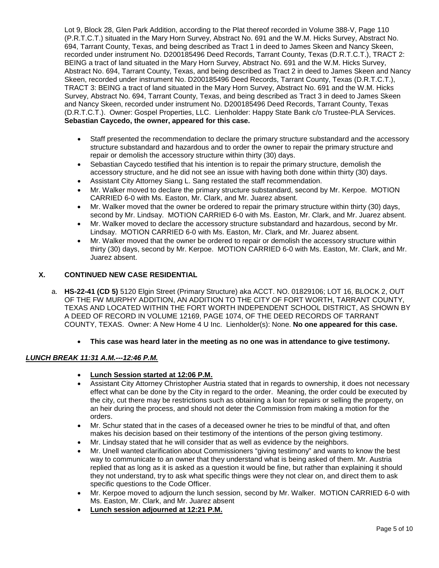Lot 9, Block 28, Glen Park Addition, according to the Plat thereof recorded in Volume 388-V, Page 110 (P.R.T.C.T.) situated in the Mary Horn Survey, Abstract No. 691 and the W.M. Hicks Survey, Abstract No. 694, Tarrant County, Texas, and being described as Tract 1 in deed to James Skeen and Nancy Skeen, recorded under instrument No. D200185496 Deed Records, Tarrant County, Texas (D.R.T.C.T.), TRACT 2: BEING a tract of land situated in the Mary Horn Survey, Abstract No. 691 and the W.M. Hicks Survey, Abstract No. 694, Tarrant County, Texas, and being described as Tract 2 in deed to James Skeen and Nancy Skeen, recorded under instrument No. D200185496 Deed Records, Tarrant County, Texas (D.R.T.C.T.), TRACT 3: BEING a tract of land situated in the Mary Horn Survey, Abstract No. 691 and the W.M. Hicks Survey, Abstract No. 694, Tarrant County, Texas, and being described as Tract 3 in deed to James Skeen and Nancy Skeen, recorded under instrument No. D200185496 Deed Records, Tarrant County, Texas (D.R.T.C.T.). Owner: Gospel Properties, LLC. Lienholder: Happy State Bank c/o Trustee-PLA Services. **Sebastian Caycedo, the owner, appeared for this case.**

- Staff presented the recommendation to declare the primary structure substandard and the accessory structure substandard and hazardous and to order the owner to repair the primary structure and repair or demolish the accessory structure within thirty (30) days.
- Sebastian Caycedo testified that his intention is to repair the primary structure, demolish the accessory structure, and he did not see an issue with having both done within thirty (30) days.
- Assistant City Attorney Siang L. Sang restated the staff recommendation.
- Mr. Walker moved to declare the primary structure substandard, second by Mr. Kerpoe. MOTION CARRIED 6-0 with Ms. Easton, Mr. Clark, and Mr. Juarez absent.
- Mr. Walker moved that the owner be ordered to repair the primary structure within thirty (30) days, second by Mr. Lindsay. MOTION CARRIED 6-0 with Ms. Easton, Mr. Clark, and Mr. Juarez absent.
- Mr. Walker moved to declare the accessory structure substandard and hazardous, second by Mr. Lindsay. MOTION CARRIED 6-0 with Ms. Easton, Mr. Clark, and Mr. Juarez absent.
- Mr. Walker moved that the owner be ordered to repair or demolish the accessory structure within thirty (30) days, second by Mr. Kerpoe. MOTION CARRIED 6-0 with Ms. Easton, Mr. Clark, and Mr. Juarez absent.

# **X. CONTINUED NEW CASE RESIDENTIAL**

- a. **HS-22-41 (CD 5)** 5120 Elgin Street (Primary Structure) aka ACCT. NO. 01829106; LOT 16, BLOCK 2, OUT OF THE FW MURPHY ADDITION, AN ADDITION TO THE CITY OF FORT WORTH, TARRANT COUNTY, TEXAS AND LOCATED WITHIN THE FORT WORTH INDEPENDENT SCHOOL DISTRICT, AS SHOWN BY A DEED OF RECORD IN VOLUME 12169, PAGE 1074, OF THE DEED RECORDS OF TARRANT COUNTY, TEXAS. Owner: A New Home 4 U Inc. Lienholder(s): None. **No one appeared for this case.**
	- **This case was heard later in the meeting as no one was in attendance to give testimony.**

# *LUNCH BREAK 11:31 A.M.---12:46 P.M.*

- **Lunch Session started at 12:06 P.M.**
- Assistant City Attorney Christopher Austria stated that in regards to ownership, it does not necessary effect what can be done by the City in regard to the order. Meaning, the order could be executed by the city, cut there may be restrictions such as obtaining a loan for repairs or selling the property, on an heir during the process, and should not deter the Commission from making a motion for the orders.
- Mr. Schur stated that in the cases of a deceased owner he tries to be mindful of that, and often makes his decision based on their testimony of the intentions of the person giving testimony.
- Mr. Lindsay stated that he will consider that as well as evidence by the neighbors.
- Mr. Unell wanted clarification about Commissioners "giving testimony" and wants to know the best way to communicate to an owner that they understand what is being asked of them. Mr. Austria replied that as long as it is asked as a question it would be fine, but rather than explaining it should they not understand, try to ask what specific things were they not clear on, and direct them to ask specific questions to the Code Officer.
- Mr. Kerpoe moved to adjourn the lunch session, second by Mr. Walker. MOTION CARRIED 6-0 with Ms. Easton, Mr. Clark, and Mr. Juarez absent
- **Lunch session adjourned at 12:21 P.M.**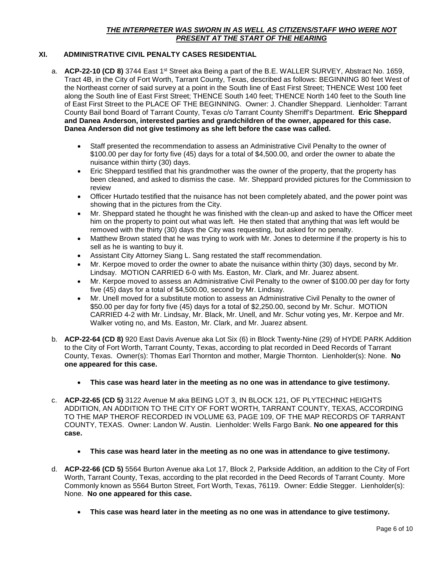# *THE INTERPRETER WAS SWORN IN AS WELL AS CITIZENS/STAFF WHO WERE NOT PRESENT AT THE START OF THE HEARING*

# **XI. ADMINISTRATIVE CIVIL PENALTY CASES RESIDENTIAL**

- a. **ACP-22-10 (CD 8)** 3744 East 1<sup>st</sup> Street aka Being a part of the B.E. WALLER SURVEY, Abstract No. 1659, Tract 4B, in the City of Fort Worth, Tarrant County, Texas, described as follows: BEGINNING 80 feet West of the Northeast corner of said survey at a point in the South line of East First Street; THENCE West 100 feet along the South line of East First Street; THENCE South 140 feet; THENCE North 140 feet to the South line of East First Street to the PLACE OF THE BEGINNING. Owner: J. Chandler Sheppard. Lienholder: Tarrant County Bail bond Board of Tarrant County, Texas c/o Tarrant County Sherriff's Department. **Eric Sheppard and Danea Anderson, interested parties and grandchildren of the owner, appeared for this case. Danea Anderson did not give testimony as she left before the case was called.**
	- Staff presented the recommendation to assess an Administrative Civil Penalty to the owner of \$100.00 per day for forty five (45) days for a total of \$4,500.00, and order the owner to abate the nuisance within thirty (30) days.
	- Eric Sheppard testified that his grandmother was the owner of the property, that the property has been cleaned, and asked to dismiss the case. Mr. Sheppard provided pictures for the Commission to review
	- Officer Hurtado testified that the nuisance has not been completely abated, and the power point was showing that in the pictures from the City.
	- Mr. Sheppard stated he thought he was finished with the clean-up and asked to have the Officer meet him on the property to point out what was left. He then stated that anything that was left would be removed with the thirty (30) days the City was requesting, but asked for no penalty.
	- Matthew Brown stated that he was trying to work with Mr. Jones to determine if the property is his to sell as he is wanting to buy it.
	- Assistant City Attorney Siang L. Sang restated the staff recommendation.
	- Mr. Kerpoe moved to order the owner to abate the nuisance within thirty (30) days, second by Mr. Lindsay. MOTION CARRIED 6-0 with Ms. Easton, Mr. Clark, and Mr. Juarez absent.
	- Mr. Kerpoe moved to assess an Administrative Civil Penalty to the owner of \$100.00 per day for forty five (45) days for a total of \$4,500.00, second by Mr. Lindsay.
	- Mr. Unell moved for a substitute motion to assess an Administrative Civil Penalty to the owner of \$50.00 per day for forty five (45) days for a total of \$2,250.00, second by Mr. Schur. MOTION CARRIED 4-2 with Mr. Lindsay, Mr. Black, Mr. Unell, and Mr. Schur voting yes, Mr. Kerpoe and Mr. Walker voting no, and Ms. Easton, Mr. Clark, and Mr. Juarez absent.
- b. **ACP-22-64 (CD 8)** 920 East Davis Avenue aka Lot Six (6) in Block Twenty-Nine (29) of HYDE PARK Addition to the City of Fort Worth, Tarrant County, Texas, according to plat recorded in Deed Records of Tarrant County, Texas. Owner(s): Thomas Earl Thornton and mother, Margie Thornton. Lienholder(s): None. **No one appeared for this case.**
	- **This case was heard later in the meeting as no one was in attendance to give testimony.**
- c. **ACP-22-65 (CD 5)** 3122 Avenue M aka BEING LOT 3, IN BLOCK 121, OF PLYTECHNIC HEIGHTS ADDITION, AN ADDITION TO THE CITY OF FORT WORTH, TARRANT COUNTY, TEXAS, ACCORDING TO THE MAP THEROF RECORDED IN VOLUME 63, PAGE 109, OF THE MAP RECORDS OF TARRANT COUNTY, TEXAS. Owner: Landon W. Austin. Lienholder: Wells Fargo Bank. **No one appeared for this case.**
	- **This case was heard later in the meeting as no one was in attendance to give testimony.**
- d. **ACP-22-66 (CD 5)** 5564 Burton Avenue aka Lot 17, Block 2, Parkside Addition, an addition to the City of Fort Worth, Tarrant County, Texas, according to the plat recorded in the Deed Records of Tarrant County. More Commonly known as 5564 Burton Street, Fort Worth, Texas, 76119. Owner: Eddie Stegger. Lienholder(s): None. **No one appeared for this case.**
	- **This case was heard later in the meeting as no one was in attendance to give testimony.**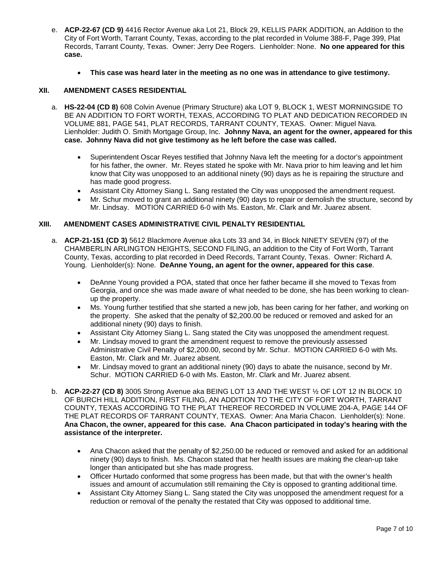- e. **ACP-22-67 (CD 9)** 4416 Rector Avenue aka Lot 21, Block 29, KELLIS PARK ADDITION, an Addition to the City of Fort Worth, Tarrant County, Texas, according to the plat recorded in Volume 388-F, Page 399, Plat Records, Tarrant County, Texas. Owner: Jerry Dee Rogers. Lienholder: None. **No one appeared for this case.**
	- **This case was heard later in the meeting as no one was in attendance to give testimony.**

### **XII. AMENDMENT CASES RESIDENTIAL**

- a. **HS-22-04 (CD 8)** 608 Colvin Avenue (Primary Structure) aka LOT 9, BLOCK 1, WEST MORNINGSIDE TO BE AN ADDITION TO FORT WORTH, TEXAS, ACCORDING TO PLAT AND DEDICATION RECORDED IN VOLUME 881, PAGE 541, PLAT RECORDS, TARRANT COUNTY, TEXAS. Owner: Miguel Nava. Lienholder: Judith O. Smith Mortgage Group, Inc. **Johnny Nava, an agent for the owner, appeared for this case. Johnny Nava did not give testimony as he left before the case was called.** 
	- Superintendent Oscar Reyes testified that Johnny Nava left the meeting for a doctor's appointment for his father, the owner. Mr. Reyes stated he spoke with Mr. Nava prior to him leaving and let him know that City was unopposed to an additional ninety (90) days as he is repairing the structure and has made good progress.
	- Assistant City Attorney Siang L. Sang restated the City was unopposed the amendment request.
	- Mr. Schur moved to grant an additional ninety (90) days to repair or demolish the structure, second by Mr. Lindsay. MOTION CARRIED 6-0 with Ms. Easton, Mr. Clark and Mr. Juarez absent.

#### **XIII. AMENDMENT CASES ADMINISTRATIVE CIVIL PENALTY RESIDENTIAL**

- a. **ACP-21-151 (CD 3)** 5612 Blackmore Avenue aka Lots 33 and 34, in Block NINETY SEVEN (97) of the CHAMBERLIN ARLINGTON HEIGHTS, SECOND FILING, an addition to the City of Fort Worth, Tarrant County, Texas, according to plat recorded in Deed Records, Tarrant County, Texas. Owner: Richard A. Young. Lienholder(s): None. **DeAnne Young, an agent for the owner, appeared for this case**.
	- DeAnne Young provided a POA, stated that once her father became ill she moved to Texas from Georgia, and once she was made aware of what needed to be done, she has been working to cleanup the property.
	- Ms. Young further testified that she started a new job, has been caring for her father, and working on the property. She asked that the penalty of \$2,200.00 be reduced or removed and asked for an additional ninety (90) days to finish.
	- Assistant City Attorney Siang L. Sang stated the City was unopposed the amendment request.
	- Mr. Lindsay moved to grant the amendment request to remove the previously assessed Administrative Civil Penalty of \$2,200.00, second by Mr. Schur. MOTION CARRIED 6-0 with Ms. Easton, Mr. Clark and Mr. Juarez absent.
	- Mr. Lindsay moved to grant an additional ninety (90) days to abate the nuisance, second by Mr. Schur. MOTION CARRIED 6-0 with Ms. Easton, Mr. Clark and Mr. Juarez absent.
- b. **ACP-22-27 (CD 8)** 3005 Strong Avenue aka BEING LOT 13 AND THE WEST ½ OF LOT 12 IN BLOCK 10 OF BURCH HILL ADDITION, FIRST FILING, AN ADDITION TO THE CITY OF FORT WORTH, TARRANT COUNTY, TEXAS ACCORDING TO THE PLAT THEREOF RECORDED IN VOLUME 204-A, PAGE 144 OF THE PLAT RECORDS OF TARRANT COUNTY, TEXAS. Owner: Ana Maria Chacon. Lienholder(s): None. **Ana Chacon, the owner, appeared for this case. Ana Chacon participated in today's hearing with the assistance of the interpreter.**
	- Ana Chacon asked that the penalty of \$2,250.00 be reduced or removed and asked for an additional ninety (90) days to finish. Ms. Chacon stated that her health issues are making the clean-up take longer than anticipated but she has made progress.
	- Officer Hurtado conformed that some progress has been made, but that with the owner's health issues and amount of accumulation still remaining the City is opposed to granting additional time.
	- Assistant City Attorney Siang L. Sang stated the City was unopposed the amendment request for a reduction or removal of the penalty the restated that City was opposed to additional time.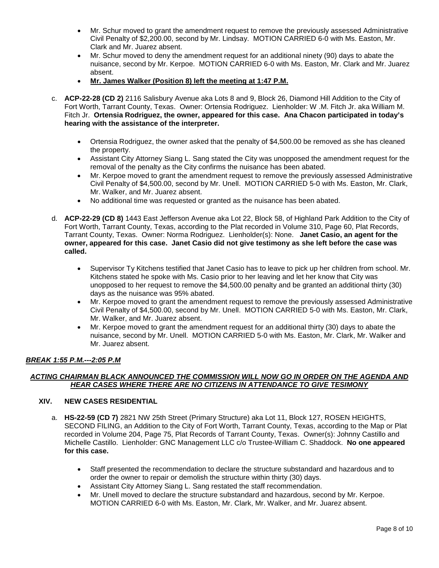- Mr. Schur moved to grant the amendment request to remove the previously assessed Administrative Civil Penalty of \$2,200.00, second by Mr. Lindsay. MOTION CARRIED 6-0 with Ms. Easton, Mr. Clark and Mr. Juarez absent.
- Mr. Schur moved to deny the amendment request for an additional ninety (90) days to abate the nuisance, second by Mr. Kerpoe. MOTION CARRIED 6-0 with Ms. Easton, Mr. Clark and Mr. Juarez absent.
- **Mr. James Walker (Position 8) left the meeting at 1:47 P.M.**
- c. **ACP-22-28 (CD 2)** 2116 Salisbury Avenue aka Lots 8 and 9, Block 26, Diamond Hill Addition to the City of Fort Worth, Tarrant County, Texas. Owner: Ortensia Rodriguez. Lienholder: W .M. Fitch Jr. aka William M. Fitch Jr. **Ortensia Rodriguez, the owner, appeared for this case. Ana Chacon participated in today's hearing with the assistance of the interpreter.**
	- Ortensia Rodriguez, the owner asked that the penalty of \$4,500.00 be removed as she has cleaned the property.
	- Assistant City Attorney Siang L. Sang stated the City was unopposed the amendment request for the removal of the penalty as the City confirms the nuisance has been abated.
	- Mr. Kerpoe moved to grant the amendment request to remove the previously assessed Administrative Civil Penalty of \$4,500.00, second by Mr. Unell. MOTION CARRIED 5-0 with Ms. Easton, Mr. Clark, Mr. Walker, and Mr. Juarez absent.
	- No additional time was requested or granted as the nuisance has been abated.
- d. **ACP-22-29 (CD 8)** 1443 East Jefferson Avenue aka Lot 22, Block 58, of Highland Park Addition to the City of Fort Worth, Tarrant County, Texas, according to the Plat recorded in Volume 310, Page 60, Plat Records, Tarrant County, Texas. Owner: Norma Rodriguez. Lienholder(s): None. **Janet Casio, an agent for the owner, appeared for this case. Janet Casio did not give testimony as she left before the case was called.** 
	- Supervisor Ty Kitchens testified that Janet Casio has to leave to pick up her children from school. Mr. Kitchens stated he spoke with Ms. Casio prior to her leaving and let her know that City was unopposed to her request to remove the \$4,500.00 penalty and be granted an additional thirty (30) days as the nuisance was 95% abated.
	- Mr. Kerpoe moved to grant the amendment request to remove the previously assessed Administrative Civil Penalty of \$4,500.00, second by Mr. Unell. MOTION CARRIED 5-0 with Ms. Easton, Mr. Clark, Mr. Walker, and Mr. Juarez absent.
	- Mr. Kerpoe moved to grant the amendment request for an additional thirty (30) days to abate the nuisance, second by Mr. Unell. MOTION CARRIED 5-0 with Ms. Easton, Mr. Clark, Mr. Walker and Mr. Juarez absent.

# *BREAK 1:55 P.M.---2:05 P.M*

### *ACTING CHAIRMAN BLACK ANNOUNCED THE COMMISSION WILL NOW GO IN ORDER ON THE AGENDA AND HEAR CASES WHERE THERE ARE NO CITIZENS IN ATTENDANCE TO GIVE TESIMONY*

#### **XIV. NEW CASES RESIDENTIAL**

- a. **HS-22-59 (CD 7)** 2821 NW 25th Street (Primary Structure) aka Lot 11, Block 127, ROSEN HEIGHTS, SECOND FILING, an Addition to the City of Fort Worth, Tarrant County, Texas, according to the Map or Plat recorded in Volume 204, Page 75, Plat Records of Tarrant County, Texas. Owner(s): Johnny Castillo and Michelle Castillo. Lienholder: GNC Management LLC c/o Trustee-William C. Shaddock. **No one appeared for this case.**
	- Staff presented the recommendation to declare the structure substandard and hazardous and to order the owner to repair or demolish the structure within thirty (30) days.
	- Assistant City Attorney Siang L. Sang restated the staff recommendation.
	- Mr. Unell moved to declare the structure substandard and hazardous, second by Mr. Kerpoe. MOTION CARRIED 6-0 with Ms. Easton, Mr. Clark, Mr. Walker, and Mr. Juarez absent.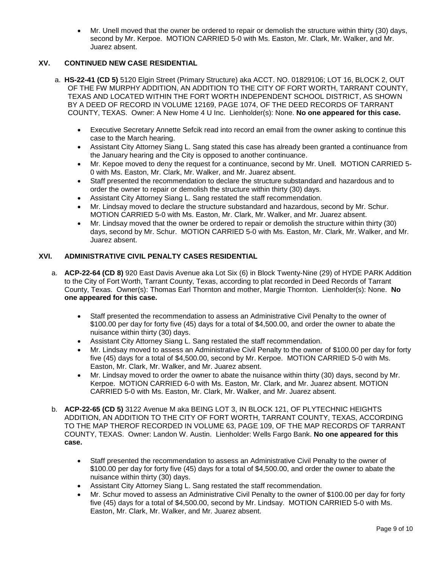• Mr. Unell moved that the owner be ordered to repair or demolish the structure within thirty (30) days, second by Mr. Kerpoe. MOTION CARRIED 5-0 with Ms. Easton, Mr. Clark, Mr. Walker, and Mr. Juarez absent.

# **XV. CONTINUED NEW CASE RESIDENTIAL**

- a. **HS-22-41 (CD 5)** 5120 Elgin Street (Primary Structure) aka ACCT. NO. 01829106; LOT 16, BLOCK 2, OUT OF THE FW MURPHY ADDITION, AN ADDITION TO THE CITY OF FORT WORTH, TARRANT COUNTY, TEXAS AND LOCATED WITHIN THE FORT WORTH INDEPENDENT SCHOOL DISTRICT, AS SHOWN BY A DEED OF RECORD IN VOLUME 12169, PAGE 1074, OF THE DEED RECORDS OF TARRANT COUNTY, TEXAS. Owner: A New Home 4 U Inc. Lienholder(s): None. **No one appeared for this case.**
	- Executive Secretary Annette Sefcik read into record an email from the owner asking to continue this case to the March hearing.
	- Assistant City Attorney Siang L. Sang stated this case has already been granted a continuance from the January hearing and the City is opposed to another continuance.
	- Mr. Kepoe moved to deny the request for a continuance, second by Mr. Unell. MOTION CARRIED 5- 0 with Ms. Easton, Mr. Clark, Mr. Walker, and Mr. Juarez absent.
	- Staff presented the recommendation to declare the structure substandard and hazardous and to order the owner to repair or demolish the structure within thirty (30) days.
	- Assistant City Attorney Siang L. Sang restated the staff recommendation.
	- Mr. Lindsay moved to declare the structure substandard and hazardous, second by Mr. Schur. MOTION CARRIED 5-0 with Ms. Easton, Mr. Clark, Mr. Walker, and Mr. Juarez absent.
	- Mr. Lindsay moved that the owner be ordered to repair or demolish the structure within thirty (30) days, second by Mr. Schur. MOTION CARRIED 5-0 with Ms. Easton, Mr. Clark, Mr. Walker, and Mr. Juarez absent.

# **XVI. ADMINISTRATIVE CIVIL PENALTY CASES RESIDENTIAL**

- a. **ACP-22-64 (CD 8)** 920 East Davis Avenue aka Lot Six (6) in Block Twenty-Nine (29) of HYDE PARK Addition to the City of Fort Worth, Tarrant County, Texas, according to plat recorded in Deed Records of Tarrant County, Texas. Owner(s): Thomas Earl Thornton and mother, Margie Thornton. Lienholder(s): None. **No one appeared for this case.**
	- Staff presented the recommendation to assess an Administrative Civil Penalty to the owner of \$100.00 per day for forty five (45) days for a total of \$4,500.00, and order the owner to abate the nuisance within thirty (30) days.
	- Assistant City Attorney Siang L. Sang restated the staff recommendation.
	- Mr. Lindsay moved to assess an Administrative Civil Penalty to the owner of \$100.00 per day for forty five (45) days for a total of \$4,500.00, second by Mr. Kerpoe. MOTION CARRIED 5-0 with Ms. Easton, Mr. Clark, Mr. Walker, and Mr. Juarez absent.
	- Mr. Lindsay moved to order the owner to abate the nuisance within thirty (30) days, second by Mr. Kerpoe. MOTION CARRIED 6-0 with Ms. Easton, Mr. Clark, and Mr. Juarez absent. MOTION CARRIED 5-0 with Ms. Easton, Mr. Clark, Mr. Walker, and Mr. Juarez absent.
- b. **ACP-22-65 (CD 5)** 3122 Avenue M aka BEING LOT 3, IN BLOCK 121, OF PLYTECHNIC HEIGHTS ADDITION, AN ADDITION TO THE CITY OF FORT WORTH, TARRANT COUNTY, TEXAS, ACCORDING TO THE MAP THEROF RECORDED IN VOLUME 63, PAGE 109, OF THE MAP RECORDS OF TARRANT COUNTY, TEXAS. Owner: Landon W. Austin. Lienholder: Wells Fargo Bank. **No one appeared for this case.**
	- Staff presented the recommendation to assess an Administrative Civil Penalty to the owner of \$100.00 per day for forty five (45) days for a total of \$4,500.00, and order the owner to abate the nuisance within thirty (30) days.
	- Assistant City Attorney Siang L. Sang restated the staff recommendation.
	- Mr. Schur moved to assess an Administrative Civil Penalty to the owner of \$100.00 per day for forty five (45) days for a total of \$4,500.00, second by Mr. Lindsay. MOTION CARRIED 5-0 with Ms. Easton, Mr. Clark, Mr. Walker, and Mr. Juarez absent.